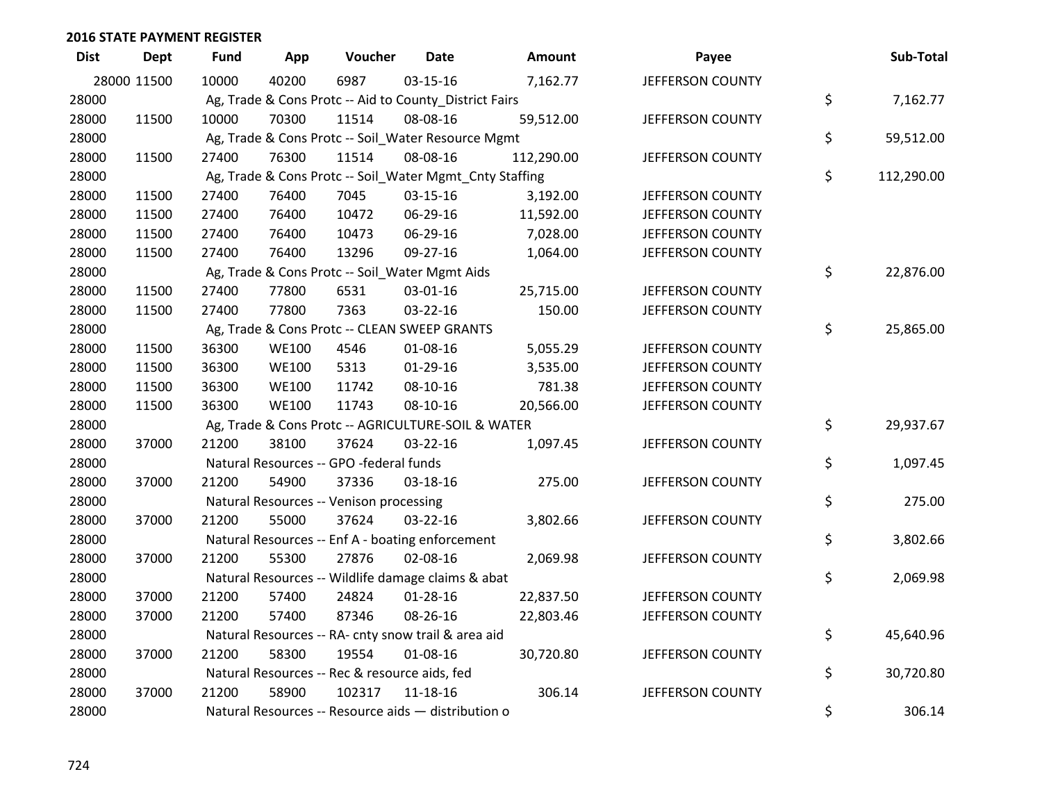| <b>Dist</b> | <b>Dept</b> | <b>Fund</b> | App          | Voucher                                                 | <b>Date</b>    | Amount     | Payee            | Sub-Total        |
|-------------|-------------|-------------|--------------|---------------------------------------------------------|----------------|------------|------------------|------------------|
|             | 28000 11500 | 10000       | 40200        | 6987                                                    | 03-15-16       | 7,162.77   | JEFFERSON COUNTY |                  |
| 28000       |             |             |              | Ag, Trade & Cons Protc -- Aid to County_District Fairs  |                |            |                  | \$<br>7,162.77   |
| 28000       | 11500       | 10000       | 70300        | 11514                                                   | 08-08-16       | 59,512.00  | JEFFERSON COUNTY |                  |
| 28000       |             |             |              | Ag, Trade & Cons Protc -- Soil_Water Resource Mgmt      |                |            |                  | \$<br>59,512.00  |
| 28000       | 11500       | 27400       | 76300        | 11514                                                   | 08-08-16       | 112,290.00 | JEFFERSON COUNTY |                  |
| 28000       |             |             |              | Ag, Trade & Cons Protc -- Soil_Water Mgmt_Cnty Staffing |                |            |                  | \$<br>112,290.00 |
| 28000       | 11500       | 27400       | 76400        | 7045                                                    | $03 - 15 - 16$ | 3,192.00   | JEFFERSON COUNTY |                  |
| 28000       | 11500       | 27400       | 76400        | 10472                                                   | 06-29-16       | 11,592.00  | JEFFERSON COUNTY |                  |
| 28000       | 11500       | 27400       | 76400        | 10473                                                   | 06-29-16       | 7,028.00   | JEFFERSON COUNTY |                  |
| 28000       | 11500       | 27400       | 76400        | 13296                                                   | 09-27-16       | 1,064.00   | JEFFERSON COUNTY |                  |
| 28000       |             |             |              | Ag, Trade & Cons Protc -- Soil_Water Mgmt Aids          |                |            |                  | \$<br>22,876.00  |
| 28000       | 11500       | 27400       | 77800        | 6531                                                    | 03-01-16       | 25,715.00  | JEFFERSON COUNTY |                  |
| 28000       | 11500       | 27400       | 77800        | 7363                                                    | 03-22-16       | 150.00     | JEFFERSON COUNTY |                  |
| 28000       |             |             |              | Ag, Trade & Cons Protc -- CLEAN SWEEP GRANTS            |                |            |                  | \$<br>25,865.00  |
| 28000       | 11500       | 36300       | <b>WE100</b> | 4546                                                    | 01-08-16       | 5,055.29   | JEFFERSON COUNTY |                  |
| 28000       | 11500       | 36300       | <b>WE100</b> | 5313                                                    | $01-29-16$     | 3,535.00   | JEFFERSON COUNTY |                  |
| 28000       | 11500       | 36300       | <b>WE100</b> | 11742                                                   | 08-10-16       | 781.38     | JEFFERSON COUNTY |                  |
| 28000       | 11500       | 36300       | <b>WE100</b> | 11743                                                   | 08-10-16       | 20,566.00  | JEFFERSON COUNTY |                  |
| 28000       |             |             |              | Ag, Trade & Cons Protc -- AGRICULTURE-SOIL & WATER      |                |            |                  | \$<br>29,937.67  |
| 28000       | 37000       | 21200       | 38100        | 37624                                                   | 03-22-16       | 1,097.45   | JEFFERSON COUNTY |                  |
| 28000       |             |             |              | Natural Resources -- GPO -federal funds                 |                |            |                  | \$<br>1,097.45   |
| 28000       | 37000       | 21200       | 54900        | 37336                                                   | 03-18-16       | 275.00     | JEFFERSON COUNTY |                  |
| 28000       |             |             |              | Natural Resources -- Venison processing                 |                |            |                  | \$<br>275.00     |
| 28000       | 37000       | 21200       | 55000        | 37624                                                   | 03-22-16       | 3,802.66   | JEFFERSON COUNTY |                  |
| 28000       |             |             |              | Natural Resources -- Enf A - boating enforcement        |                |            |                  | \$<br>3,802.66   |
| 28000       | 37000       | 21200       | 55300        | 27876                                                   | 02-08-16       | 2,069.98   | JEFFERSON COUNTY |                  |
| 28000       |             |             |              | Natural Resources -- Wildlife damage claims & abat      |                |            |                  | \$<br>2,069.98   |
| 28000       | 37000       | 21200       | 57400        | 24824                                                   | $01 - 28 - 16$ | 22,837.50  | JEFFERSON COUNTY |                  |
| 28000       | 37000       | 21200       | 57400        | 87346                                                   | 08-26-16       | 22,803.46  | JEFFERSON COUNTY |                  |
| 28000       |             |             |              | Natural Resources -- RA- cnty snow trail & area aid     |                |            |                  | \$<br>45,640.96  |
| 28000       | 37000       | 21200       | 58300        | 19554                                                   | 01-08-16       | 30,720.80  | JEFFERSON COUNTY |                  |
| 28000       |             |             |              | Natural Resources -- Rec & resource aids, fed           |                |            |                  | \$<br>30,720.80  |
| 28000       | 37000       | 21200       | 58900        | 102317                                                  | $11 - 18 - 16$ | 306.14     | JEFFERSON COUNTY |                  |
| 28000       |             |             |              | Natural Resources -- Resource aids - distribution o     |                |            |                  | \$<br>306.14     |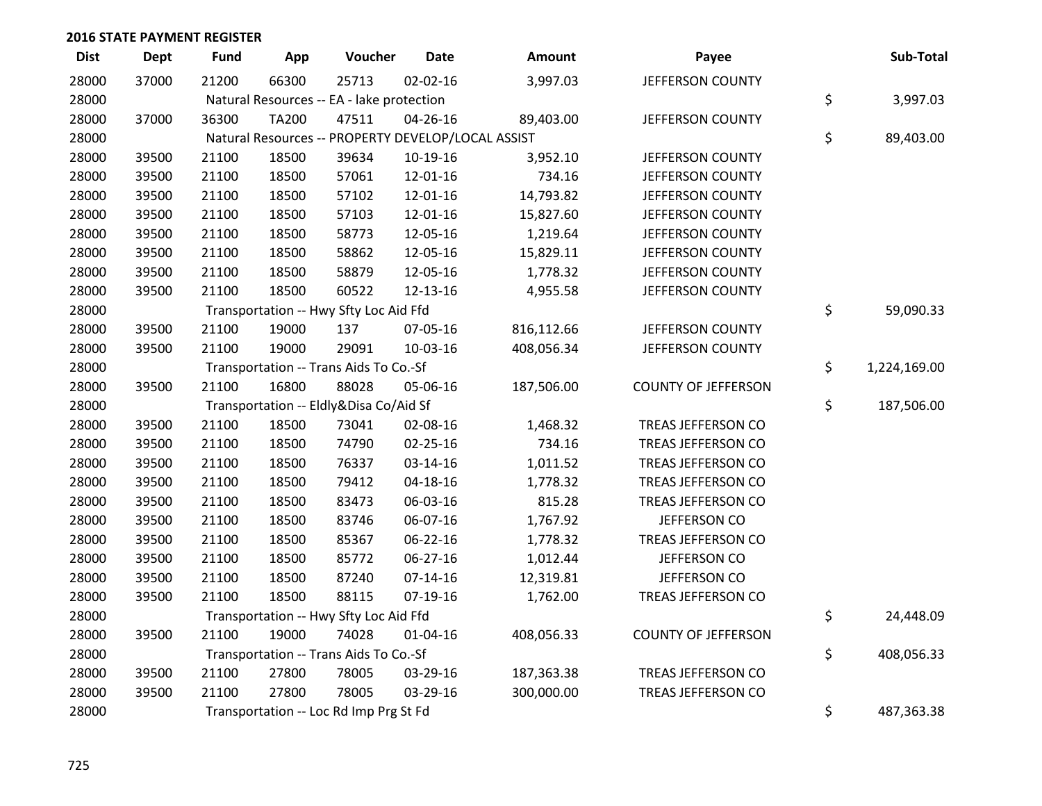| <b>Dist</b> | <b>Dept</b> | <b>Fund</b> | App          | Voucher                                            | <b>Date</b>    | Amount     | Payee                      | Sub-Total          |
|-------------|-------------|-------------|--------------|----------------------------------------------------|----------------|------------|----------------------------|--------------------|
| 28000       | 37000       | 21200       | 66300        | 25713                                              | $02 - 02 - 16$ | 3,997.03   | JEFFERSON COUNTY           |                    |
| 28000       |             |             |              | Natural Resources -- EA - lake protection          |                |            |                            | \$<br>3,997.03     |
| 28000       | 37000       | 36300       | <b>TA200</b> | 47511                                              | 04-26-16       | 89,403.00  | JEFFERSON COUNTY           |                    |
| 28000       |             |             |              | Natural Resources -- PROPERTY DEVELOP/LOCAL ASSIST |                |            |                            | \$<br>89,403.00    |
| 28000       | 39500       | 21100       | 18500        | 39634                                              | 10-19-16       | 3,952.10   | JEFFERSON COUNTY           |                    |
| 28000       | 39500       | 21100       | 18500        | 57061                                              | 12-01-16       | 734.16     | JEFFERSON COUNTY           |                    |
| 28000       | 39500       | 21100       | 18500        | 57102                                              | 12-01-16       | 14,793.82  | JEFFERSON COUNTY           |                    |
| 28000       | 39500       | 21100       | 18500        | 57103                                              | 12-01-16       | 15,827.60  | JEFFERSON COUNTY           |                    |
| 28000       | 39500       | 21100       | 18500        | 58773                                              | 12-05-16       | 1,219.64   | JEFFERSON COUNTY           |                    |
| 28000       | 39500       | 21100       | 18500        | 58862                                              | 12-05-16       | 15,829.11  | JEFFERSON COUNTY           |                    |
| 28000       | 39500       | 21100       | 18500        | 58879                                              | 12-05-16       | 1,778.32   | JEFFERSON COUNTY           |                    |
| 28000       | 39500       | 21100       | 18500        | 60522                                              | 12-13-16       | 4,955.58   | JEFFERSON COUNTY           |                    |
| 28000       |             |             |              | Transportation -- Hwy Sfty Loc Aid Ffd             |                |            |                            | \$<br>59,090.33    |
| 28000       | 39500       | 21100       | 19000        | 137                                                | 07-05-16       | 816,112.66 | JEFFERSON COUNTY           |                    |
| 28000       | 39500       | 21100       | 19000        | 29091                                              | 10-03-16       | 408,056.34 | JEFFERSON COUNTY           |                    |
| 28000       |             |             |              | Transportation -- Trans Aids To Co.-Sf             |                |            |                            | \$<br>1,224,169.00 |
| 28000       | 39500       | 21100       | 16800        | 88028                                              | 05-06-16       | 187,506.00 | <b>COUNTY OF JEFFERSON</b> |                    |
| 28000       |             |             |              | Transportation -- Eldly&Disa Co/Aid Sf             |                |            |                            | \$<br>187,506.00   |
| 28000       | 39500       | 21100       | 18500        | 73041                                              | 02-08-16       | 1,468.32   | TREAS JEFFERSON CO         |                    |
| 28000       | 39500       | 21100       | 18500        | 74790                                              | 02-25-16       | 734.16     | TREAS JEFFERSON CO         |                    |
| 28000       | 39500       | 21100       | 18500        | 76337                                              | 03-14-16       | 1,011.52   | TREAS JEFFERSON CO         |                    |
| 28000       | 39500       | 21100       | 18500        | 79412                                              | $04 - 18 - 16$ | 1,778.32   | TREAS JEFFERSON CO         |                    |
| 28000       | 39500       | 21100       | 18500        | 83473                                              | 06-03-16       | 815.28     | TREAS JEFFERSON CO         |                    |
| 28000       | 39500       | 21100       | 18500        | 83746                                              | 06-07-16       | 1,767.92   | JEFFERSON CO               |                    |
| 28000       | 39500       | 21100       | 18500        | 85367                                              | 06-22-16       | 1,778.32   | TREAS JEFFERSON CO         |                    |
| 28000       | 39500       | 21100       | 18500        | 85772                                              | 06-27-16       | 1,012.44   | JEFFERSON CO               |                    |
| 28000       | 39500       | 21100       | 18500        | 87240                                              | $07-14-16$     | 12,319.81  | JEFFERSON CO               |                    |
| 28000       | 39500       | 21100       | 18500        | 88115                                              | 07-19-16       | 1,762.00   | TREAS JEFFERSON CO         |                    |
| 28000       |             |             |              | Transportation -- Hwy Sfty Loc Aid Ffd             |                |            |                            | \$<br>24,448.09    |
| 28000       | 39500       | 21100       | 19000        | 74028                                              | $01 - 04 - 16$ | 408,056.33 | <b>COUNTY OF JEFFERSON</b> |                    |
| 28000       |             |             |              | Transportation -- Trans Aids To Co.-Sf             |                |            |                            | \$<br>408,056.33   |
| 28000       | 39500       | 21100       | 27800        | 78005                                              | 03-29-16       | 187,363.38 | TREAS JEFFERSON CO         |                    |
| 28000       | 39500       | 21100       | 27800        | 78005                                              | 03-29-16       | 300,000.00 | TREAS JEFFERSON CO         |                    |
| 28000       |             |             |              | Transportation -- Loc Rd Imp Prg St Fd             |                |            |                            | \$<br>487,363.38   |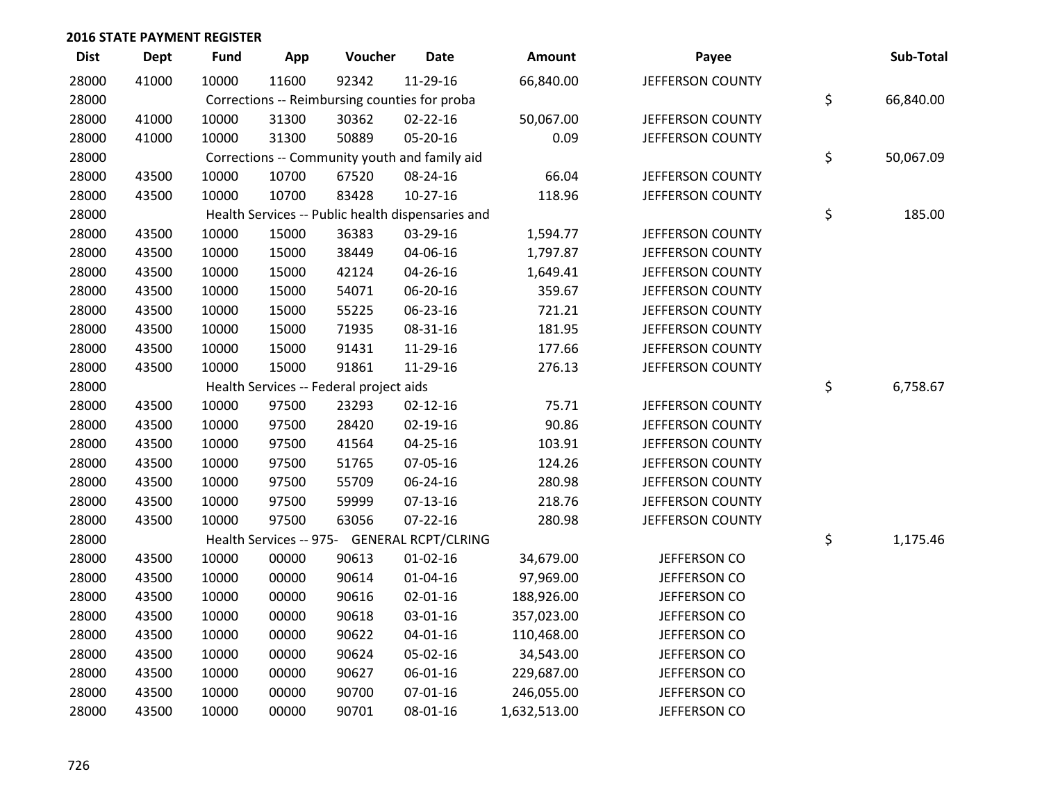| <b>Dist</b> | <b>Dept</b> | <b>Fund</b> | App   | Voucher                                           | <b>Date</b>    | Amount       | Payee                   | Sub-Total       |
|-------------|-------------|-------------|-------|---------------------------------------------------|----------------|--------------|-------------------------|-----------------|
| 28000       | 41000       | 10000       | 11600 | 92342                                             | 11-29-16       | 66,840.00    | JEFFERSON COUNTY        |                 |
| 28000       |             |             |       | Corrections -- Reimbursing counties for proba     |                |              |                         | \$<br>66,840.00 |
| 28000       | 41000       | 10000       | 31300 | 30362                                             | 02-22-16       | 50,067.00    | JEFFERSON COUNTY        |                 |
| 28000       | 41000       | 10000       | 31300 | 50889                                             | 05-20-16       | 0.09         | JEFFERSON COUNTY        |                 |
| 28000       |             |             |       | Corrections -- Community youth and family aid     |                |              |                         | \$<br>50,067.09 |
| 28000       | 43500       | 10000       | 10700 | 67520                                             | 08-24-16       | 66.04        | JEFFERSON COUNTY        |                 |
| 28000       | 43500       | 10000       | 10700 | 83428                                             | $10-27-16$     | 118.96       | JEFFERSON COUNTY        |                 |
| 28000       |             |             |       | Health Services -- Public health dispensaries and |                |              |                         | \$<br>185.00    |
| 28000       | 43500       | 10000       | 15000 | 36383                                             | 03-29-16       | 1,594.77     | JEFFERSON COUNTY        |                 |
| 28000       | 43500       | 10000       | 15000 | 38449                                             | 04-06-16       | 1,797.87     | JEFFERSON COUNTY        |                 |
| 28000       | 43500       | 10000       | 15000 | 42124                                             | 04-26-16       | 1,649.41     | JEFFERSON COUNTY        |                 |
| 28000       | 43500       | 10000       | 15000 | 54071                                             | 06-20-16       | 359.67       | <b>JEFFERSON COUNTY</b> |                 |
| 28000       | 43500       | 10000       | 15000 | 55225                                             | 06-23-16       | 721.21       | JEFFERSON COUNTY        |                 |
| 28000       | 43500       | 10000       | 15000 | 71935                                             | 08-31-16       | 181.95       | JEFFERSON COUNTY        |                 |
| 28000       | 43500       | 10000       | 15000 | 91431                                             | 11-29-16       | 177.66       | JEFFERSON COUNTY        |                 |
| 28000       | 43500       | 10000       | 15000 | 91861                                             | 11-29-16       | 276.13       | JEFFERSON COUNTY        |                 |
| 28000       |             |             |       | Health Services -- Federal project aids           |                |              |                         | \$<br>6,758.67  |
| 28000       | 43500       | 10000       | 97500 | 23293                                             | $02 - 12 - 16$ | 75.71        | JEFFERSON COUNTY        |                 |
| 28000       | 43500       | 10000       | 97500 | 28420                                             | $02 - 19 - 16$ | 90.86        | JEFFERSON COUNTY        |                 |
| 28000       | 43500       | 10000       | 97500 | 41564                                             | 04-25-16       | 103.91       | JEFFERSON COUNTY        |                 |
| 28000       | 43500       | 10000       | 97500 | 51765                                             | 07-05-16       | 124.26       | JEFFERSON COUNTY        |                 |
| 28000       | 43500       | 10000       | 97500 | 55709                                             | 06-24-16       | 280.98       | <b>JEFFERSON COUNTY</b> |                 |
| 28000       | 43500       | 10000       | 97500 | 59999                                             | $07-13-16$     | 218.76       | JEFFERSON COUNTY        |                 |
| 28000       | 43500       | 10000       | 97500 | 63056                                             | $07 - 22 - 16$ | 280.98       | JEFFERSON COUNTY        |                 |
| 28000       |             |             |       | Health Services -- 975- GENERAL RCPT/CLRING       |                |              |                         | \$<br>1,175.46  |
| 28000       | 43500       | 10000       | 00000 | 90613                                             | $01 - 02 - 16$ | 34,679.00    | JEFFERSON CO            |                 |
| 28000       | 43500       | 10000       | 00000 | 90614                                             | $01 - 04 - 16$ | 97,969.00    | JEFFERSON CO            |                 |
| 28000       | 43500       | 10000       | 00000 | 90616                                             | $02 - 01 - 16$ | 188,926.00   | JEFFERSON CO            |                 |
| 28000       | 43500       | 10000       | 00000 | 90618                                             | 03-01-16       | 357,023.00   | JEFFERSON CO            |                 |
| 28000       | 43500       | 10000       | 00000 | 90622                                             | $04 - 01 - 16$ | 110,468.00   | JEFFERSON CO            |                 |
| 28000       | 43500       | 10000       | 00000 | 90624                                             | 05-02-16       | 34,543.00    | JEFFERSON CO            |                 |
| 28000       | 43500       | 10000       | 00000 | 90627                                             | 06-01-16       | 229,687.00   | JEFFERSON CO            |                 |
| 28000       | 43500       | 10000       | 00000 | 90700                                             | $07 - 01 - 16$ | 246,055.00   | JEFFERSON CO            |                 |
| 28000       | 43500       | 10000       | 00000 | 90701                                             | 08-01-16       | 1,632,513.00 | JEFFERSON CO            |                 |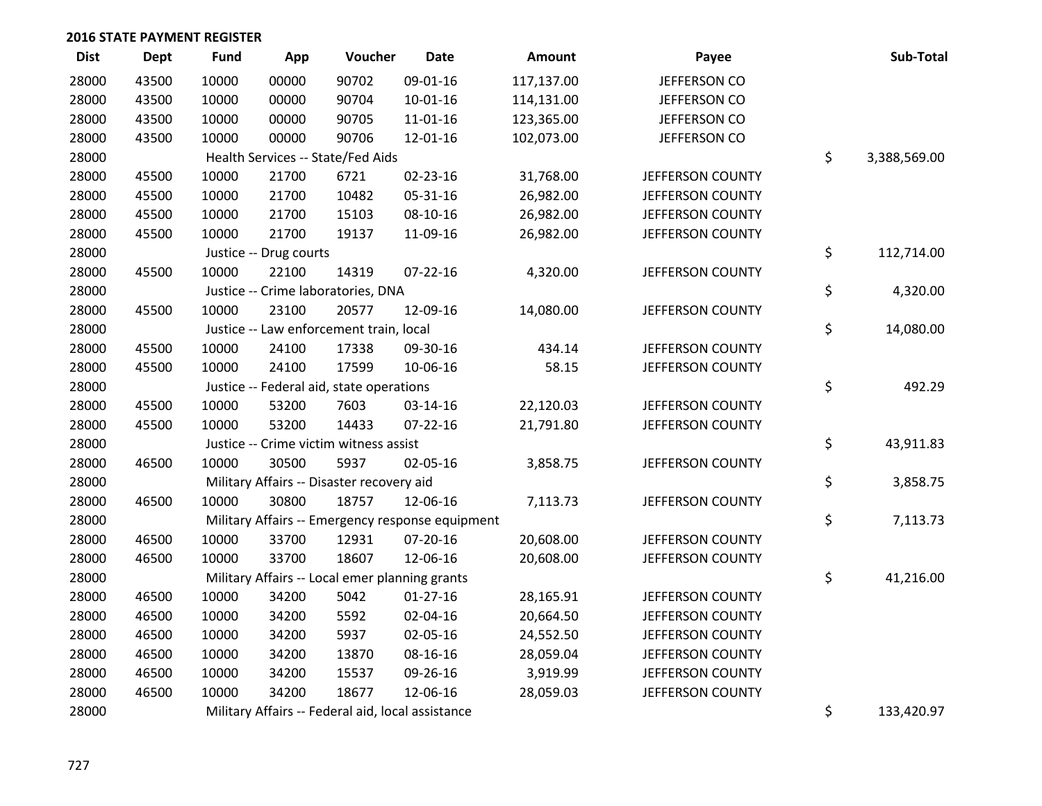| <b>Dist</b> | Dept  | <b>Fund</b> | App                    | Voucher                                           | <b>Date</b>    | Amount     | Payee            | Sub-Total          |
|-------------|-------|-------------|------------------------|---------------------------------------------------|----------------|------------|------------------|--------------------|
| 28000       | 43500 | 10000       | 00000                  | 90702                                             | 09-01-16       | 117,137.00 | JEFFERSON CO     |                    |
| 28000       | 43500 | 10000       | 00000                  | 90704                                             | $10-01-16$     | 114,131.00 | JEFFERSON CO     |                    |
| 28000       | 43500 | 10000       | 00000                  | 90705                                             | 11-01-16       | 123,365.00 | JEFFERSON CO     |                    |
| 28000       | 43500 | 10000       | 00000                  | 90706                                             | 12-01-16       | 102,073.00 | JEFFERSON CO     |                    |
| 28000       |       |             |                        | Health Services -- State/Fed Aids                 |                |            |                  | \$<br>3,388,569.00 |
| 28000       | 45500 | 10000       | 21700                  | 6721                                              | 02-23-16       | 31,768.00  | JEFFERSON COUNTY |                    |
| 28000       | 45500 | 10000       | 21700                  | 10482                                             | 05-31-16       | 26,982.00  | JEFFERSON COUNTY |                    |
| 28000       | 45500 | 10000       | 21700                  | 15103                                             | 08-10-16       | 26,982.00  | JEFFERSON COUNTY |                    |
| 28000       | 45500 | 10000       | 21700                  | 19137                                             | 11-09-16       | 26,982.00  | JEFFERSON COUNTY |                    |
| 28000       |       |             | Justice -- Drug courts |                                                   |                |            |                  | \$<br>112,714.00   |
| 28000       | 45500 | 10000       | 22100                  | 14319                                             | $07 - 22 - 16$ | 4,320.00   | JEFFERSON COUNTY |                    |
| 28000       |       |             |                        | Justice -- Crime laboratories, DNA                |                |            |                  | \$<br>4,320.00     |
| 28000       | 45500 | 10000       | 23100                  | 20577                                             | 12-09-16       | 14,080.00  | JEFFERSON COUNTY |                    |
| 28000       |       |             |                        | Justice -- Law enforcement train, local           |                |            |                  | \$<br>14,080.00    |
| 28000       | 45500 | 10000       | 24100                  | 17338                                             | 09-30-16       | 434.14     | JEFFERSON COUNTY |                    |
| 28000       | 45500 | 10000       | 24100                  | 17599                                             | 10-06-16       | 58.15      | JEFFERSON COUNTY |                    |
| 28000       |       |             |                        | Justice -- Federal aid, state operations          |                |            |                  | \$<br>492.29       |
| 28000       | 45500 | 10000       | 53200                  | 7603                                              | 03-14-16       | 22,120.03  | JEFFERSON COUNTY |                    |
| 28000       | 45500 | 10000       | 53200                  | 14433                                             | $07 - 22 - 16$ | 21,791.80  | JEFFERSON COUNTY |                    |
| 28000       |       |             |                        | Justice -- Crime victim witness assist            |                |            |                  | \$<br>43,911.83    |
| 28000       | 46500 | 10000       | 30500                  | 5937                                              | 02-05-16       | 3,858.75   | JEFFERSON COUNTY |                    |
| 28000       |       |             |                        | Military Affairs -- Disaster recovery aid         |                |            |                  | \$<br>3,858.75     |
| 28000       | 46500 | 10000       | 30800                  | 18757                                             | 12-06-16       | 7,113.73   | JEFFERSON COUNTY |                    |
| 28000       |       |             |                        | Military Affairs -- Emergency response equipment  |                |            |                  | \$<br>7,113.73     |
| 28000       | 46500 | 10000       | 33700                  | 12931                                             | $07 - 20 - 16$ | 20,608.00  | JEFFERSON COUNTY |                    |
| 28000       | 46500 | 10000       | 33700                  | 18607                                             | 12-06-16       | 20,608.00  | JEFFERSON COUNTY |                    |
| 28000       |       |             |                        | Military Affairs -- Local emer planning grants    |                |            |                  | \$<br>41,216.00    |
| 28000       | 46500 | 10000       | 34200                  | 5042                                              | $01-27-16$     | 28,165.91  | JEFFERSON COUNTY |                    |
| 28000       | 46500 | 10000       | 34200                  | 5592                                              | 02-04-16       | 20,664.50  | JEFFERSON COUNTY |                    |
| 28000       | 46500 | 10000       | 34200                  | 5937                                              | 02-05-16       | 24,552.50  | JEFFERSON COUNTY |                    |
| 28000       | 46500 | 10000       | 34200                  | 13870                                             | 08-16-16       | 28,059.04  | JEFFERSON COUNTY |                    |
| 28000       | 46500 | 10000       | 34200                  | 15537                                             | 09-26-16       | 3,919.99   | JEFFERSON COUNTY |                    |
| 28000       | 46500 | 10000       | 34200                  | 18677                                             | 12-06-16       | 28,059.03  | JEFFERSON COUNTY |                    |
| 28000       |       |             |                        | Military Affairs -- Federal aid, local assistance |                |            |                  | \$<br>133,420.97   |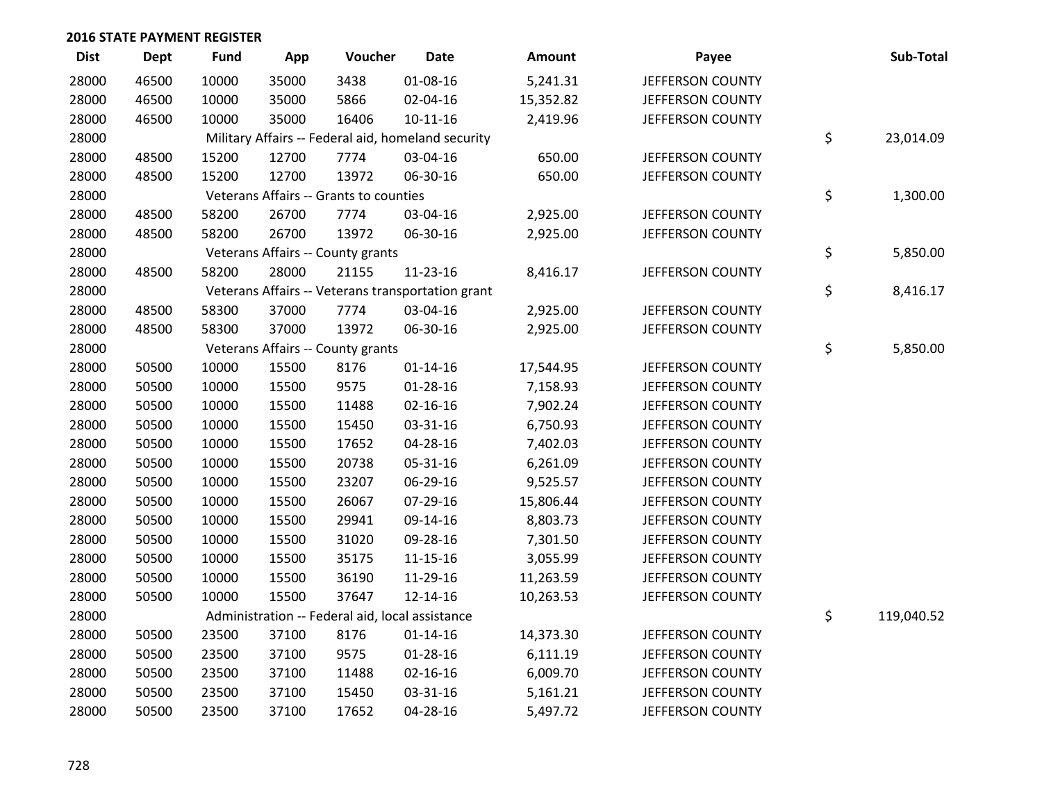| <b>Dist</b> | <b>Dept</b> | <b>Fund</b> | App   | Voucher                                         | <b>Date</b>                                        | Amount    | Payee            | Sub-Total        |
|-------------|-------------|-------------|-------|-------------------------------------------------|----------------------------------------------------|-----------|------------------|------------------|
| 28000       | 46500       | 10000       | 35000 | 3438                                            | 01-08-16                                           | 5,241.31  | JEFFERSON COUNTY |                  |
| 28000       | 46500       | 10000       | 35000 | 5866                                            | 02-04-16                                           | 15,352.82 | JEFFERSON COUNTY |                  |
| 28000       | 46500       | 10000       | 35000 | 16406                                           | $10 - 11 - 16$                                     | 2,419.96  | JEFFERSON COUNTY |                  |
| 28000       |             |             |       |                                                 | Military Affairs -- Federal aid, homeland security |           |                  | \$<br>23,014.09  |
| 28000       | 48500       | 15200       | 12700 | 7774                                            | 03-04-16                                           | 650.00    | JEFFERSON COUNTY |                  |
| 28000       | 48500       | 15200       | 12700 | 13972                                           | 06-30-16                                           | 650.00    | JEFFERSON COUNTY |                  |
| 28000       |             |             |       | Veterans Affairs -- Grants to counties          |                                                    |           |                  | \$<br>1,300.00   |
| 28000       | 48500       | 58200       | 26700 | 7774                                            | 03-04-16                                           | 2,925.00  | JEFFERSON COUNTY |                  |
| 28000       | 48500       | 58200       | 26700 | 13972                                           | 06-30-16                                           | 2,925.00  | JEFFERSON COUNTY |                  |
| 28000       |             |             |       | Veterans Affairs -- County grants               |                                                    |           |                  | \$<br>5,850.00   |
| 28000       | 48500       | 58200       | 28000 | 21155                                           | 11-23-16                                           | 8,416.17  | JEFFERSON COUNTY |                  |
| 28000       |             |             |       |                                                 | Veterans Affairs -- Veterans transportation grant  |           |                  | \$<br>8,416.17   |
| 28000       | 48500       | 58300       | 37000 | 7774                                            | 03-04-16                                           | 2,925.00  | JEFFERSON COUNTY |                  |
| 28000       | 48500       | 58300       | 37000 | 13972                                           | 06-30-16                                           | 2,925.00  | JEFFERSON COUNTY |                  |
| 28000       |             |             |       | Veterans Affairs -- County grants               |                                                    |           |                  | \$<br>5,850.00   |
| 28000       | 50500       | 10000       | 15500 | 8176                                            | $01 - 14 - 16$                                     | 17,544.95 | JEFFERSON COUNTY |                  |
| 28000       | 50500       | 10000       | 15500 | 9575                                            | 01-28-16                                           | 7,158.93  | JEFFERSON COUNTY |                  |
| 28000       | 50500       | 10000       | 15500 | 11488                                           | $02 - 16 - 16$                                     | 7,902.24  | JEFFERSON COUNTY |                  |
| 28000       | 50500       | 10000       | 15500 | 15450                                           | 03-31-16                                           | 6,750.93  | JEFFERSON COUNTY |                  |
| 28000       | 50500       | 10000       | 15500 | 17652                                           | 04-28-16                                           | 7,402.03  | JEFFERSON COUNTY |                  |
| 28000       | 50500       | 10000       | 15500 | 20738                                           | 05-31-16                                           | 6,261.09  | JEFFERSON COUNTY |                  |
| 28000       | 50500       | 10000       | 15500 | 23207                                           | 06-29-16                                           | 9,525.57  | JEFFERSON COUNTY |                  |
| 28000       | 50500       | 10000       | 15500 | 26067                                           | 07-29-16                                           | 15,806.44 | JEFFERSON COUNTY |                  |
| 28000       | 50500       | 10000       | 15500 | 29941                                           | 09-14-16                                           | 8,803.73  | JEFFERSON COUNTY |                  |
| 28000       | 50500       | 10000       | 15500 | 31020                                           | 09-28-16                                           | 7,301.50  | JEFFERSON COUNTY |                  |
| 28000       | 50500       | 10000       | 15500 | 35175                                           | $11 - 15 - 16$                                     | 3,055.99  | JEFFERSON COUNTY |                  |
| 28000       | 50500       | 10000       | 15500 | 36190                                           | 11-29-16                                           | 11,263.59 | JEFFERSON COUNTY |                  |
| 28000       | 50500       | 10000       | 15500 | 37647                                           | 12-14-16                                           | 10,263.53 | JEFFERSON COUNTY |                  |
| 28000       |             |             |       | Administration -- Federal aid, local assistance |                                                    |           |                  | \$<br>119,040.52 |
| 28000       | 50500       | 23500       | 37100 | 8176                                            | $01 - 14 - 16$                                     | 14,373.30 | JEFFERSON COUNTY |                  |
| 28000       | 50500       | 23500       | 37100 | 9575                                            | 01-28-16                                           | 6,111.19  | JEFFERSON COUNTY |                  |
| 28000       | 50500       | 23500       | 37100 | 11488                                           | $02 - 16 - 16$                                     | 6,009.70  | JEFFERSON COUNTY |                  |
| 28000       | 50500       | 23500       | 37100 | 15450                                           | 03-31-16                                           | 5,161.21  | JEFFERSON COUNTY |                  |
| 28000       | 50500       | 23500       | 37100 | 17652                                           | 04-28-16                                           | 5,497.72  | JEFFERSON COUNTY |                  |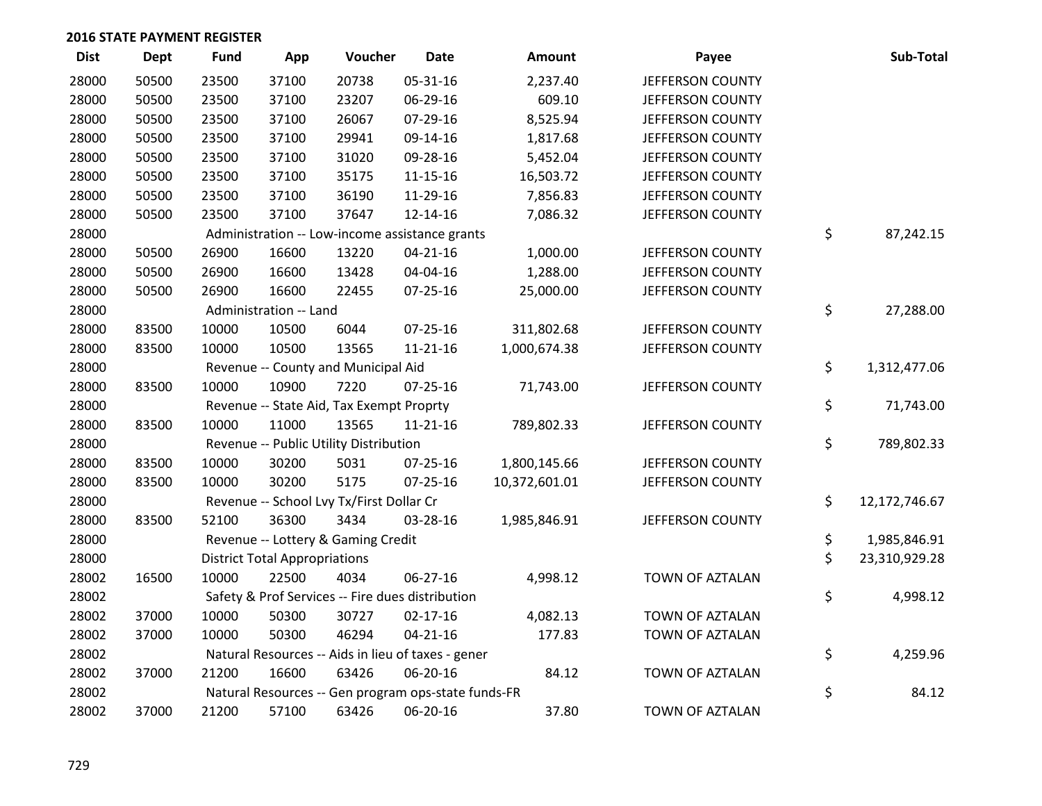| <b>Dist</b> | <b>Dept</b> | <b>Fund</b> | App                                  | Voucher                                             | <b>Date</b>    | <b>Amount</b> | Payee            | Sub-Total           |
|-------------|-------------|-------------|--------------------------------------|-----------------------------------------------------|----------------|---------------|------------------|---------------------|
| 28000       | 50500       | 23500       | 37100                                | 20738                                               | 05-31-16       | 2,237.40      | JEFFERSON COUNTY |                     |
| 28000       | 50500       | 23500       | 37100                                | 23207                                               | 06-29-16       | 609.10        | JEFFERSON COUNTY |                     |
| 28000       | 50500       | 23500       | 37100                                | 26067                                               | 07-29-16       | 8,525.94      | JEFFERSON COUNTY |                     |
| 28000       | 50500       | 23500       | 37100                                | 29941                                               | 09-14-16       | 1,817.68      | JEFFERSON COUNTY |                     |
| 28000       | 50500       | 23500       | 37100                                | 31020                                               | 09-28-16       | 5,452.04      | JEFFERSON COUNTY |                     |
| 28000       | 50500       | 23500       | 37100                                | 35175                                               | 11-15-16       | 16,503.72     | JEFFERSON COUNTY |                     |
| 28000       | 50500       | 23500       | 37100                                | 36190                                               | 11-29-16       | 7,856.83      | JEFFERSON COUNTY |                     |
| 28000       | 50500       | 23500       | 37100                                | 37647                                               | 12-14-16       | 7,086.32      | JEFFERSON COUNTY |                     |
| 28000       |             |             |                                      | Administration -- Low-income assistance grants      |                |               |                  | \$<br>87,242.15     |
| 28000       | 50500       | 26900       | 16600                                | 13220                                               | $04 - 21 - 16$ | 1,000.00      | JEFFERSON COUNTY |                     |
| 28000       | 50500       | 26900       | 16600                                | 13428                                               | 04-04-16       | 1,288.00      | JEFFERSON COUNTY |                     |
| 28000       | 50500       | 26900       | 16600                                | 22455                                               | $07 - 25 - 16$ | 25,000.00     | JEFFERSON COUNTY |                     |
| 28000       |             |             | Administration -- Land               |                                                     |                |               |                  | \$<br>27,288.00     |
| 28000       | 83500       | 10000       | 10500                                | 6044                                                | $07 - 25 - 16$ | 311,802.68    | JEFFERSON COUNTY |                     |
| 28000       | 83500       | 10000       | 10500                                | 13565                                               | $11 - 21 - 16$ | 1,000,674.38  | JEFFERSON COUNTY |                     |
| 28000       |             |             |                                      | Revenue -- County and Municipal Aid                 |                |               |                  | \$<br>1,312,477.06  |
| 28000       | 83500       | 10000       | 10900                                | 7220                                                | $07 - 25 - 16$ | 71,743.00     | JEFFERSON COUNTY |                     |
| 28000       |             |             |                                      | Revenue -- State Aid, Tax Exempt Proprty            |                |               |                  | \$<br>71,743.00     |
| 28000       | 83500       | 10000       | 11000                                | 13565                                               | $11 - 21 - 16$ | 789,802.33    | JEFFERSON COUNTY |                     |
| 28000       |             |             |                                      | Revenue -- Public Utility Distribution              |                |               |                  | \$<br>789,802.33    |
| 28000       | 83500       | 10000       | 30200                                | 5031                                                | $07 - 25 - 16$ | 1,800,145.66  | JEFFERSON COUNTY |                     |
| 28000       | 83500       | 10000       | 30200                                | 5175                                                | $07 - 25 - 16$ | 10,372,601.01 | JEFFERSON COUNTY |                     |
| 28000       |             |             |                                      | Revenue -- School Lvy Tx/First Dollar Cr            |                |               |                  | \$<br>12,172,746.67 |
| 28000       | 83500       | 52100       | 36300                                | 3434                                                | 03-28-16       | 1,985,846.91  | JEFFERSON COUNTY |                     |
| 28000       |             |             |                                      | Revenue -- Lottery & Gaming Credit                  |                |               |                  | \$<br>1,985,846.91  |
| 28000       |             |             | <b>District Total Appropriations</b> |                                                     |                |               |                  | \$<br>23,310,929.28 |
| 28002       | 16500       | 10000       | 22500                                | 4034                                                | 06-27-16       | 4,998.12      | TOWN OF AZTALAN  |                     |
| 28002       |             |             |                                      | Safety & Prof Services -- Fire dues distribution    |                |               |                  | \$<br>4,998.12      |
| 28002       | 37000       | 10000       | 50300                                | 30727                                               | $02 - 17 - 16$ | 4,082.13      | TOWN OF AZTALAN  |                     |
| 28002       | 37000       | 10000       | 50300                                | 46294                                               | $04 - 21 - 16$ | 177.83        | TOWN OF AZTALAN  |                     |
| 28002       |             |             |                                      | Natural Resources -- Aids in lieu of taxes - gener  |                |               |                  | \$<br>4,259.96      |
| 28002       | 37000       | 21200       | 16600                                | 63426                                               | 06-20-16       | 84.12         | TOWN OF AZTALAN  |                     |
| 28002       |             |             |                                      | Natural Resources -- Gen program ops-state funds-FR |                |               |                  | \$<br>84.12         |
| 28002       | 37000       | 21200       | 57100                                | 63426                                               | 06-20-16       | 37.80         | TOWN OF AZTALAN  |                     |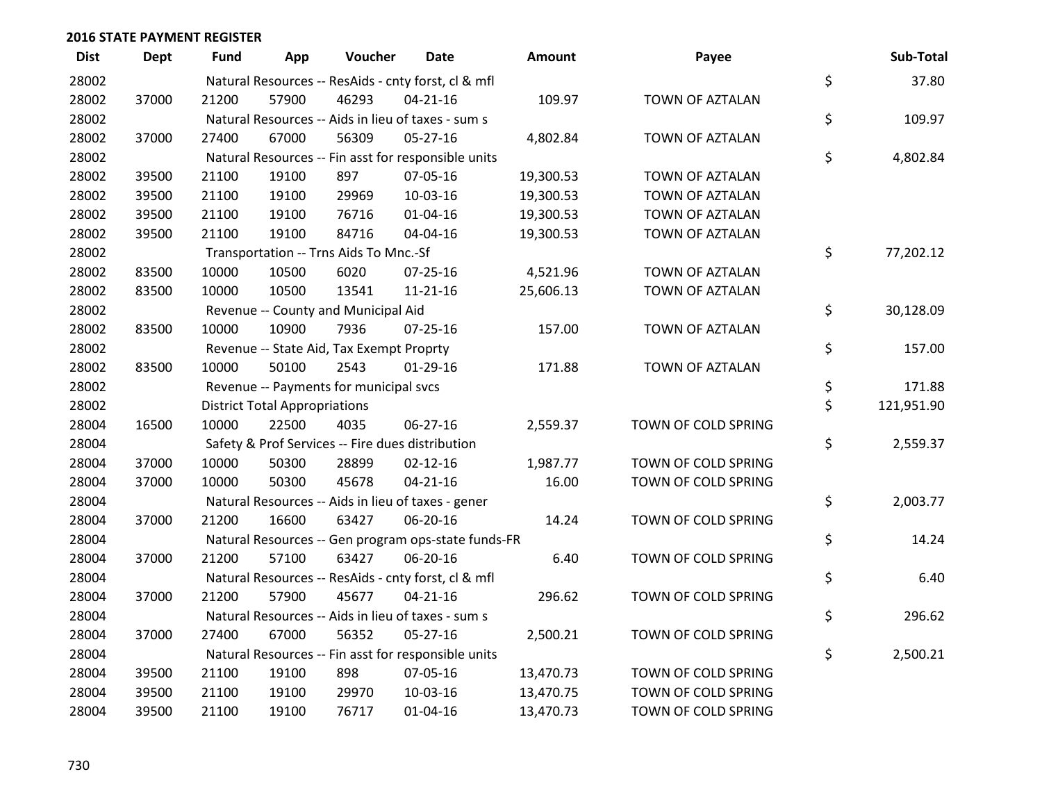| <b>Dist</b> | <b>Dept</b> | Fund  | App                                  | Voucher                                             | Date           | <b>Amount</b> | Payee               | Sub-Total        |
|-------------|-------------|-------|--------------------------------------|-----------------------------------------------------|----------------|---------------|---------------------|------------------|
| 28002       |             |       |                                      | Natural Resources -- ResAids - cnty forst, cl & mfl |                |               |                     | \$<br>37.80      |
| 28002       | 37000       | 21200 | 57900                                | 46293                                               | $04 - 21 - 16$ | 109.97        | TOWN OF AZTALAN     |                  |
| 28002       |             |       |                                      | Natural Resources -- Aids in lieu of taxes - sum s  |                |               |                     | \$<br>109.97     |
| 28002       | 37000       | 27400 | 67000                                | 56309                                               | 05-27-16       | 4,802.84      | TOWN OF AZTALAN     |                  |
| 28002       |             |       |                                      | Natural Resources -- Fin asst for responsible units |                |               |                     | \$<br>4,802.84   |
| 28002       | 39500       | 21100 | 19100                                | 897                                                 | 07-05-16       | 19,300.53     | TOWN OF AZTALAN     |                  |
| 28002       | 39500       | 21100 | 19100                                | 29969                                               | 10-03-16       | 19,300.53     | TOWN OF AZTALAN     |                  |
| 28002       | 39500       | 21100 | 19100                                | 76716                                               | $01 - 04 - 16$ | 19,300.53     | TOWN OF AZTALAN     |                  |
| 28002       | 39500       | 21100 | 19100                                | 84716                                               | 04-04-16       | 19,300.53     | TOWN OF AZTALAN     |                  |
| 28002       |             |       |                                      | Transportation -- Trns Aids To Mnc.-Sf              |                |               |                     | \$<br>77,202.12  |
| 28002       | 83500       | 10000 | 10500                                | 6020                                                | $07 - 25 - 16$ | 4,521.96      | TOWN OF AZTALAN     |                  |
| 28002       | 83500       | 10000 | 10500                                | 13541                                               | $11 - 21 - 16$ | 25,606.13     | TOWN OF AZTALAN     |                  |
| 28002       |             |       |                                      | Revenue -- County and Municipal Aid                 |                |               |                     | \$<br>30,128.09  |
| 28002       | 83500       | 10000 | 10900                                | 7936                                                | $07 - 25 - 16$ | 157.00        | TOWN OF AZTALAN     |                  |
| 28002       |             |       |                                      | Revenue -- State Aid, Tax Exempt Proprty            |                |               |                     | \$<br>157.00     |
| 28002       | 83500       | 10000 | 50100                                | 2543                                                | $01-29-16$     | 171.88        | TOWN OF AZTALAN     |                  |
| 28002       |             |       |                                      | Revenue -- Payments for municipal svcs              |                |               |                     | \$<br>171.88     |
| 28002       |             |       | <b>District Total Appropriations</b> |                                                     |                |               |                     | \$<br>121,951.90 |
| 28004       | 16500       | 10000 | 22500                                | 4035                                                | 06-27-16       | 2,559.37      | TOWN OF COLD SPRING |                  |
| 28004       |             |       |                                      | Safety & Prof Services -- Fire dues distribution    |                |               |                     | \$<br>2,559.37   |
| 28004       | 37000       | 10000 | 50300                                | 28899                                               | $02 - 12 - 16$ | 1,987.77      | TOWN OF COLD SPRING |                  |
| 28004       | 37000       | 10000 | 50300                                | 45678                                               | $04 - 21 - 16$ | 16.00         | TOWN OF COLD SPRING |                  |
| 28004       |             |       |                                      | Natural Resources -- Aids in lieu of taxes - gener  |                |               |                     | \$<br>2,003.77   |
| 28004       | 37000       | 21200 | 16600                                | 63427                                               | 06-20-16       | 14.24         | TOWN OF COLD SPRING |                  |
| 28004       |             |       |                                      | Natural Resources -- Gen program ops-state funds-FR |                |               |                     | \$<br>14.24      |
| 28004       | 37000       | 21200 | 57100                                | 63427                                               | 06-20-16       | 6.40          | TOWN OF COLD SPRING |                  |
| 28004       |             |       |                                      | Natural Resources -- ResAids - cnty forst, cl & mfl |                |               |                     | \$<br>6.40       |
| 28004       | 37000       | 21200 | 57900                                | 45677                                               | $04 - 21 - 16$ | 296.62        | TOWN OF COLD SPRING |                  |
| 28004       |             |       |                                      | Natural Resources -- Aids in lieu of taxes - sum s  |                |               |                     | \$<br>296.62     |
| 28004       | 37000       | 27400 | 67000                                | 56352                                               | $05 - 27 - 16$ | 2,500.21      | TOWN OF COLD SPRING |                  |
| 28004       |             |       |                                      | Natural Resources -- Fin asst for responsible units |                |               |                     | \$<br>2,500.21   |
| 28004       | 39500       | 21100 | 19100                                | 898                                                 | 07-05-16       | 13,470.73     | TOWN OF COLD SPRING |                  |
| 28004       | 39500       | 21100 | 19100                                | 29970                                               | 10-03-16       | 13,470.75     | TOWN OF COLD SPRING |                  |
| 28004       | 39500       | 21100 | 19100                                | 76717                                               | $01 - 04 - 16$ | 13,470.73     | TOWN OF COLD SPRING |                  |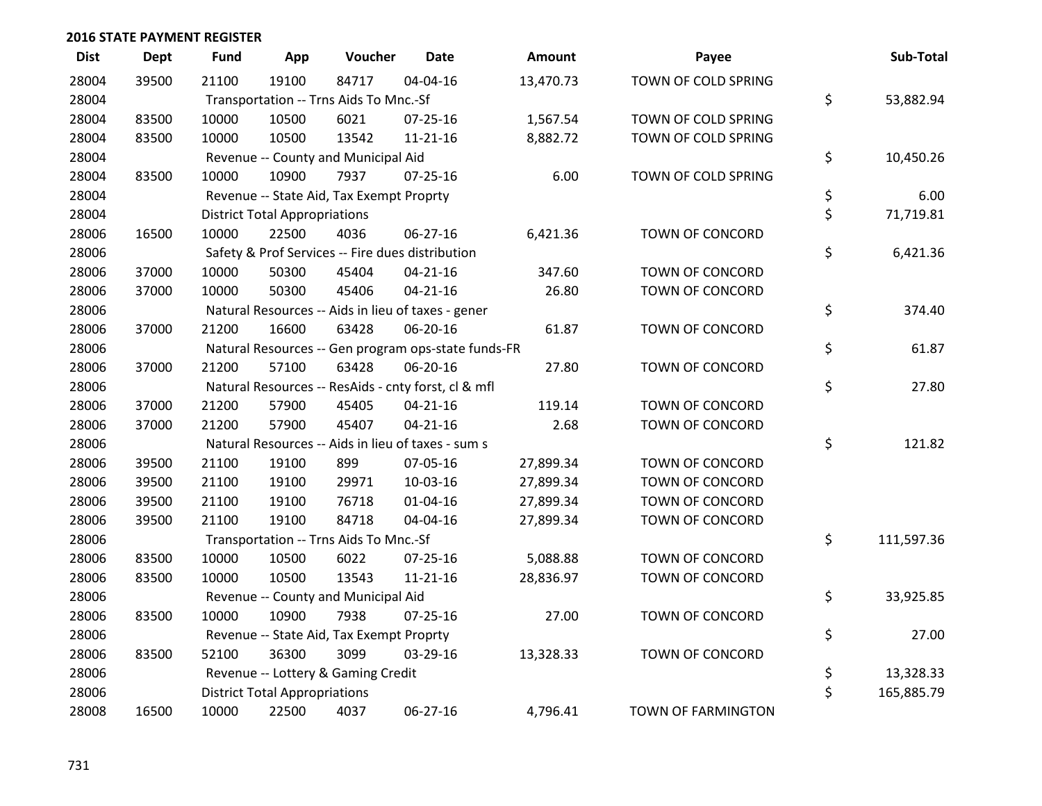| <b>Dist</b> | <b>Dept</b> | <b>Fund</b> | App                                  | Voucher                                          | <b>Date</b>                                         | Amount    | Payee                  | Sub-Total        |
|-------------|-------------|-------------|--------------------------------------|--------------------------------------------------|-----------------------------------------------------|-----------|------------------------|------------------|
| 28004       | 39500       | 21100       | 19100                                | 84717                                            | 04-04-16                                            | 13,470.73 | TOWN OF COLD SPRING    |                  |
| 28004       |             |             |                                      | Transportation -- Trns Aids To Mnc.-Sf           |                                                     |           |                        | \$<br>53,882.94  |
| 28004       | 83500       | 10000       | 10500                                | 6021                                             | $07 - 25 - 16$                                      | 1,567.54  | TOWN OF COLD SPRING    |                  |
| 28004       | 83500       | 10000       | 10500                                | 13542                                            | $11 - 21 - 16$                                      | 8,882.72  | TOWN OF COLD SPRING    |                  |
| 28004       |             |             |                                      | Revenue -- County and Municipal Aid              |                                                     |           |                        | \$<br>10,450.26  |
| 28004       | 83500       | 10000       | 10900                                | 7937                                             | $07 - 25 - 16$                                      | 6.00      | TOWN OF COLD SPRING    |                  |
| 28004       |             |             |                                      | Revenue -- State Aid, Tax Exempt Proprty         |                                                     |           |                        | \$<br>6.00       |
| 28004       |             |             | <b>District Total Appropriations</b> |                                                  |                                                     |           |                        | \$<br>71,719.81  |
| 28006       | 16500       | 10000       | 22500                                | 4036                                             | 06-27-16                                            | 6,421.36  | TOWN OF CONCORD        |                  |
| 28006       |             |             |                                      | Safety & Prof Services -- Fire dues distribution |                                                     |           |                        | \$<br>6,421.36   |
| 28006       | 37000       | 10000       | 50300                                | 45404                                            | $04 - 21 - 16$                                      | 347.60    | <b>TOWN OF CONCORD</b> |                  |
| 28006       | 37000       | 10000       | 50300                                | 45406                                            | $04 - 21 - 16$                                      | 26.80     | TOWN OF CONCORD        |                  |
| 28006       |             |             |                                      |                                                  | Natural Resources -- Aids in lieu of taxes - gener  |           |                        | \$<br>374.40     |
| 28006       | 37000       | 21200       | 16600                                | 63428                                            | 06-20-16                                            | 61.87     | TOWN OF CONCORD        |                  |
| 28006       |             |             |                                      |                                                  | Natural Resources -- Gen program ops-state funds-FR |           |                        | \$<br>61.87      |
| 28006       | 37000       | 21200       | 57100                                | 63428                                            | 06-20-16                                            | 27.80     | <b>TOWN OF CONCORD</b> |                  |
| 28006       |             |             |                                      |                                                  | Natural Resources -- ResAids - cnty forst, cl & mfl |           |                        | \$<br>27.80      |
| 28006       | 37000       | 21200       | 57900                                | 45405                                            | $04 - 21 - 16$                                      | 119.14    | <b>TOWN OF CONCORD</b> |                  |
| 28006       | 37000       | 21200       | 57900                                | 45407                                            | $04 - 21 - 16$                                      | 2.68      | TOWN OF CONCORD        |                  |
| 28006       |             |             |                                      |                                                  | Natural Resources -- Aids in lieu of taxes - sum s  |           |                        | \$<br>121.82     |
| 28006       | 39500       | 21100       | 19100                                | 899                                              | 07-05-16                                            | 27,899.34 | <b>TOWN OF CONCORD</b> |                  |
| 28006       | 39500       | 21100       | 19100                                | 29971                                            | 10-03-16                                            | 27,899.34 | <b>TOWN OF CONCORD</b> |                  |
| 28006       | 39500       | 21100       | 19100                                | 76718                                            | $01 - 04 - 16$                                      | 27,899.34 | TOWN OF CONCORD        |                  |
| 28006       | 39500       | 21100       | 19100                                | 84718                                            | 04-04-16                                            | 27,899.34 | TOWN OF CONCORD        |                  |
| 28006       |             |             |                                      | Transportation -- Trns Aids To Mnc.-Sf           |                                                     |           |                        | \$<br>111,597.36 |
| 28006       | 83500       | 10000       | 10500                                | 6022                                             | $07 - 25 - 16$                                      | 5,088.88  | <b>TOWN OF CONCORD</b> |                  |
| 28006       | 83500       | 10000       | 10500                                | 13543                                            | $11 - 21 - 16$                                      | 28,836.97 | TOWN OF CONCORD        |                  |
| 28006       |             |             |                                      | Revenue -- County and Municipal Aid              |                                                     |           |                        | \$<br>33,925.85  |
| 28006       | 83500       | 10000       | 10900                                | 7938                                             | $07 - 25 - 16$                                      | 27.00     | TOWN OF CONCORD        |                  |
| 28006       |             |             |                                      | Revenue -- State Aid, Tax Exempt Proprty         |                                                     |           |                        | \$<br>27.00      |
| 28006       | 83500       | 52100       | 36300                                | 3099                                             | 03-29-16                                            | 13,328.33 | TOWN OF CONCORD        |                  |
| 28006       |             |             |                                      | Revenue -- Lottery & Gaming Credit               |                                                     |           |                        | \$<br>13,328.33  |
| 28006       |             |             | <b>District Total Appropriations</b> |                                                  |                                                     |           |                        | \$<br>165,885.79 |
| 28008       | 16500       | 10000       | 22500                                | 4037                                             | $06 - 27 - 16$                                      | 4,796.41  | TOWN OF FARMINGTON     |                  |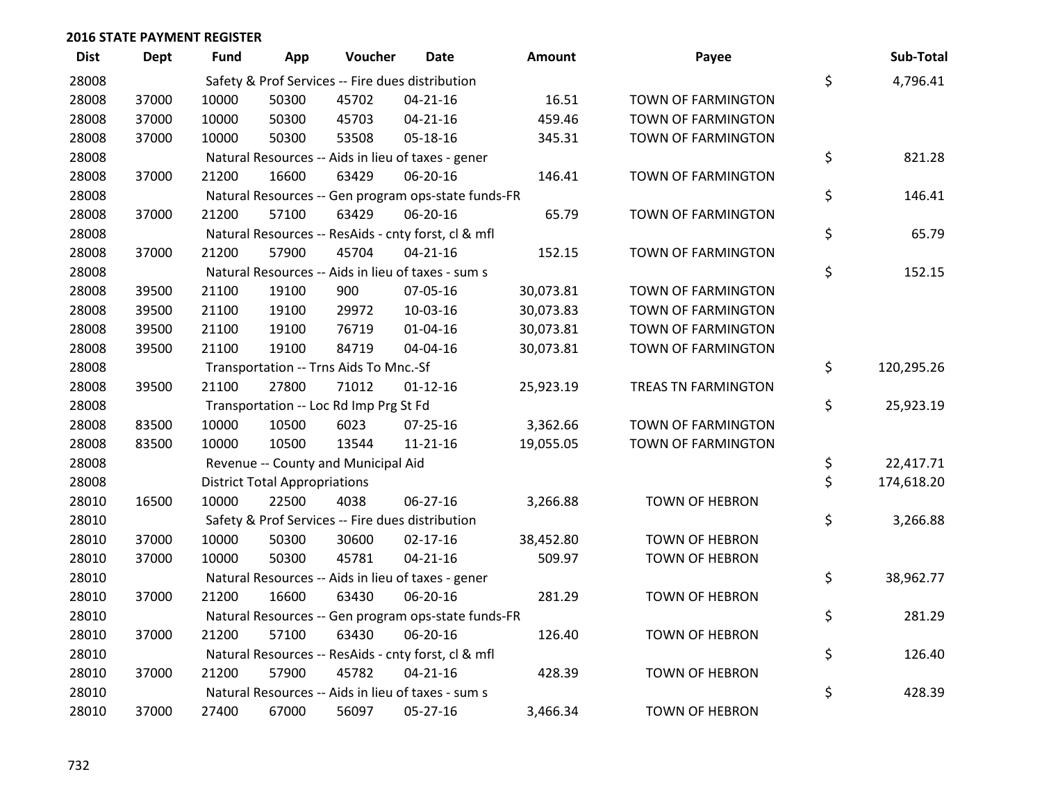| <b>Dist</b> | <b>Dept</b> | Fund  | App                                  | Voucher                                | <b>Date</b>                                         | <b>Amount</b> | Payee                     | Sub-Total        |
|-------------|-------------|-------|--------------------------------------|----------------------------------------|-----------------------------------------------------|---------------|---------------------------|------------------|
| 28008       |             |       |                                      |                                        | Safety & Prof Services -- Fire dues distribution    |               |                           | \$<br>4,796.41   |
| 28008       | 37000       | 10000 | 50300                                | 45702                                  | $04 - 21 - 16$                                      | 16.51         | TOWN OF FARMINGTON        |                  |
| 28008       | 37000       | 10000 | 50300                                | 45703                                  | $04 - 21 - 16$                                      | 459.46        | TOWN OF FARMINGTON        |                  |
| 28008       | 37000       | 10000 | 50300                                | 53508                                  | 05-18-16                                            | 345.31        | TOWN OF FARMINGTON        |                  |
| 28008       |             |       |                                      |                                        | Natural Resources -- Aids in lieu of taxes - gener  |               |                           | \$<br>821.28     |
| 28008       | 37000       | 21200 | 16600                                | 63429                                  | 06-20-16                                            | 146.41        | TOWN OF FARMINGTON        |                  |
| 28008       |             |       |                                      |                                        | Natural Resources -- Gen program ops-state funds-FR |               |                           | \$<br>146.41     |
| 28008       | 37000       | 21200 | 57100                                | 63429                                  | 06-20-16                                            | 65.79         | TOWN OF FARMINGTON        |                  |
| 28008       |             |       |                                      |                                        | Natural Resources -- ResAids - cnty forst, cl & mfl |               |                           | \$<br>65.79      |
| 28008       | 37000       | 21200 | 57900                                | 45704                                  | $04 - 21 - 16$                                      | 152.15        | TOWN OF FARMINGTON        |                  |
| 28008       |             |       |                                      |                                        | Natural Resources -- Aids in lieu of taxes - sum s  |               |                           | \$<br>152.15     |
| 28008       | 39500       | 21100 | 19100                                | 900                                    | 07-05-16                                            | 30,073.81     | TOWN OF FARMINGTON        |                  |
| 28008       | 39500       | 21100 | 19100                                | 29972                                  | 10-03-16                                            | 30,073.83     | <b>TOWN OF FARMINGTON</b> |                  |
| 28008       | 39500       | 21100 | 19100                                | 76719                                  | $01 - 04 - 16$                                      | 30,073.81     | TOWN OF FARMINGTON        |                  |
| 28008       | 39500       | 21100 | 19100                                | 84719                                  | 04-04-16                                            | 30,073.81     | TOWN OF FARMINGTON        |                  |
| 28008       |             |       |                                      | Transportation -- Trns Aids To Mnc.-Sf |                                                     |               |                           | \$<br>120,295.26 |
| 28008       | 39500       | 21100 | 27800                                | 71012                                  | $01 - 12 - 16$                                      | 25,923.19     | TREAS TN FARMINGTON       |                  |
| 28008       |             |       |                                      | Transportation -- Loc Rd Imp Prg St Fd |                                                     |               |                           | \$<br>25,923.19  |
| 28008       | 83500       | 10000 | 10500                                | 6023                                   | $07 - 25 - 16$                                      | 3,362.66      | TOWN OF FARMINGTON        |                  |
| 28008       | 83500       | 10000 | 10500                                | 13544                                  | $11 - 21 - 16$                                      | 19,055.05     | TOWN OF FARMINGTON        |                  |
| 28008       |             |       |                                      | Revenue -- County and Municipal Aid    |                                                     |               |                           | \$<br>22,417.71  |
| 28008       |             |       | <b>District Total Appropriations</b> |                                        |                                                     |               |                           | \$<br>174,618.20 |
| 28010       | 16500       | 10000 | 22500                                | 4038                                   | 06-27-16                                            | 3,266.88      | TOWN OF HEBRON            |                  |
| 28010       |             |       |                                      |                                        | Safety & Prof Services -- Fire dues distribution    |               |                           | \$<br>3,266.88   |
| 28010       | 37000       | 10000 | 50300                                | 30600                                  | $02 - 17 - 16$                                      | 38,452.80     | <b>TOWN OF HEBRON</b>     |                  |
| 28010       | 37000       | 10000 | 50300                                | 45781                                  | $04 - 21 - 16$                                      | 509.97        | <b>TOWN OF HEBRON</b>     |                  |
| 28010       |             |       |                                      |                                        | Natural Resources -- Aids in lieu of taxes - gener  |               |                           | \$<br>38,962.77  |
| 28010       | 37000       | 21200 | 16600                                | 63430                                  | 06-20-16                                            | 281.29        | <b>TOWN OF HEBRON</b>     |                  |
| 28010       |             |       |                                      |                                        | Natural Resources -- Gen program ops-state funds-FR |               |                           | \$<br>281.29     |
| 28010       | 37000       | 21200 | 57100                                | 63430                                  | 06-20-16                                            | 126.40        | <b>TOWN OF HEBRON</b>     |                  |
| 28010       |             |       |                                      |                                        | Natural Resources -- ResAids - cnty forst, cl & mfl |               |                           | \$<br>126.40     |
| 28010       | 37000       | 21200 | 57900                                | 45782                                  | $04 - 21 - 16$                                      | 428.39        | <b>TOWN OF HEBRON</b>     |                  |
| 28010       |             |       |                                      |                                        | Natural Resources -- Aids in lieu of taxes - sum s  |               |                           | \$<br>428.39     |
| 28010       | 37000       | 27400 | 67000                                | 56097                                  | 05-27-16                                            | 3,466.34      | <b>TOWN OF HEBRON</b>     |                  |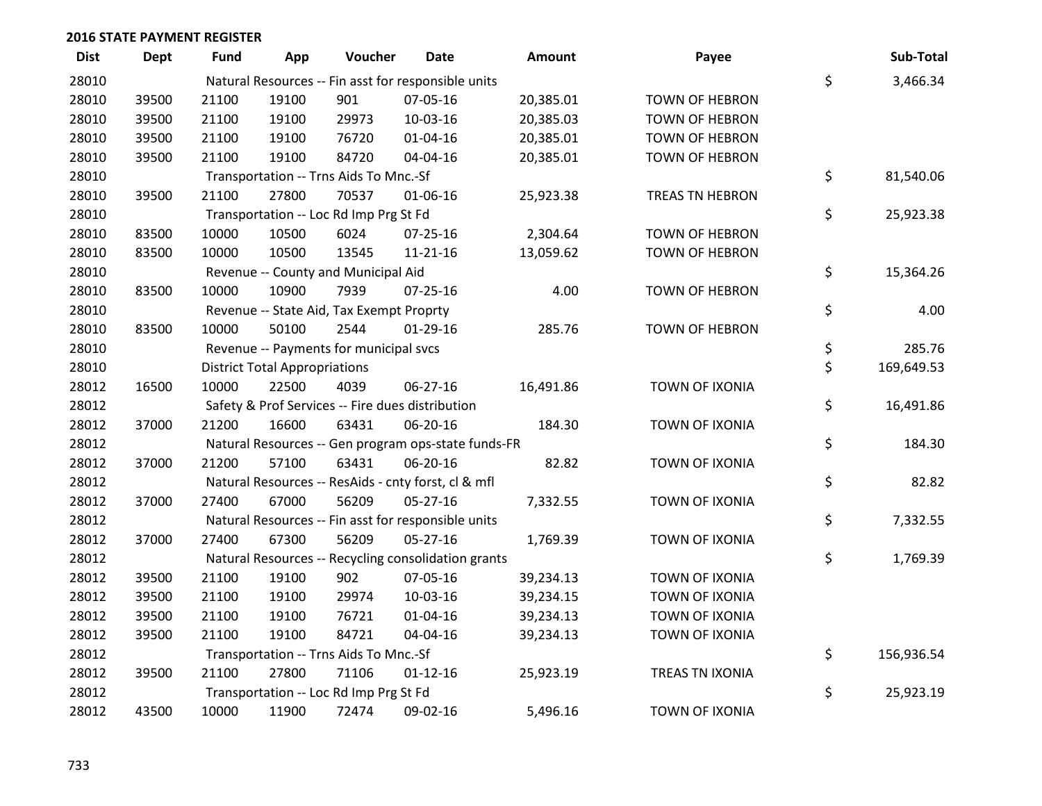| <b>Dist</b> | Dept  | <b>Fund</b> | App                                  | Voucher                                  | <b>Date</b>                                         | <b>Amount</b> | Payee                  | Sub-Total        |
|-------------|-------|-------------|--------------------------------------|------------------------------------------|-----------------------------------------------------|---------------|------------------------|------------------|
| 28010       |       |             |                                      |                                          | Natural Resources -- Fin asst for responsible units |               |                        | \$<br>3,466.34   |
| 28010       | 39500 | 21100       | 19100                                | 901                                      | 07-05-16                                            | 20,385.01     | <b>TOWN OF HEBRON</b>  |                  |
| 28010       | 39500 | 21100       | 19100                                | 29973                                    | 10-03-16                                            | 20,385.03     | <b>TOWN OF HEBRON</b>  |                  |
| 28010       | 39500 | 21100       | 19100                                | 76720                                    | $01 - 04 - 16$                                      | 20,385.01     | <b>TOWN OF HEBRON</b>  |                  |
| 28010       | 39500 | 21100       | 19100                                | 84720                                    | 04-04-16                                            | 20,385.01     | <b>TOWN OF HEBRON</b>  |                  |
| 28010       |       |             |                                      | Transportation -- Trns Aids To Mnc.-Sf   |                                                     |               |                        | \$<br>81,540.06  |
| 28010       | 39500 | 21100       | 27800                                | 70537                                    | 01-06-16                                            | 25,923.38     | <b>TREAS TN HEBRON</b> |                  |
| 28010       |       |             |                                      | Transportation -- Loc Rd Imp Prg St Fd   |                                                     |               |                        | \$<br>25,923.38  |
| 28010       | 83500 | 10000       | 10500                                | 6024                                     | $07 - 25 - 16$                                      | 2,304.64      | <b>TOWN OF HEBRON</b>  |                  |
| 28010       | 83500 | 10000       | 10500                                | 13545                                    | 11-21-16                                            | 13,059.62     | <b>TOWN OF HEBRON</b>  |                  |
| 28010       |       |             |                                      | Revenue -- County and Municipal Aid      |                                                     |               |                        | \$<br>15,364.26  |
| 28010       | 83500 | 10000       | 10900                                | 7939                                     | $07 - 25 - 16$                                      | 4.00          | <b>TOWN OF HEBRON</b>  |                  |
| 28010       |       |             |                                      | Revenue -- State Aid, Tax Exempt Proprty |                                                     |               |                        | \$<br>4.00       |
| 28010       | 83500 | 10000       | 50100                                | 2544                                     | $01-29-16$                                          | 285.76        | <b>TOWN OF HEBRON</b>  |                  |
| 28010       |       |             |                                      | Revenue -- Payments for municipal svcs   |                                                     |               |                        | \$<br>285.76     |
| 28010       |       |             | <b>District Total Appropriations</b> |                                          |                                                     |               |                        | \$<br>169,649.53 |
| 28012       | 16500 | 10000       | 22500                                | 4039                                     | $06 - 27 - 16$                                      | 16,491.86     | <b>TOWN OF IXONIA</b>  |                  |
| 28012       |       |             |                                      |                                          | Safety & Prof Services -- Fire dues distribution    |               |                        | \$<br>16,491.86  |
| 28012       | 37000 | 21200       | 16600                                | 63431                                    | 06-20-16                                            | 184.30        | <b>TOWN OF IXONIA</b>  |                  |
| 28012       |       |             |                                      |                                          | Natural Resources -- Gen program ops-state funds-FR |               |                        | \$<br>184.30     |
| 28012       | 37000 | 21200       | 57100                                | 63431                                    | 06-20-16                                            | 82.82         | TOWN OF IXONIA         |                  |
| 28012       |       |             |                                      |                                          | Natural Resources -- ResAids - cnty forst, cl & mfl |               |                        | \$<br>82.82      |
| 28012       | 37000 | 27400       | 67000                                | 56209                                    | $05-27-16$                                          | 7,332.55      | <b>TOWN OF IXONIA</b>  |                  |
| 28012       |       |             |                                      |                                          | Natural Resources -- Fin asst for responsible units |               |                        | \$<br>7,332.55   |
| 28012       | 37000 | 27400       | 67300                                | 56209                                    | 05-27-16                                            | 1,769.39      | TOWN OF IXONIA         |                  |
| 28012       |       |             |                                      |                                          | Natural Resources -- Recycling consolidation grants |               |                        | \$<br>1,769.39   |
| 28012       | 39500 | 21100       | 19100                                | 902                                      | 07-05-16                                            | 39,234.13     | <b>TOWN OF IXONIA</b>  |                  |
| 28012       | 39500 | 21100       | 19100                                | 29974                                    | 10-03-16                                            | 39,234.15     | TOWN OF IXONIA         |                  |
| 28012       | 39500 | 21100       | 19100                                | 76721                                    | 01-04-16                                            | 39,234.13     | TOWN OF IXONIA         |                  |
| 28012       | 39500 | 21100       | 19100                                | 84721                                    | 04-04-16                                            | 39,234.13     | TOWN OF IXONIA         |                  |
| 28012       |       |             |                                      | Transportation -- Trns Aids To Mnc.-Sf   |                                                     |               |                        | \$<br>156,936.54 |
| 28012       | 39500 | 21100       | 27800                                | 71106                                    | $01 - 12 - 16$                                      | 25,923.19     | <b>TREAS TN IXONIA</b> |                  |
| 28012       |       |             |                                      | Transportation -- Loc Rd Imp Prg St Fd   |                                                     |               |                        | \$<br>25,923.19  |
| 28012       | 43500 | 10000       | 11900                                | 72474                                    | 09-02-16                                            | 5,496.16      | <b>TOWN OF IXONIA</b>  |                  |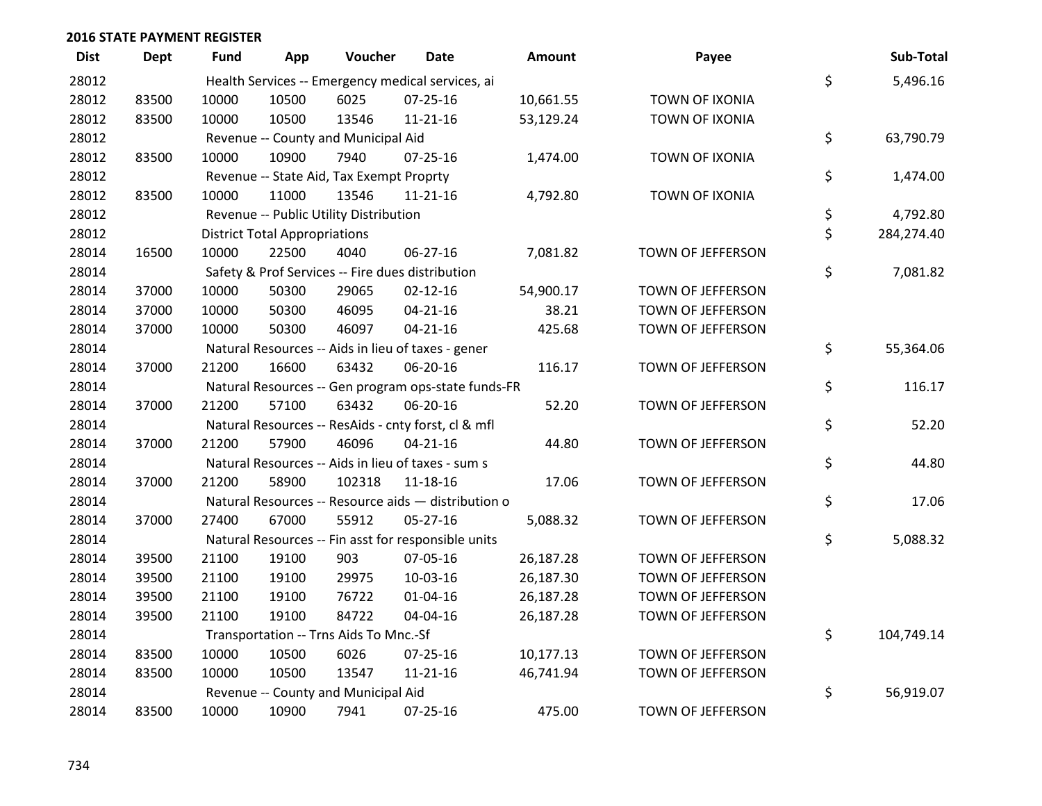| <b>Dist</b> | Dept  | <b>Fund</b> | App                                  | Voucher                                  | <b>Date</b>                                         | <b>Amount</b> | Payee                 | Sub-Total        |
|-------------|-------|-------------|--------------------------------------|------------------------------------------|-----------------------------------------------------|---------------|-----------------------|------------------|
| 28012       |       |             |                                      |                                          | Health Services -- Emergency medical services, ai   |               |                       | \$<br>5,496.16   |
| 28012       | 83500 | 10000       | 10500                                | 6025                                     | $07 - 25 - 16$                                      | 10,661.55     | TOWN OF IXONIA        |                  |
| 28012       | 83500 | 10000       | 10500                                | 13546                                    | $11 - 21 - 16$                                      | 53,129.24     | <b>TOWN OF IXONIA</b> |                  |
| 28012       |       |             |                                      | Revenue -- County and Municipal Aid      |                                                     |               |                       | \$<br>63,790.79  |
| 28012       | 83500 | 10000       | 10900                                | 7940                                     | $07 - 25 - 16$                                      | 1,474.00      | TOWN OF IXONIA        |                  |
| 28012       |       |             |                                      | Revenue -- State Aid, Tax Exempt Proprty |                                                     |               |                       | \$<br>1,474.00   |
| 28012       | 83500 | 10000       | 11000                                | 13546                                    | $11 - 21 - 16$                                      | 4,792.80      | <b>TOWN OF IXONIA</b> |                  |
| 28012       |       |             |                                      | Revenue -- Public Utility Distribution   |                                                     |               |                       | \$<br>4,792.80   |
| 28012       |       |             | <b>District Total Appropriations</b> |                                          |                                                     |               |                       | \$<br>284,274.40 |
| 28014       | 16500 | 10000       | 22500                                | 4040                                     | 06-27-16                                            | 7,081.82      | TOWN OF JEFFERSON     |                  |
| 28014       |       |             |                                      |                                          | Safety & Prof Services -- Fire dues distribution    |               |                       | \$<br>7,081.82   |
| 28014       | 37000 | 10000       | 50300                                | 29065                                    | $02 - 12 - 16$                                      | 54,900.17     | TOWN OF JEFFERSON     |                  |
| 28014       | 37000 | 10000       | 50300                                | 46095                                    | $04 - 21 - 16$                                      | 38.21         | TOWN OF JEFFERSON     |                  |
| 28014       | 37000 | 10000       | 50300                                | 46097                                    | $04 - 21 - 16$                                      | 425.68        | TOWN OF JEFFERSON     |                  |
| 28014       |       |             |                                      |                                          | Natural Resources -- Aids in lieu of taxes - gener  |               |                       | \$<br>55,364.06  |
| 28014       | 37000 | 21200       | 16600                                | 63432                                    | 06-20-16                                            | 116.17        | TOWN OF JEFFERSON     |                  |
| 28014       |       |             |                                      |                                          | Natural Resources -- Gen program ops-state funds-FR |               |                       | \$<br>116.17     |
| 28014       | 37000 | 21200       | 57100                                | 63432                                    | 06-20-16                                            | 52.20         | TOWN OF JEFFERSON     |                  |
| 28014       |       |             |                                      |                                          | Natural Resources -- ResAids - cnty forst, cl & mfl |               |                       | \$<br>52.20      |
| 28014       | 37000 | 21200       | 57900                                | 46096                                    | $04 - 21 - 16$                                      | 44.80         | TOWN OF JEFFERSON     |                  |
| 28014       |       |             |                                      |                                          | Natural Resources -- Aids in lieu of taxes - sum s  |               |                       | \$<br>44.80      |
| 28014       | 37000 | 21200       | 58900                                | 102318                                   | $11 - 18 - 16$                                      | 17.06         | TOWN OF JEFFERSON     |                  |
| 28014       |       |             |                                      |                                          | Natural Resources -- Resource aids - distribution o |               |                       | \$<br>17.06      |
| 28014       | 37000 | 27400       | 67000                                | 55912                                    | $05 - 27 - 16$                                      | 5,088.32      | TOWN OF JEFFERSON     |                  |
| 28014       |       |             |                                      |                                          | Natural Resources -- Fin asst for responsible units |               |                       | \$<br>5,088.32   |
| 28014       | 39500 | 21100       | 19100                                | 903                                      | 07-05-16                                            | 26,187.28     | TOWN OF JEFFERSON     |                  |
| 28014       | 39500 | 21100       | 19100                                | 29975                                    | 10-03-16                                            | 26,187.30     | TOWN OF JEFFERSON     |                  |
| 28014       | 39500 | 21100       | 19100                                | 76722                                    | $01 - 04 - 16$                                      | 26,187.28     | TOWN OF JEFFERSON     |                  |
| 28014       | 39500 | 21100       | 19100                                | 84722                                    | 04-04-16                                            | 26,187.28     | TOWN OF JEFFERSON     |                  |
| 28014       |       |             |                                      | Transportation -- Trns Aids To Mnc.-Sf   |                                                     |               |                       | \$<br>104,749.14 |
| 28014       | 83500 | 10000       | 10500                                | 6026                                     | $07 - 25 - 16$                                      | 10,177.13     | TOWN OF JEFFERSON     |                  |
| 28014       | 83500 | 10000       | 10500                                | 13547                                    | 11-21-16                                            | 46,741.94     | TOWN OF JEFFERSON     |                  |
| 28014       |       |             |                                      | Revenue -- County and Municipal Aid      |                                                     |               |                       | \$<br>56,919.07  |
| 28014       | 83500 | 10000       | 10900                                | 7941                                     | $07 - 25 - 16$                                      | 475.00        | TOWN OF JEFFERSON     |                  |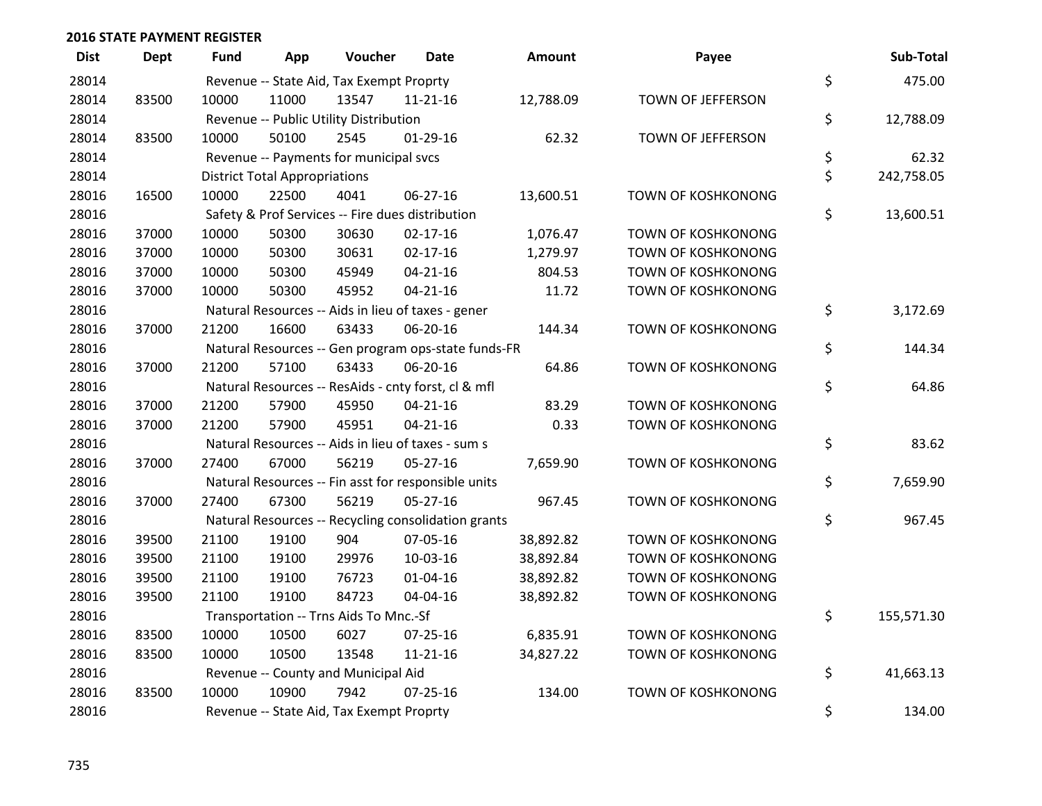| <b>Dist</b> | <b>Dept</b> | Fund  | App                                  | Voucher                                  | Date                                                | Amount    | Payee                     | Sub-Total        |
|-------------|-------------|-------|--------------------------------------|------------------------------------------|-----------------------------------------------------|-----------|---------------------------|------------------|
| 28014       |             |       |                                      | Revenue -- State Aid, Tax Exempt Proprty |                                                     |           |                           | \$<br>475.00     |
| 28014       | 83500       | 10000 | 11000                                | 13547                                    | $11 - 21 - 16$                                      | 12,788.09 | TOWN OF JEFFERSON         |                  |
| 28014       |             |       |                                      | Revenue -- Public Utility Distribution   |                                                     |           |                           | \$<br>12,788.09  |
| 28014       | 83500       | 10000 | 50100                                | 2545                                     | $01-29-16$                                          | 62.32     | TOWN OF JEFFERSON         |                  |
| 28014       |             |       |                                      | Revenue -- Payments for municipal svcs   |                                                     |           |                           | \$<br>62.32      |
| 28014       |             |       | <b>District Total Appropriations</b> |                                          |                                                     |           |                           | \$<br>242,758.05 |
| 28016       | 16500       | 10000 | 22500                                | 4041                                     | $06 - 27 - 16$                                      | 13,600.51 | TOWN OF KOSHKONONG        |                  |
| 28016       |             |       |                                      |                                          | Safety & Prof Services -- Fire dues distribution    |           |                           | \$<br>13,600.51  |
| 28016       | 37000       | 10000 | 50300                                | 30630                                    | $02 - 17 - 16$                                      | 1,076.47  | <b>TOWN OF KOSHKONONG</b> |                  |
| 28016       | 37000       | 10000 | 50300                                | 30631                                    | $02 - 17 - 16$                                      | 1,279.97  | <b>TOWN OF KOSHKONONG</b> |                  |
| 28016       | 37000       | 10000 | 50300                                | 45949                                    | $04 - 21 - 16$                                      | 804.53    | TOWN OF KOSHKONONG        |                  |
| 28016       | 37000       | 10000 | 50300                                | 45952                                    | $04 - 21 - 16$                                      | 11.72     | TOWN OF KOSHKONONG        |                  |
| 28016       |             |       |                                      |                                          | Natural Resources -- Aids in lieu of taxes - gener  |           |                           | \$<br>3,172.69   |
| 28016       | 37000       | 21200 | 16600                                | 63433                                    | 06-20-16                                            | 144.34    | TOWN OF KOSHKONONG        |                  |
| 28016       |             |       |                                      |                                          | Natural Resources -- Gen program ops-state funds-FR |           |                           | \$<br>144.34     |
| 28016       | 37000       | 21200 | 57100                                | 63433                                    | 06-20-16                                            | 64.86     | TOWN OF KOSHKONONG        |                  |
| 28016       |             |       |                                      |                                          | Natural Resources -- ResAids - cnty forst, cl & mfl |           |                           | \$<br>64.86      |
| 28016       | 37000       | 21200 | 57900                                | 45950                                    | $04 - 21 - 16$                                      | 83.29     | TOWN OF KOSHKONONG        |                  |
| 28016       | 37000       | 21200 | 57900                                | 45951                                    | $04 - 21 - 16$                                      | 0.33      | TOWN OF KOSHKONONG        |                  |
| 28016       |             |       |                                      |                                          | Natural Resources -- Aids in lieu of taxes - sum s  |           |                           | \$<br>83.62      |
| 28016       | 37000       | 27400 | 67000                                | 56219                                    | $05 - 27 - 16$                                      | 7,659.90  | TOWN OF KOSHKONONG        |                  |
| 28016       |             |       |                                      |                                          | Natural Resources -- Fin asst for responsible units |           |                           | \$<br>7,659.90   |
| 28016       | 37000       | 27400 | 67300                                | 56219                                    | $05 - 27 - 16$                                      | 967.45    | TOWN OF KOSHKONONG        |                  |
| 28016       |             |       |                                      |                                          | Natural Resources -- Recycling consolidation grants |           |                           | \$<br>967.45     |
| 28016       | 39500       | 21100 | 19100                                | 904                                      | 07-05-16                                            | 38,892.82 | TOWN OF KOSHKONONG        |                  |
| 28016       | 39500       | 21100 | 19100                                | 29976                                    | 10-03-16                                            | 38,892.84 | TOWN OF KOSHKONONG        |                  |
| 28016       | 39500       | 21100 | 19100                                | 76723                                    | 01-04-16                                            | 38,892.82 | <b>TOWN OF KOSHKONONG</b> |                  |
| 28016       | 39500       | 21100 | 19100                                | 84723                                    | 04-04-16                                            | 38,892.82 | TOWN OF KOSHKONONG        |                  |
| 28016       |             |       |                                      | Transportation -- Trns Aids To Mnc.-Sf   |                                                     |           |                           | \$<br>155,571.30 |
| 28016       | 83500       | 10000 | 10500                                | 6027                                     | $07 - 25 - 16$                                      | 6,835.91  | <b>TOWN OF KOSHKONONG</b> |                  |
| 28016       | 83500       | 10000 | 10500                                | 13548                                    | $11 - 21 - 16$                                      | 34,827.22 | TOWN OF KOSHKONONG        |                  |
| 28016       |             |       |                                      | Revenue -- County and Municipal Aid      |                                                     |           |                           | \$<br>41,663.13  |
| 28016       | 83500       | 10000 | 10900                                | 7942                                     | $07 - 25 - 16$                                      | 134.00    | TOWN OF KOSHKONONG        |                  |
| 28016       |             |       |                                      | Revenue -- State Aid, Tax Exempt Proprty |                                                     |           |                           | \$<br>134.00     |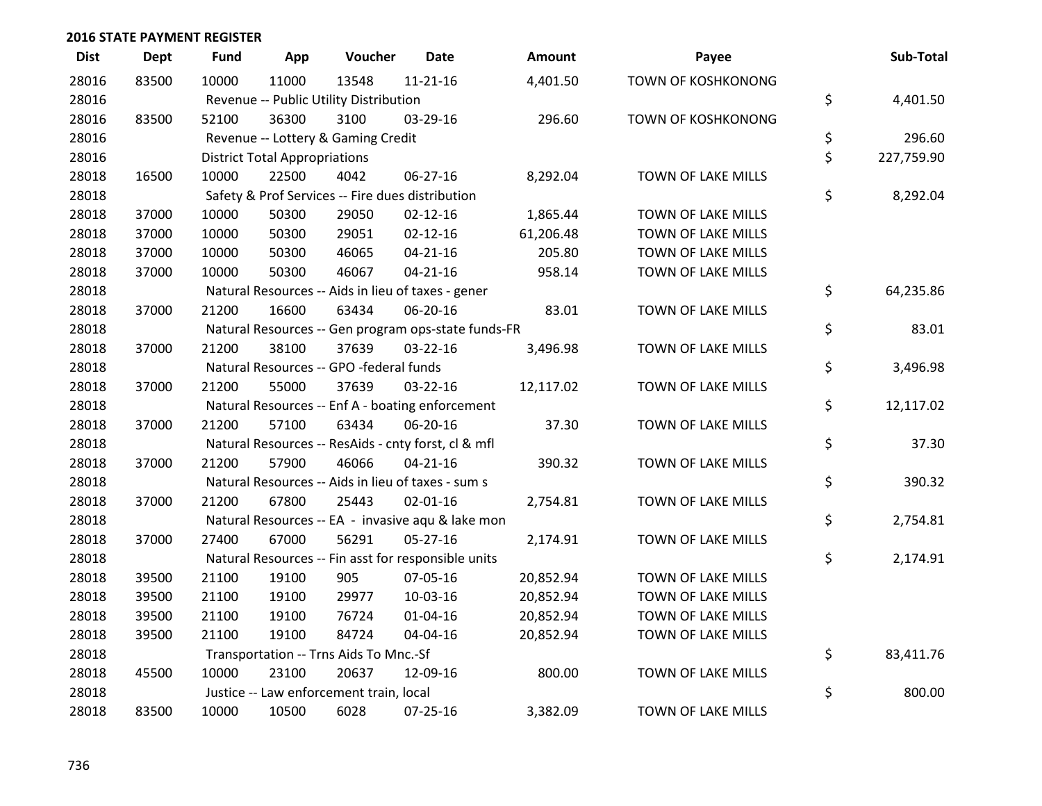| <b>Dist</b> | <b>Dept</b> | <b>Fund</b> | App                                  | Voucher                                 | <b>Date</b>                                         | Amount    | Payee                     | Sub-Total        |
|-------------|-------------|-------------|--------------------------------------|-----------------------------------------|-----------------------------------------------------|-----------|---------------------------|------------------|
| 28016       | 83500       | 10000       | 11000                                | 13548                                   | $11 - 21 - 16$                                      | 4,401.50  | <b>TOWN OF KOSHKONONG</b> |                  |
| 28016       |             |             |                                      | Revenue -- Public Utility Distribution  |                                                     |           |                           | \$<br>4,401.50   |
| 28016       | 83500       | 52100       | 36300                                | 3100                                    | 03-29-16                                            | 296.60    | TOWN OF KOSHKONONG        |                  |
| 28016       |             |             |                                      | Revenue -- Lottery & Gaming Credit      |                                                     |           |                           | \$<br>296.60     |
| 28016       |             |             | <b>District Total Appropriations</b> |                                         |                                                     |           |                           | \$<br>227,759.90 |
| 28018       | 16500       | 10000       | 22500                                | 4042                                    | 06-27-16                                            | 8,292.04  | TOWN OF LAKE MILLS        |                  |
| 28018       |             |             |                                      |                                         | Safety & Prof Services -- Fire dues distribution    |           |                           | \$<br>8,292.04   |
| 28018       | 37000       | 10000       | 50300                                | 29050                                   | $02 - 12 - 16$                                      | 1,865.44  | TOWN OF LAKE MILLS        |                  |
| 28018       | 37000       | 10000       | 50300                                | 29051                                   | $02 - 12 - 16$                                      | 61,206.48 | TOWN OF LAKE MILLS        |                  |
| 28018       | 37000       | 10000       | 50300                                | 46065                                   | $04 - 21 - 16$                                      | 205.80    | TOWN OF LAKE MILLS        |                  |
| 28018       | 37000       | 10000       | 50300                                | 46067                                   | $04 - 21 - 16$                                      | 958.14    | TOWN OF LAKE MILLS        |                  |
| 28018       |             |             |                                      |                                         | Natural Resources -- Aids in lieu of taxes - gener  |           |                           | \$<br>64,235.86  |
| 28018       | 37000       | 21200       | 16600                                | 63434                                   | 06-20-16                                            | 83.01     | TOWN OF LAKE MILLS        |                  |
| 28018       |             |             |                                      |                                         | Natural Resources -- Gen program ops-state funds-FR |           |                           | \$<br>83.01      |
| 28018       | 37000       | 21200       | 38100                                | 37639                                   | 03-22-16                                            | 3,496.98  | TOWN OF LAKE MILLS        |                  |
| 28018       |             |             |                                      | Natural Resources -- GPO -federal funds |                                                     |           |                           | \$<br>3,496.98   |
| 28018       | 37000       | 21200       | 55000                                | 37639                                   | 03-22-16                                            | 12,117.02 | TOWN OF LAKE MILLS        |                  |
| 28018       |             |             |                                      |                                         | Natural Resources -- Enf A - boating enforcement    |           |                           | \$<br>12,117.02  |
| 28018       | 37000       | 21200       | 57100                                | 63434                                   | 06-20-16                                            | 37.30     | TOWN OF LAKE MILLS        |                  |
| 28018       |             |             |                                      |                                         | Natural Resources -- ResAids - cnty forst, cl & mfl |           |                           | \$<br>37.30      |
| 28018       | 37000       | 21200       | 57900                                | 46066                                   | $04 - 21 - 16$                                      | 390.32    | TOWN OF LAKE MILLS        |                  |
| 28018       |             |             |                                      |                                         | Natural Resources -- Aids in lieu of taxes - sum s  |           |                           | \$<br>390.32     |
| 28018       | 37000       | 21200       | 67800                                | 25443                                   | $02 - 01 - 16$                                      | 2,754.81  | TOWN OF LAKE MILLS        |                  |
| 28018       |             |             |                                      |                                         | Natural Resources -- EA - invasive aqu & lake mon   |           |                           | \$<br>2,754.81   |
| 28018       | 37000       | 27400       | 67000                                | 56291                                   | $05 - 27 - 16$                                      | 2,174.91  | TOWN OF LAKE MILLS        |                  |
| 28018       |             |             |                                      |                                         | Natural Resources -- Fin asst for responsible units |           |                           | \$<br>2,174.91   |
| 28018       | 39500       | 21100       | 19100                                | 905                                     | 07-05-16                                            | 20,852.94 | TOWN OF LAKE MILLS        |                  |
| 28018       | 39500       | 21100       | 19100                                | 29977                                   | 10-03-16                                            | 20,852.94 | TOWN OF LAKE MILLS        |                  |
| 28018       | 39500       | 21100       | 19100                                | 76724                                   | 01-04-16                                            | 20,852.94 | TOWN OF LAKE MILLS        |                  |
| 28018       | 39500       | 21100       | 19100                                | 84724                                   | 04-04-16                                            | 20,852.94 | TOWN OF LAKE MILLS        |                  |
| 28018       |             |             |                                      | Transportation -- Trns Aids To Mnc.-Sf  |                                                     |           |                           | \$<br>83,411.76  |
| 28018       | 45500       | 10000       | 23100                                | 20637                                   | 12-09-16                                            | 800.00    | TOWN OF LAKE MILLS        |                  |
| 28018       |             |             |                                      | Justice -- Law enforcement train, local |                                                     |           |                           | \$<br>800.00     |
| 28018       | 83500       | 10000       | 10500                                | 6028                                    | 07-25-16                                            | 3,382.09  | TOWN OF LAKE MILLS        |                  |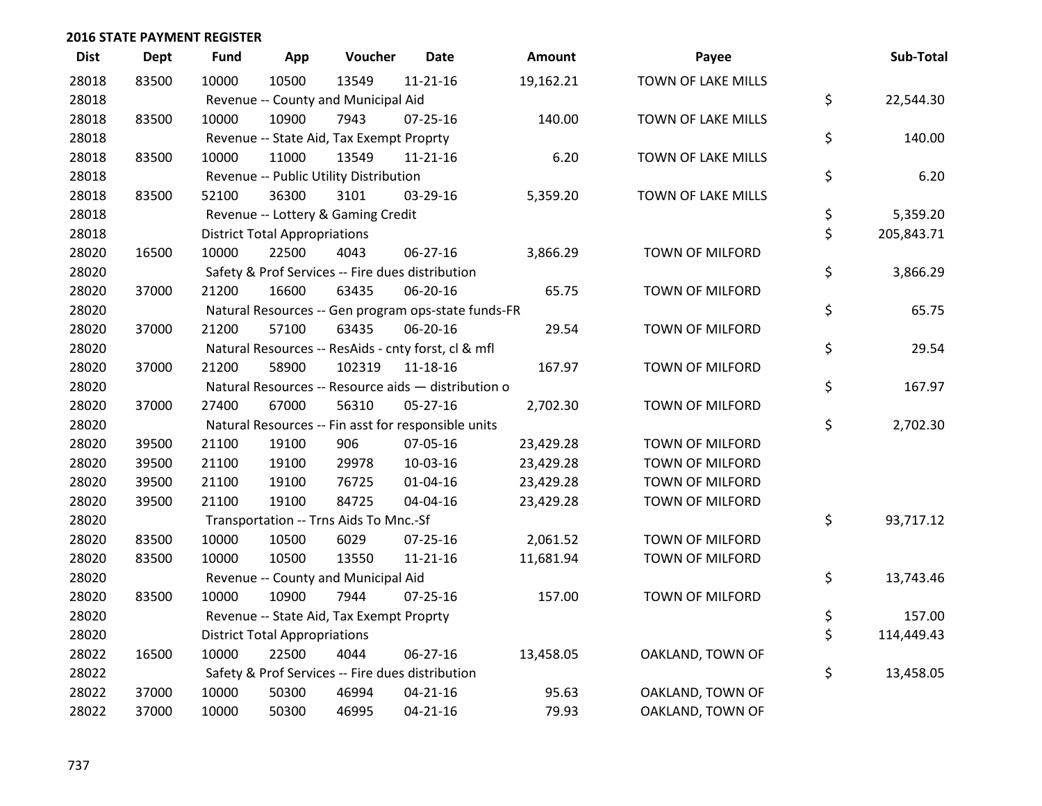| <b>Dist</b> | <b>Dept</b> | <b>Fund</b> | App                                  | Voucher                                  | <b>Date</b>                                         | Amount    | Payee                  | Sub-Total        |
|-------------|-------------|-------------|--------------------------------------|------------------------------------------|-----------------------------------------------------|-----------|------------------------|------------------|
| 28018       | 83500       | 10000       | 10500                                | 13549                                    | $11 - 21 - 16$                                      | 19,162.21 | TOWN OF LAKE MILLS     |                  |
| 28018       |             |             |                                      | Revenue -- County and Municipal Aid      |                                                     |           |                        | \$<br>22,544.30  |
| 28018       | 83500       | 10000       | 10900                                | 7943                                     | $07 - 25 - 16$                                      | 140.00    | TOWN OF LAKE MILLS     |                  |
| 28018       |             |             |                                      | Revenue -- State Aid, Tax Exempt Proprty |                                                     |           |                        | \$<br>140.00     |
| 28018       | 83500       | 10000       | 11000                                | 13549                                    | $11 - 21 - 16$                                      | 6.20      | TOWN OF LAKE MILLS     |                  |
| 28018       |             |             |                                      | Revenue -- Public Utility Distribution   |                                                     |           |                        | \$<br>6.20       |
| 28018       | 83500       | 52100       | 36300                                | 3101                                     | 03-29-16                                            | 5,359.20  | TOWN OF LAKE MILLS     |                  |
| 28018       |             |             |                                      | Revenue -- Lottery & Gaming Credit       |                                                     |           |                        | \$<br>5,359.20   |
| 28018       |             |             | <b>District Total Appropriations</b> |                                          |                                                     |           |                        | \$<br>205,843.71 |
| 28020       | 16500       | 10000       | 22500                                | 4043                                     | 06-27-16                                            | 3,866.29  | TOWN OF MILFORD        |                  |
| 28020       |             |             |                                      |                                          | Safety & Prof Services -- Fire dues distribution    |           |                        | \$<br>3,866.29   |
| 28020       | 37000       | 21200       | 16600                                | 63435                                    | 06-20-16                                            | 65.75     | TOWN OF MILFORD        |                  |
| 28020       |             |             |                                      |                                          | Natural Resources -- Gen program ops-state funds-FR |           |                        | \$<br>65.75      |
| 28020       | 37000       | 21200       | 57100                                | 63435                                    | 06-20-16                                            | 29.54     | <b>TOWN OF MILFORD</b> |                  |
| 28020       |             |             |                                      |                                          | Natural Resources -- ResAids - cnty forst, cl & mfl |           |                        | \$<br>29.54      |
| 28020       | 37000       | 21200       | 58900                                | 102319                                   | 11-18-16                                            | 167.97    | TOWN OF MILFORD        |                  |
| 28020       |             |             |                                      |                                          | Natural Resources -- Resource aids - distribution o |           |                        | \$<br>167.97     |
| 28020       | 37000       | 27400       | 67000                                | 56310                                    | 05-27-16                                            | 2,702.30  | TOWN OF MILFORD        |                  |
| 28020       |             |             |                                      |                                          | Natural Resources -- Fin asst for responsible units |           |                        | \$<br>2,702.30   |
| 28020       | 39500       | 21100       | 19100                                | 906                                      | 07-05-16                                            | 23,429.28 | TOWN OF MILFORD        |                  |
| 28020       | 39500       | 21100       | 19100                                | 29978                                    | 10-03-16                                            | 23,429.28 | TOWN OF MILFORD        |                  |
| 28020       | 39500       | 21100       | 19100                                | 76725                                    | $01 - 04 - 16$                                      | 23,429.28 | TOWN OF MILFORD        |                  |
| 28020       | 39500       | 21100       | 19100                                | 84725                                    | 04-04-16                                            | 23,429.28 | TOWN OF MILFORD        |                  |
| 28020       |             |             |                                      | Transportation -- Trns Aids To Mnc.-Sf   |                                                     |           |                        | \$<br>93,717.12  |
| 28020       | 83500       | 10000       | 10500                                | 6029                                     | $07 - 25 - 16$                                      | 2,061.52  | <b>TOWN OF MILFORD</b> |                  |
| 28020       | 83500       | 10000       | 10500                                | 13550                                    | $11 - 21 - 16$                                      | 11,681.94 | TOWN OF MILFORD        |                  |
| 28020       |             |             |                                      | Revenue -- County and Municipal Aid      |                                                     |           |                        | \$<br>13,743.46  |
| 28020       | 83500       | 10000       | 10900                                | 7944                                     | 07-25-16                                            | 157.00    | TOWN OF MILFORD        |                  |
| 28020       |             |             |                                      | Revenue -- State Aid, Tax Exempt Proprty |                                                     |           |                        | \$<br>157.00     |
| 28020       |             |             | <b>District Total Appropriations</b> |                                          |                                                     |           |                        | \$<br>114,449.43 |
| 28022       | 16500       | 10000       | 22500                                | 4044                                     | $06 - 27 - 16$                                      | 13,458.05 | OAKLAND, TOWN OF       |                  |
| 28022       |             |             |                                      |                                          | Safety & Prof Services -- Fire dues distribution    |           |                        | \$<br>13,458.05  |
| 28022       | 37000       | 10000       | 50300                                | 46994                                    | $04 - 21 - 16$                                      | 95.63     | OAKLAND, TOWN OF       |                  |
| 28022       | 37000       | 10000       | 50300                                | 46995                                    | $04 - 21 - 16$                                      | 79.93     | OAKLAND, TOWN OF       |                  |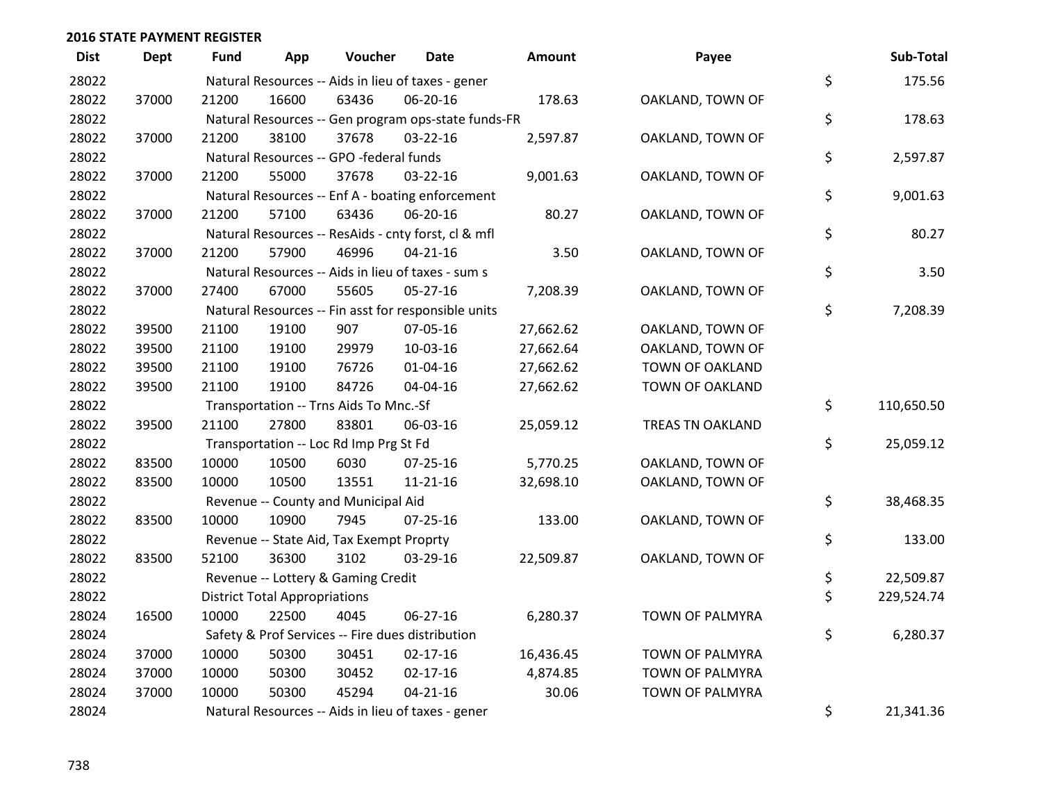| <b>Dist</b> | <b>Dept</b> | <b>Fund</b> | App                                  | Voucher                                             | <b>Date</b>    | Amount    | Payee                   | Sub-Total        |
|-------------|-------------|-------------|--------------------------------------|-----------------------------------------------------|----------------|-----------|-------------------------|------------------|
| 28022       |             |             |                                      | Natural Resources -- Aids in lieu of taxes - gener  |                |           |                         | \$<br>175.56     |
| 28022       | 37000       | 21200       | 16600                                | 63436                                               | 06-20-16       | 178.63    | OAKLAND, TOWN OF        |                  |
| 28022       |             |             |                                      | Natural Resources -- Gen program ops-state funds-FR |                |           |                         | \$<br>178.63     |
| 28022       | 37000       | 21200       | 38100                                | 37678                                               | $03 - 22 - 16$ | 2,597.87  | OAKLAND, TOWN OF        |                  |
| 28022       |             |             |                                      | Natural Resources -- GPO -federal funds             |                |           |                         | \$<br>2,597.87   |
| 28022       | 37000       | 21200       | 55000                                | 37678                                               | 03-22-16       | 9,001.63  | OAKLAND, TOWN OF        |                  |
| 28022       |             |             |                                      | Natural Resources -- Enf A - boating enforcement    |                |           |                         | \$<br>9,001.63   |
| 28022       | 37000       | 21200       | 57100                                | 63436                                               | 06-20-16       | 80.27     | OAKLAND, TOWN OF        |                  |
| 28022       |             |             |                                      | Natural Resources -- ResAids - cnty forst, cl & mfl |                |           |                         | \$<br>80.27      |
| 28022       | 37000       | 21200       | 57900                                | 46996                                               | $04 - 21 - 16$ | 3.50      | OAKLAND, TOWN OF        |                  |
| 28022       |             |             |                                      | Natural Resources -- Aids in lieu of taxes - sum s  |                |           |                         | \$<br>3.50       |
| 28022       | 37000       | 27400       | 67000                                | 55605                                               | 05-27-16       | 7,208.39  | OAKLAND, TOWN OF        |                  |
| 28022       |             |             |                                      | Natural Resources -- Fin asst for responsible units |                |           |                         | \$<br>7,208.39   |
| 28022       | 39500       | 21100       | 19100                                | 907                                                 | 07-05-16       | 27,662.62 | OAKLAND, TOWN OF        |                  |
| 28022       | 39500       | 21100       | 19100                                | 29979                                               | 10-03-16       | 27,662.64 | OAKLAND, TOWN OF        |                  |
| 28022       | 39500       | 21100       | 19100                                | 76726                                               | $01 - 04 - 16$ | 27,662.62 | <b>TOWN OF OAKLAND</b>  |                  |
| 28022       | 39500       | 21100       | 19100                                | 84726                                               | 04-04-16       | 27,662.62 | TOWN OF OAKLAND         |                  |
| 28022       |             |             |                                      | Transportation -- Trns Aids To Mnc.-Sf              |                |           |                         | \$<br>110,650.50 |
| 28022       | 39500       | 21100       | 27800                                | 83801                                               | 06-03-16       | 25,059.12 | <b>TREAS TN OAKLAND</b> |                  |
| 28022       |             |             |                                      | Transportation -- Loc Rd Imp Prg St Fd              |                |           |                         | \$<br>25,059.12  |
| 28022       | 83500       | 10000       | 10500                                | 6030                                                | $07 - 25 - 16$ | 5,770.25  | OAKLAND, TOWN OF        |                  |
| 28022       | 83500       | 10000       | 10500                                | 13551                                               | $11 - 21 - 16$ | 32,698.10 | OAKLAND, TOWN OF        |                  |
| 28022       |             |             |                                      | Revenue -- County and Municipal Aid                 |                |           |                         | \$<br>38,468.35  |
| 28022       | 83500       | 10000       | 10900                                | 7945                                                | $07 - 25 - 16$ | 133.00    | OAKLAND, TOWN OF        |                  |
| 28022       |             |             |                                      | Revenue -- State Aid, Tax Exempt Proprty            |                |           |                         | \$<br>133.00     |
| 28022       | 83500       | 52100       | 36300                                | 3102                                                | 03-29-16       | 22,509.87 | OAKLAND, TOWN OF        |                  |
| 28022       |             |             |                                      | Revenue -- Lottery & Gaming Credit                  |                |           |                         | \$<br>22,509.87  |
| 28022       |             |             | <b>District Total Appropriations</b> |                                                     |                |           |                         | \$<br>229,524.74 |
| 28024       | 16500       | 10000       | 22500                                | 4045                                                | 06-27-16       | 6,280.37  | TOWN OF PALMYRA         |                  |
| 28024       |             |             |                                      | Safety & Prof Services -- Fire dues distribution    |                |           |                         | \$<br>6,280.37   |
| 28024       | 37000       | 10000       | 50300                                | 30451                                               | $02 - 17 - 16$ | 16,436.45 | TOWN OF PALMYRA         |                  |
| 28024       | 37000       | 10000       | 50300                                | 30452                                               | $02 - 17 - 16$ | 4,874.85  | TOWN OF PALMYRA         |                  |
| 28024       | 37000       | 10000       | 50300                                | 45294                                               | $04 - 21 - 16$ | 30.06     | TOWN OF PALMYRA         |                  |
| 28024       |             |             |                                      | Natural Resources -- Aids in lieu of taxes - gener  |                |           |                         | \$<br>21,341.36  |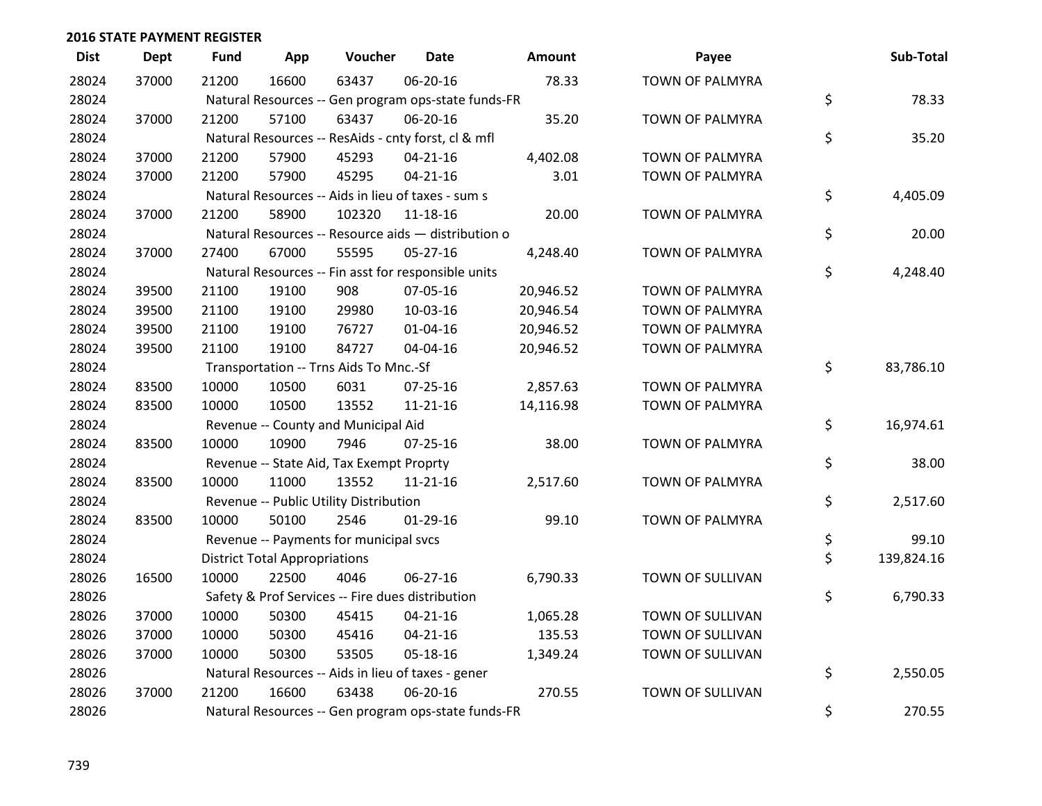| <b>Dist</b> | <b>Dept</b> | <b>Fund</b> | App                                  | Voucher                                  | <b>Date</b>                                         | Amount    | Payee            | Sub-Total        |
|-------------|-------------|-------------|--------------------------------------|------------------------------------------|-----------------------------------------------------|-----------|------------------|------------------|
| 28024       | 37000       | 21200       | 16600                                | 63437                                    | 06-20-16                                            | 78.33     | TOWN OF PALMYRA  |                  |
| 28024       |             |             |                                      |                                          | Natural Resources -- Gen program ops-state funds-FR |           |                  | \$<br>78.33      |
| 28024       | 37000       | 21200       | 57100                                | 63437                                    | 06-20-16                                            | 35.20     | TOWN OF PALMYRA  |                  |
| 28024       |             |             |                                      |                                          | Natural Resources -- ResAids - cnty forst, cl & mfl |           |                  | \$<br>35.20      |
| 28024       | 37000       | 21200       | 57900                                | 45293                                    | $04 - 21 - 16$                                      | 4,402.08  | TOWN OF PALMYRA  |                  |
| 28024       | 37000       | 21200       | 57900                                | 45295                                    | $04 - 21 - 16$                                      | 3.01      | TOWN OF PALMYRA  |                  |
| 28024       |             |             |                                      |                                          | Natural Resources -- Aids in lieu of taxes - sum s  |           |                  | \$<br>4,405.09   |
| 28024       | 37000       | 21200       | 58900                                | 102320                                   | 11-18-16                                            | 20.00     | TOWN OF PALMYRA  |                  |
| 28024       |             |             |                                      |                                          | Natural Resources -- Resource aids - distribution o |           |                  | \$<br>20.00      |
| 28024       | 37000       | 27400       | 67000                                | 55595                                    | $05 - 27 - 16$                                      | 4,248.40  | TOWN OF PALMYRA  |                  |
| 28024       |             |             |                                      |                                          | Natural Resources -- Fin asst for responsible units |           |                  | \$<br>4,248.40   |
| 28024       | 39500       | 21100       | 19100                                | 908                                      | 07-05-16                                            | 20,946.52 | TOWN OF PALMYRA  |                  |
| 28024       | 39500       | 21100       | 19100                                | 29980                                    | 10-03-16                                            | 20,946.54 | TOWN OF PALMYRA  |                  |
| 28024       | 39500       | 21100       | 19100                                | 76727                                    | $01 - 04 - 16$                                      | 20,946.52 | TOWN OF PALMYRA  |                  |
| 28024       | 39500       | 21100       | 19100                                | 84727                                    | 04-04-16                                            | 20,946.52 | TOWN OF PALMYRA  |                  |
| 28024       |             |             |                                      | Transportation -- Trns Aids To Mnc.-Sf   |                                                     |           |                  | \$<br>83,786.10  |
| 28024       | 83500       | 10000       | 10500                                | 6031                                     | 07-25-16                                            | 2,857.63  | TOWN OF PALMYRA  |                  |
| 28024       | 83500       | 10000       | 10500                                | 13552                                    | $11 - 21 - 16$                                      | 14,116.98 | TOWN OF PALMYRA  |                  |
| 28024       |             |             |                                      | Revenue -- County and Municipal Aid      |                                                     |           |                  | \$<br>16,974.61  |
| 28024       | 83500       | 10000       | 10900                                | 7946                                     | $07 - 25 - 16$                                      | 38.00     | TOWN OF PALMYRA  |                  |
| 28024       |             |             |                                      | Revenue -- State Aid, Tax Exempt Proprty |                                                     |           |                  | \$<br>38.00      |
| 28024       | 83500       | 10000       | 11000                                | 13552                                    | $11 - 21 - 16$                                      | 2,517.60  | TOWN OF PALMYRA  |                  |
| 28024       |             |             |                                      | Revenue -- Public Utility Distribution   |                                                     |           |                  | \$<br>2,517.60   |
| 28024       | 83500       | 10000       | 50100                                | 2546                                     | $01-29-16$                                          | 99.10     | TOWN OF PALMYRA  |                  |
| 28024       |             |             |                                      | Revenue -- Payments for municipal svcs   |                                                     |           |                  | \$<br>99.10      |
| 28024       |             |             | <b>District Total Appropriations</b> |                                          |                                                     |           |                  | \$<br>139,824.16 |
| 28026       | 16500       | 10000       | 22500                                | 4046                                     | 06-27-16                                            | 6,790.33  | TOWN OF SULLIVAN |                  |
| 28026       |             |             |                                      |                                          | Safety & Prof Services -- Fire dues distribution    |           |                  | \$<br>6,790.33   |
| 28026       | 37000       | 10000       | 50300                                | 45415                                    | $04 - 21 - 16$                                      | 1,065.28  | TOWN OF SULLIVAN |                  |
| 28026       | 37000       | 10000       | 50300                                | 45416                                    | $04 - 21 - 16$                                      | 135.53    | TOWN OF SULLIVAN |                  |
| 28026       | 37000       | 10000       | 50300                                | 53505                                    | 05-18-16                                            | 1,349.24  | TOWN OF SULLIVAN |                  |
| 28026       |             |             |                                      |                                          | Natural Resources -- Aids in lieu of taxes - gener  |           |                  | \$<br>2,550.05   |
| 28026       | 37000       | 21200       | 16600                                | 63438                                    | 06-20-16                                            | 270.55    | TOWN OF SULLIVAN |                  |
| 28026       |             |             |                                      |                                          | Natural Resources -- Gen program ops-state funds-FR |           |                  | \$<br>270.55     |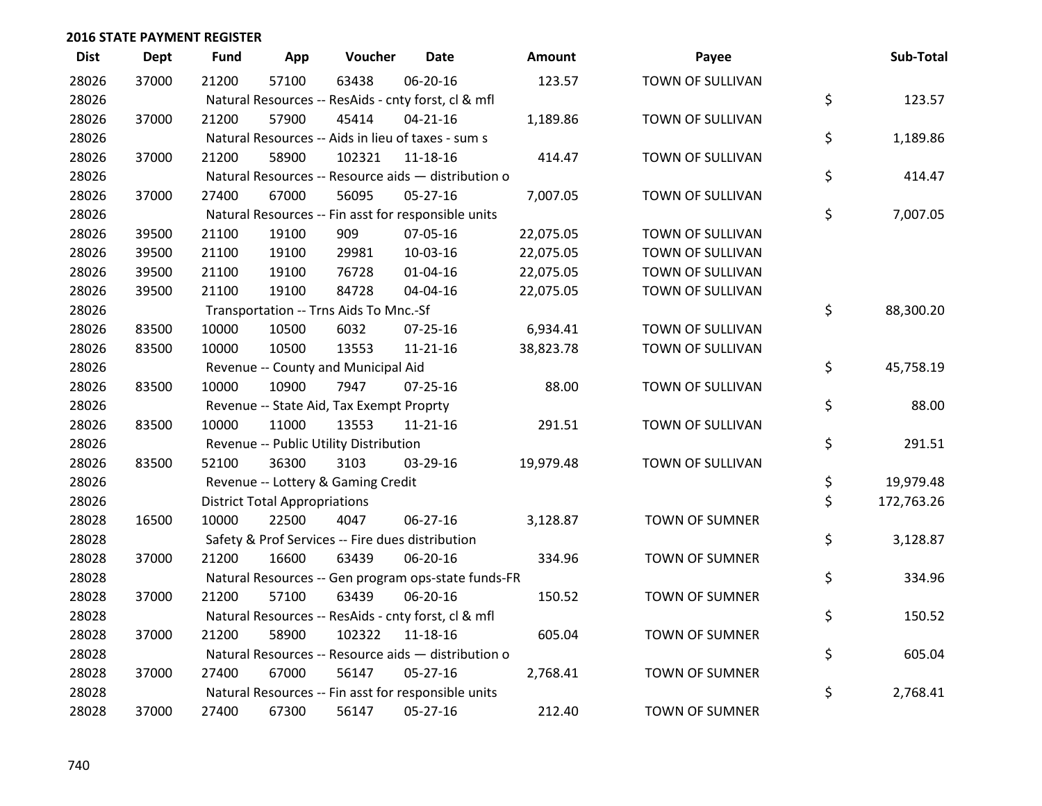| <b>Dist</b> | <b>Dept</b> | <b>Fund</b> | App                                  | Voucher                                             | Date           | <b>Amount</b> | Payee                 | Sub-Total        |
|-------------|-------------|-------------|--------------------------------------|-----------------------------------------------------|----------------|---------------|-----------------------|------------------|
| 28026       | 37000       | 21200       | 57100                                | 63438                                               | 06-20-16       | 123.57        | TOWN OF SULLIVAN      |                  |
| 28026       |             |             |                                      | Natural Resources -- ResAids - cnty forst, cl & mfl |                |               |                       | \$<br>123.57     |
| 28026       | 37000       | 21200       | 57900                                | 45414                                               | $04 - 21 - 16$ | 1,189.86      | TOWN OF SULLIVAN      |                  |
| 28026       |             |             |                                      | Natural Resources -- Aids in lieu of taxes - sum s  |                |               |                       | \$<br>1,189.86   |
| 28026       | 37000       | 21200       | 58900                                | 102321                                              | 11-18-16       | 414.47        | TOWN OF SULLIVAN      |                  |
| 28026       |             |             |                                      | Natural Resources -- Resource aids - distribution o |                |               |                       | \$<br>414.47     |
| 28026       | 37000       | 27400       | 67000                                | 56095                                               | $05 - 27 - 16$ | 7,007.05      | TOWN OF SULLIVAN      |                  |
| 28026       |             |             |                                      | Natural Resources -- Fin asst for responsible units |                |               |                       | \$<br>7,007.05   |
| 28026       | 39500       | 21100       | 19100                                | 909                                                 | 07-05-16       | 22,075.05     | TOWN OF SULLIVAN      |                  |
| 28026       | 39500       | 21100       | 19100                                | 29981                                               | 10-03-16       | 22,075.05     | TOWN OF SULLIVAN      |                  |
| 28026       | 39500       | 21100       | 19100                                | 76728                                               | $01 - 04 - 16$ | 22,075.05     | TOWN OF SULLIVAN      |                  |
| 28026       | 39500       | 21100       | 19100                                | 84728                                               | 04-04-16       | 22,075.05     | TOWN OF SULLIVAN      |                  |
| 28026       |             |             |                                      | Transportation -- Trns Aids To Mnc.-Sf              |                |               |                       | \$<br>88,300.20  |
| 28026       | 83500       | 10000       | 10500                                | 6032                                                | 07-25-16       | 6,934.41      | TOWN OF SULLIVAN      |                  |
| 28026       | 83500       | 10000       | 10500                                | 13553                                               | $11 - 21 - 16$ | 38,823.78     | TOWN OF SULLIVAN      |                  |
| 28026       |             |             |                                      | Revenue -- County and Municipal Aid                 |                |               |                       | \$<br>45,758.19  |
| 28026       | 83500       | 10000       | 10900                                | 7947                                                | $07 - 25 - 16$ | 88.00         | TOWN OF SULLIVAN      |                  |
| 28026       |             |             |                                      | Revenue -- State Aid, Tax Exempt Proprty            |                |               |                       | \$<br>88.00      |
| 28026       | 83500       | 10000       | 11000                                | 13553                                               | 11-21-16       | 291.51        | TOWN OF SULLIVAN      |                  |
| 28026       |             |             |                                      | Revenue -- Public Utility Distribution              |                |               |                       | \$<br>291.51     |
| 28026       | 83500       | 52100       | 36300                                | 3103                                                | 03-29-16       | 19,979.48     | TOWN OF SULLIVAN      |                  |
| 28026       |             |             |                                      | Revenue -- Lottery & Gaming Credit                  |                |               |                       | \$<br>19,979.48  |
| 28026       |             |             | <b>District Total Appropriations</b> |                                                     |                |               |                       | \$<br>172,763.26 |
| 28028       | 16500       | 10000       | 22500                                | 4047                                                | 06-27-16       | 3,128.87      | <b>TOWN OF SUMNER</b> |                  |
| 28028       |             |             |                                      | Safety & Prof Services -- Fire dues distribution    |                |               |                       | \$<br>3,128.87   |
| 28028       | 37000       | 21200       | 16600                                | 63439                                               | 06-20-16       | 334.96        | <b>TOWN OF SUMNER</b> |                  |
| 28028       |             |             |                                      | Natural Resources -- Gen program ops-state funds-FR |                |               |                       | \$<br>334.96     |
| 28028       | 37000       | 21200       | 57100                                | 63439                                               | 06-20-16       | 150.52        | <b>TOWN OF SUMNER</b> |                  |
| 28028       |             |             |                                      | Natural Resources -- ResAids - cnty forst, cl & mfl |                |               |                       | \$<br>150.52     |
| 28028       | 37000       | 21200       | 58900                                | 102322                                              | 11-18-16       | 605.04        | <b>TOWN OF SUMNER</b> |                  |
| 28028       |             |             |                                      | Natural Resources -- Resource aids - distribution o |                |               |                       | \$<br>605.04     |
| 28028       | 37000       | 27400       | 67000                                | 56147                                               | $05 - 27 - 16$ | 2,768.41      | <b>TOWN OF SUMNER</b> |                  |
| 28028       |             |             |                                      | Natural Resources -- Fin asst for responsible units |                |               |                       | \$<br>2,768.41   |
| 28028       | 37000       | 27400       | 67300                                | 56147                                               | 05-27-16       | 212.40        | <b>TOWN OF SUMNER</b> |                  |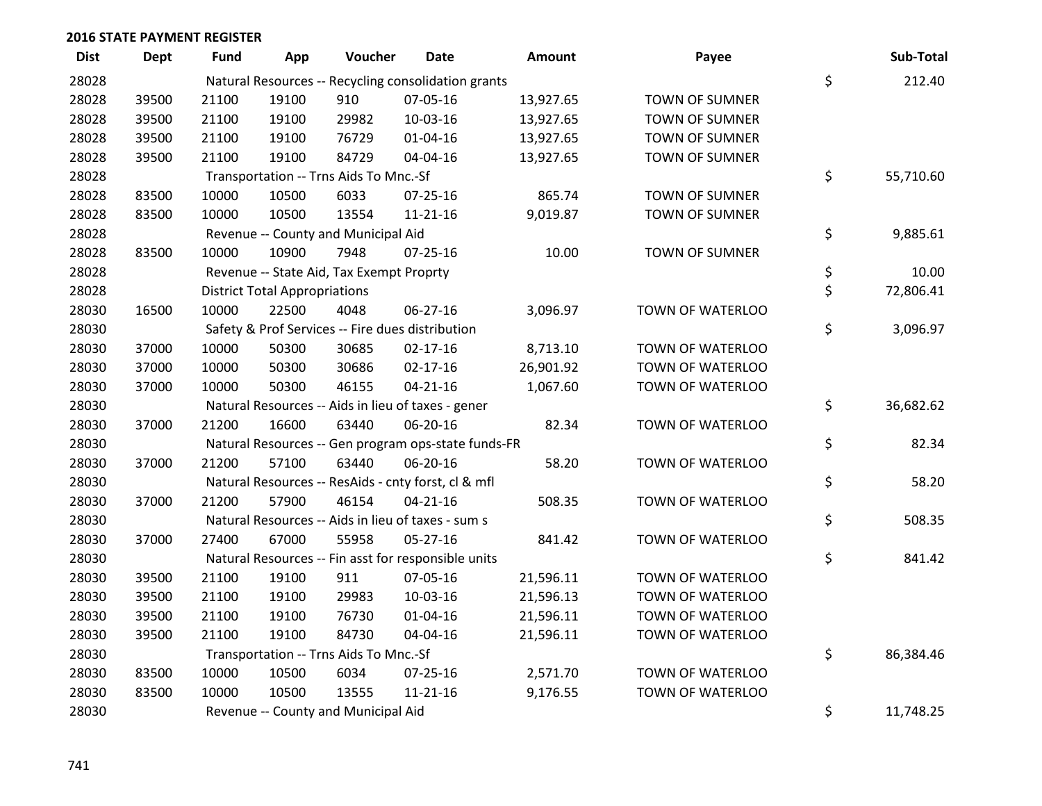| <b>Dist</b> | Dept  | <b>Fund</b> | App                                  | Voucher                                  | Date                                                | Amount    | Payee                 | Sub-Total       |
|-------------|-------|-------------|--------------------------------------|------------------------------------------|-----------------------------------------------------|-----------|-----------------------|-----------------|
| 28028       |       |             |                                      |                                          | Natural Resources -- Recycling consolidation grants |           |                       | \$<br>212.40    |
| 28028       | 39500 | 21100       | 19100                                | 910                                      | 07-05-16                                            | 13,927.65 | TOWN OF SUMNER        |                 |
| 28028       | 39500 | 21100       | 19100                                | 29982                                    | 10-03-16                                            | 13,927.65 | TOWN OF SUMNER        |                 |
| 28028       | 39500 | 21100       | 19100                                | 76729                                    | $01 - 04 - 16$                                      | 13,927.65 | <b>TOWN OF SUMNER</b> |                 |
| 28028       | 39500 | 21100       | 19100                                | 84729                                    | 04-04-16                                            | 13,927.65 | <b>TOWN OF SUMNER</b> |                 |
| 28028       |       |             |                                      | Transportation -- Trns Aids To Mnc.-Sf   |                                                     |           |                       | \$<br>55,710.60 |
| 28028       | 83500 | 10000       | 10500                                | 6033                                     | $07 - 25 - 16$                                      | 865.74    | <b>TOWN OF SUMNER</b> |                 |
| 28028       | 83500 | 10000       | 10500                                | 13554                                    | $11 - 21 - 16$                                      | 9,019.87  | <b>TOWN OF SUMNER</b> |                 |
| 28028       |       |             |                                      | Revenue -- County and Municipal Aid      |                                                     |           |                       | \$<br>9,885.61  |
| 28028       | 83500 | 10000       | 10900                                | 7948                                     | $07 - 25 - 16$                                      | 10.00     | TOWN OF SUMNER        |                 |
| 28028       |       |             |                                      | Revenue -- State Aid, Tax Exempt Proprty |                                                     |           |                       | \$<br>10.00     |
| 28028       |       |             | <b>District Total Appropriations</b> |                                          |                                                     |           |                       | \$<br>72,806.41 |
| 28030       | 16500 | 10000       | 22500                                | 4048                                     | 06-27-16                                            | 3,096.97  | TOWN OF WATERLOO      |                 |
| 28030       |       |             |                                      |                                          | Safety & Prof Services -- Fire dues distribution    |           |                       | \$<br>3,096.97  |
| 28030       | 37000 | 10000       | 50300                                | 30685                                    | $02 - 17 - 16$                                      | 8,713.10  | TOWN OF WATERLOO      |                 |
| 28030       | 37000 | 10000       | 50300                                | 30686                                    | $02 - 17 - 16$                                      | 26,901.92 | TOWN OF WATERLOO      |                 |
| 28030       | 37000 | 10000       | 50300                                | 46155                                    | $04 - 21 - 16$                                      | 1,067.60  | TOWN OF WATERLOO      |                 |
| 28030       |       |             |                                      |                                          | Natural Resources -- Aids in lieu of taxes - gener  |           |                       | \$<br>36,682.62 |
| 28030       | 37000 | 21200       | 16600                                | 63440                                    | 06-20-16                                            | 82.34     | TOWN OF WATERLOO      |                 |
| 28030       |       |             |                                      |                                          | Natural Resources -- Gen program ops-state funds-FR |           |                       | \$<br>82.34     |
| 28030       | 37000 | 21200       | 57100                                | 63440                                    | 06-20-16                                            | 58.20     | TOWN OF WATERLOO      |                 |
| 28030       |       |             |                                      |                                          | Natural Resources -- ResAids - cnty forst, cl & mfl |           |                       | \$<br>58.20     |
| 28030       | 37000 | 21200       | 57900                                | 46154                                    | $04 - 21 - 16$                                      | 508.35    | TOWN OF WATERLOO      |                 |
| 28030       |       |             |                                      |                                          | Natural Resources -- Aids in lieu of taxes - sum s  |           |                       | \$<br>508.35    |
| 28030       | 37000 | 27400       | 67000                                | 55958                                    | $05 - 27 - 16$                                      | 841.42    | TOWN OF WATERLOO      |                 |
| 28030       |       |             |                                      |                                          | Natural Resources -- Fin asst for responsible units |           |                       | \$<br>841.42    |
| 28030       | 39500 | 21100       | 19100                                | 911                                      | 07-05-16                                            | 21,596.11 | TOWN OF WATERLOO      |                 |
| 28030       | 39500 | 21100       | 19100                                | 29983                                    | 10-03-16                                            | 21,596.13 | TOWN OF WATERLOO      |                 |
| 28030       | 39500 | 21100       | 19100                                | 76730                                    | $01 - 04 - 16$                                      | 21,596.11 | TOWN OF WATERLOO      |                 |
| 28030       | 39500 | 21100       | 19100                                | 84730                                    | 04-04-16                                            | 21,596.11 | TOWN OF WATERLOO      |                 |
| 28030       |       |             |                                      | Transportation -- Trns Aids To Mnc.-Sf   |                                                     |           |                       | \$<br>86,384.46 |
| 28030       | 83500 | 10000       | 10500                                | 6034                                     | 07-25-16                                            | 2,571.70  | TOWN OF WATERLOO      |                 |
| 28030       | 83500 | 10000       | 10500                                | 13555                                    | $11 - 21 - 16$                                      | 9,176.55  | TOWN OF WATERLOO      |                 |
| 28030       |       |             |                                      | Revenue -- County and Municipal Aid      |                                                     |           |                       | \$<br>11,748.25 |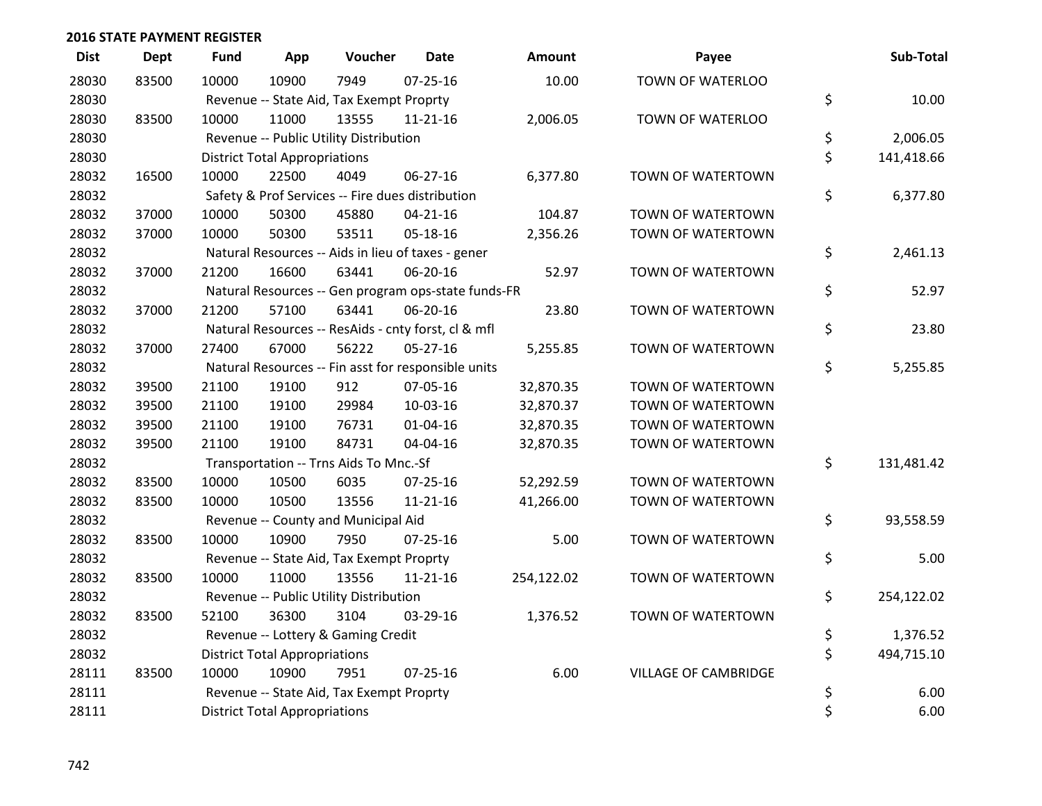| <b>Dist</b> | <b>Dept</b> | <b>Fund</b> | App                                  | Voucher                                  | <b>Date</b>                                         | <b>Amount</b> | Payee                       | Sub-Total        |
|-------------|-------------|-------------|--------------------------------------|------------------------------------------|-----------------------------------------------------|---------------|-----------------------------|------------------|
| 28030       | 83500       | 10000       | 10900                                | 7949                                     | $07 - 25 - 16$                                      | 10.00         | TOWN OF WATERLOO            |                  |
| 28030       |             |             |                                      | Revenue -- State Aid, Tax Exempt Proprty |                                                     |               |                             | \$<br>10.00      |
| 28030       | 83500       | 10000       | 11000                                | 13555                                    | $11 - 21 - 16$                                      | 2,006.05      | TOWN OF WATERLOO            |                  |
| 28030       |             |             |                                      | Revenue -- Public Utility Distribution   |                                                     |               |                             | \$<br>2,006.05   |
| 28030       |             |             | <b>District Total Appropriations</b> |                                          |                                                     |               |                             | \$<br>141,418.66 |
| 28032       | 16500       | 10000       | 22500                                | 4049                                     | 06-27-16                                            | 6,377.80      | TOWN OF WATERTOWN           |                  |
| 28032       |             |             |                                      |                                          | Safety & Prof Services -- Fire dues distribution    |               |                             | \$<br>6,377.80   |
| 28032       | 37000       | 10000       | 50300                                | 45880                                    | $04 - 21 - 16$                                      | 104.87        | TOWN OF WATERTOWN           |                  |
| 28032       | 37000       | 10000       | 50300                                | 53511                                    | 05-18-16                                            | 2,356.26      | TOWN OF WATERTOWN           |                  |
| 28032       |             |             |                                      |                                          | Natural Resources -- Aids in lieu of taxes - gener  |               |                             | \$<br>2,461.13   |
| 28032       | 37000       | 21200       | 16600                                | 63441                                    | 06-20-16                                            | 52.97         | TOWN OF WATERTOWN           |                  |
| 28032       |             |             |                                      |                                          | Natural Resources -- Gen program ops-state funds-FR |               |                             | \$<br>52.97      |
| 28032       | 37000       | 21200       | 57100                                | 63441                                    | 06-20-16                                            | 23.80         | TOWN OF WATERTOWN           |                  |
| 28032       |             |             |                                      |                                          | Natural Resources -- ResAids - cnty forst, cl & mfl |               |                             | \$<br>23.80      |
| 28032       | 37000       | 27400       | 67000                                | 56222                                    | $05 - 27 - 16$                                      | 5,255.85      | TOWN OF WATERTOWN           |                  |
| 28032       |             |             |                                      |                                          | Natural Resources -- Fin asst for responsible units |               |                             | \$<br>5,255.85   |
| 28032       | 39500       | 21100       | 19100                                | 912                                      | 07-05-16                                            | 32,870.35     | TOWN OF WATERTOWN           |                  |
| 28032       | 39500       | 21100       | 19100                                | 29984                                    | 10-03-16                                            | 32,870.37     | TOWN OF WATERTOWN           |                  |
| 28032       | 39500       | 21100       | 19100                                | 76731                                    | $01 - 04 - 16$                                      | 32,870.35     | TOWN OF WATERTOWN           |                  |
| 28032       | 39500       | 21100       | 19100                                | 84731                                    | 04-04-16                                            | 32,870.35     | TOWN OF WATERTOWN           |                  |
| 28032       |             |             |                                      | Transportation -- Trns Aids To Mnc.-Sf   |                                                     |               |                             | \$<br>131,481.42 |
| 28032       | 83500       | 10000       | 10500                                | 6035                                     | $07 - 25 - 16$                                      | 52,292.59     | TOWN OF WATERTOWN           |                  |
| 28032       | 83500       | 10000       | 10500                                | 13556                                    | 11-21-16                                            | 41,266.00     | TOWN OF WATERTOWN           |                  |
| 28032       |             |             |                                      | Revenue -- County and Municipal Aid      |                                                     |               |                             | \$<br>93,558.59  |
| 28032       | 83500       | 10000       | 10900                                | 7950                                     | $07 - 25 - 16$                                      | 5.00          | TOWN OF WATERTOWN           |                  |
| 28032       |             |             |                                      | Revenue -- State Aid, Tax Exempt Proprty |                                                     |               |                             | \$<br>5.00       |
| 28032       | 83500       | 10000       | 11000                                | 13556                                    | $11 - 21 - 16$                                      | 254,122.02    | TOWN OF WATERTOWN           |                  |
| 28032       |             |             |                                      | Revenue -- Public Utility Distribution   |                                                     |               |                             | \$<br>254,122.02 |
| 28032       | 83500       | 52100       | 36300                                | 3104                                     | 03-29-16                                            | 1,376.52      | TOWN OF WATERTOWN           |                  |
| 28032       |             |             |                                      | Revenue -- Lottery & Gaming Credit       |                                                     |               |                             | \$<br>1,376.52   |
| 28032       |             |             | <b>District Total Appropriations</b> |                                          |                                                     |               |                             | \$<br>494,715.10 |
| 28111       | 83500       | 10000       | 10900                                | 7951                                     | $07 - 25 - 16$                                      | 6.00          | <b>VILLAGE OF CAMBRIDGE</b> |                  |
| 28111       |             |             |                                      | Revenue -- State Aid, Tax Exempt Proprty |                                                     |               |                             | \$<br>6.00       |
| 28111       |             |             | <b>District Total Appropriations</b> |                                          |                                                     |               |                             | \$<br>6.00       |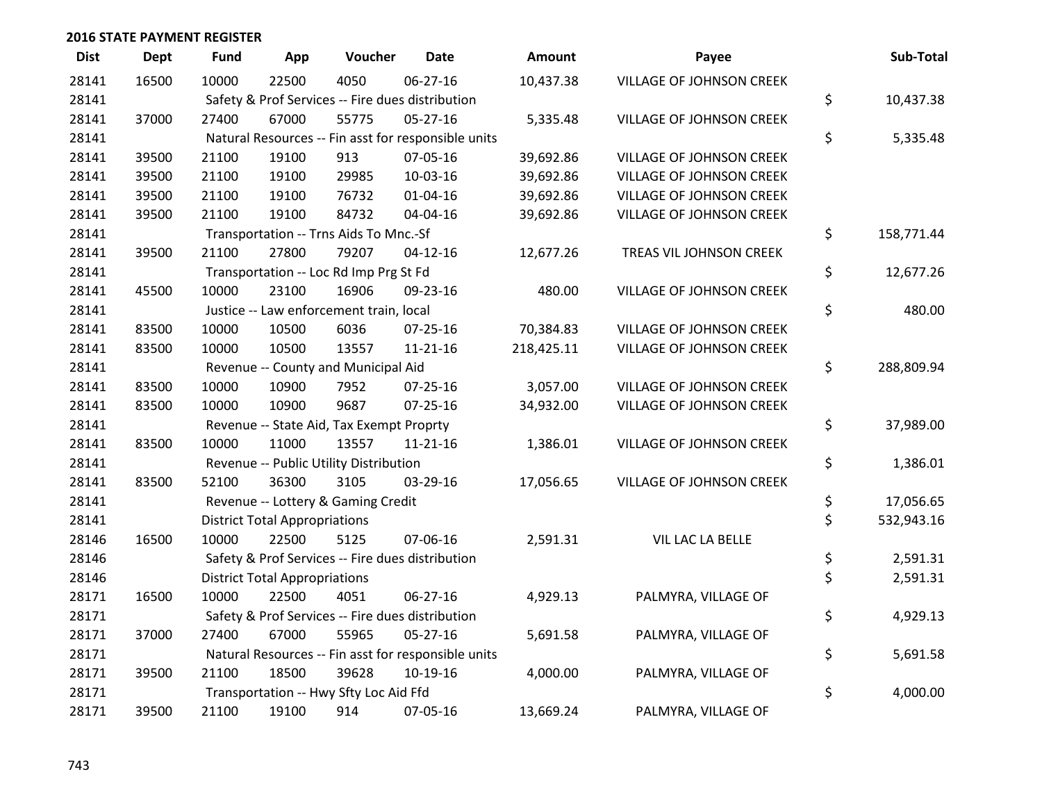| <b>Dist</b> | <b>Dept</b> | <b>Fund</b> | App                                  | Voucher                                  | <b>Date</b>                                         | <b>Amount</b> | Payee                    | Sub-Total        |
|-------------|-------------|-------------|--------------------------------------|------------------------------------------|-----------------------------------------------------|---------------|--------------------------|------------------|
| 28141       | 16500       | 10000       | 22500                                | 4050                                     | 06-27-16                                            | 10,437.38     | VILLAGE OF JOHNSON CREEK |                  |
| 28141       |             |             |                                      |                                          | Safety & Prof Services -- Fire dues distribution    |               |                          | \$<br>10,437.38  |
| 28141       | 37000       | 27400       | 67000                                | 55775                                    | 05-27-16                                            | 5,335.48      | VILLAGE OF JOHNSON CREEK |                  |
| 28141       |             |             |                                      |                                          | Natural Resources -- Fin asst for responsible units |               |                          | \$<br>5,335.48   |
| 28141       | 39500       | 21100       | 19100                                | 913                                      | 07-05-16                                            | 39,692.86     | VILLAGE OF JOHNSON CREEK |                  |
| 28141       | 39500       | 21100       | 19100                                | 29985                                    | 10-03-16                                            | 39,692.86     | VILLAGE OF JOHNSON CREEK |                  |
| 28141       | 39500       | 21100       | 19100                                | 76732                                    | $01 - 04 - 16$                                      | 39,692.86     | VILLAGE OF JOHNSON CREEK |                  |
| 28141       | 39500       | 21100       | 19100                                | 84732                                    | 04-04-16                                            | 39,692.86     | VILLAGE OF JOHNSON CREEK |                  |
| 28141       |             |             |                                      | Transportation -- Trns Aids To Mnc.-Sf   |                                                     |               |                          | \$<br>158,771.44 |
| 28141       | 39500       | 21100       | 27800                                | 79207                                    | $04 - 12 - 16$                                      | 12,677.26     | TREAS VIL JOHNSON CREEK  |                  |
| 28141       |             |             |                                      | Transportation -- Loc Rd Imp Prg St Fd   |                                                     |               |                          | \$<br>12,677.26  |
| 28141       | 45500       | 10000       | 23100                                | 16906                                    | 09-23-16                                            | 480.00        | VILLAGE OF JOHNSON CREEK |                  |
| 28141       |             |             |                                      | Justice -- Law enforcement train, local  |                                                     |               |                          | \$<br>480.00     |
| 28141       | 83500       | 10000       | 10500                                | 6036                                     | 07-25-16                                            | 70,384.83     | VILLAGE OF JOHNSON CREEK |                  |
| 28141       | 83500       | 10000       | 10500                                | 13557                                    | $11 - 21 - 16$                                      | 218,425.11    | VILLAGE OF JOHNSON CREEK |                  |
| 28141       |             |             |                                      | Revenue -- County and Municipal Aid      |                                                     |               |                          | \$<br>288,809.94 |
| 28141       | 83500       | 10000       | 10900                                | 7952                                     | 07-25-16                                            | 3,057.00      | VILLAGE OF JOHNSON CREEK |                  |
| 28141       | 83500       | 10000       | 10900                                | 9687                                     | 07-25-16                                            | 34,932.00     | VILLAGE OF JOHNSON CREEK |                  |
| 28141       |             |             |                                      | Revenue -- State Aid, Tax Exempt Proprty |                                                     |               |                          | \$<br>37,989.00  |
| 28141       | 83500       | 10000       | 11000                                | 13557                                    | $11 - 21 - 16$                                      | 1,386.01      | VILLAGE OF JOHNSON CREEK |                  |
| 28141       |             |             |                                      | Revenue -- Public Utility Distribution   |                                                     |               |                          | \$<br>1,386.01   |
| 28141       | 83500       | 52100       | 36300                                | 3105                                     | 03-29-16                                            | 17,056.65     | VILLAGE OF JOHNSON CREEK |                  |
| 28141       |             |             |                                      | Revenue -- Lottery & Gaming Credit       |                                                     |               |                          | \$<br>17,056.65  |
| 28141       |             |             | <b>District Total Appropriations</b> |                                          |                                                     |               |                          | \$<br>532,943.16 |
| 28146       | 16500       | 10000       | 22500                                | 5125                                     | 07-06-16                                            | 2,591.31      | VIL LAC LA BELLE         |                  |
| 28146       |             |             |                                      |                                          | Safety & Prof Services -- Fire dues distribution    |               |                          | \$<br>2,591.31   |
| 28146       |             |             | <b>District Total Appropriations</b> |                                          |                                                     |               |                          | \$<br>2,591.31   |
| 28171       | 16500       | 10000       | 22500                                | 4051                                     | 06-27-16                                            | 4,929.13      | PALMYRA, VILLAGE OF      |                  |
| 28171       |             |             |                                      |                                          | Safety & Prof Services -- Fire dues distribution    |               |                          | \$<br>4,929.13   |
| 28171       | 37000       | 27400       | 67000                                | 55965                                    | $05 - 27 - 16$                                      | 5,691.58      | PALMYRA, VILLAGE OF      |                  |
| 28171       |             |             |                                      |                                          | Natural Resources -- Fin asst for responsible units |               |                          | \$<br>5,691.58   |
| 28171       | 39500       | 21100       | 18500                                | 39628                                    | 10-19-16                                            | 4,000.00      | PALMYRA, VILLAGE OF      |                  |
| 28171       |             |             |                                      | Transportation -- Hwy Sfty Loc Aid Ffd   |                                                     |               |                          | \$<br>4,000.00   |
| 28171       | 39500       | 21100       | 19100                                | 914                                      | 07-05-16                                            | 13,669.24     | PALMYRA, VILLAGE OF      |                  |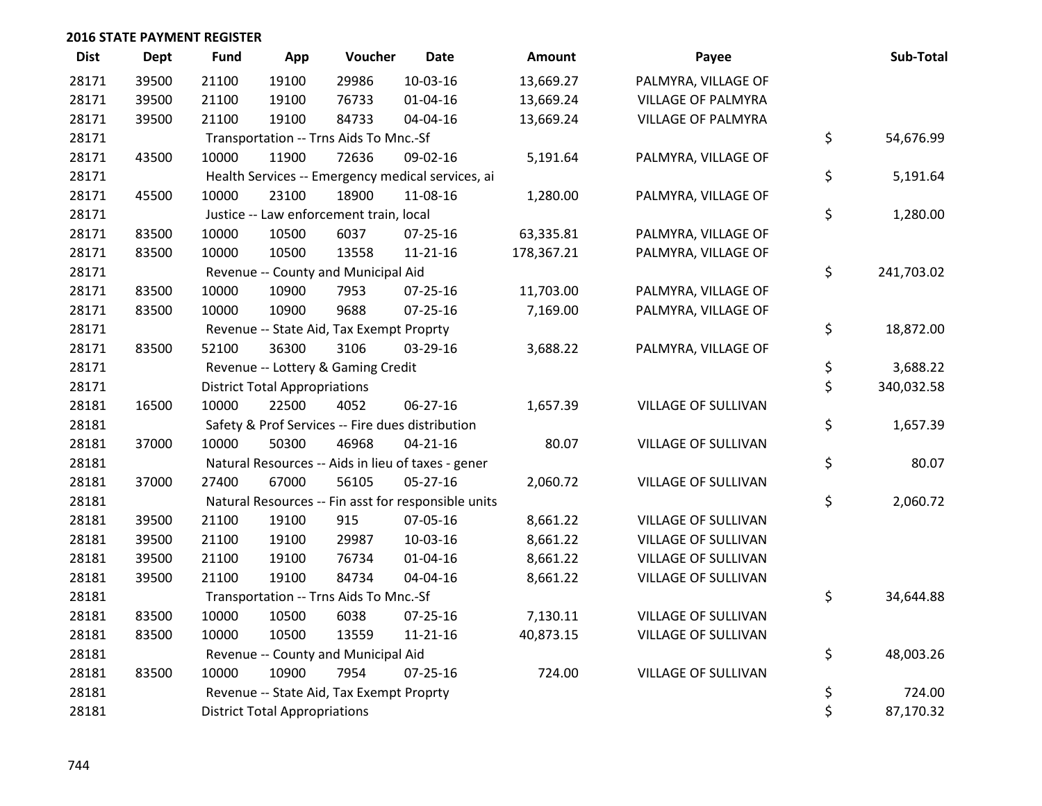| <b>Dist</b> | Dept  | <b>Fund</b> | App                                  | Voucher                                  | <b>Date</b>                                         | <b>Amount</b> | Payee                     | Sub-Total        |
|-------------|-------|-------------|--------------------------------------|------------------------------------------|-----------------------------------------------------|---------------|---------------------------|------------------|
| 28171       | 39500 | 21100       | 19100                                | 29986                                    | 10-03-16                                            | 13,669.27     | PALMYRA, VILLAGE OF       |                  |
| 28171       | 39500 | 21100       | 19100                                | 76733                                    | $01 - 04 - 16$                                      | 13,669.24     | <b>VILLAGE OF PALMYRA</b> |                  |
| 28171       | 39500 | 21100       | 19100                                | 84733                                    | 04-04-16                                            | 13,669.24     | VILLAGE OF PALMYRA        |                  |
| 28171       |       |             |                                      | Transportation -- Trns Aids To Mnc.-Sf   |                                                     |               |                           | \$<br>54,676.99  |
| 28171       | 43500 | 10000       | 11900                                | 72636                                    | 09-02-16                                            | 5,191.64      | PALMYRA, VILLAGE OF       |                  |
| 28171       |       |             |                                      |                                          | Health Services -- Emergency medical services, ai   |               |                           | \$<br>5,191.64   |
| 28171       | 45500 | 10000       | 23100                                | 18900                                    | 11-08-16                                            | 1,280.00      | PALMYRA, VILLAGE OF       |                  |
| 28171       |       |             |                                      | Justice -- Law enforcement train, local  |                                                     |               |                           | \$<br>1,280.00   |
| 28171       | 83500 | 10000       | 10500                                | 6037                                     | 07-25-16                                            | 63,335.81     | PALMYRA, VILLAGE OF       |                  |
| 28171       | 83500 | 10000       | 10500                                | 13558                                    | 11-21-16                                            | 178,367.21    | PALMYRA, VILLAGE OF       |                  |
| 28171       |       |             |                                      | Revenue -- County and Municipal Aid      |                                                     |               |                           | \$<br>241,703.02 |
| 28171       | 83500 | 10000       | 10900                                | 7953                                     | 07-25-16                                            | 11,703.00     | PALMYRA, VILLAGE OF       |                  |
| 28171       | 83500 | 10000       | 10900                                | 9688                                     | $07 - 25 - 16$                                      | 7,169.00      | PALMYRA, VILLAGE OF       |                  |
| 28171       |       |             |                                      | Revenue -- State Aid, Tax Exempt Proprty |                                                     |               |                           | \$<br>18,872.00  |
| 28171       | 83500 | 52100       | 36300                                | 3106                                     | 03-29-16                                            | 3,688.22      | PALMYRA, VILLAGE OF       |                  |
| 28171       |       |             |                                      | Revenue -- Lottery & Gaming Credit       |                                                     |               |                           | \$<br>3,688.22   |
| 28171       |       |             | <b>District Total Appropriations</b> |                                          |                                                     |               |                           | \$<br>340,032.58 |
| 28181       | 16500 | 10000       | 22500                                | 4052                                     | 06-27-16                                            | 1,657.39      | VILLAGE OF SULLIVAN       |                  |
| 28181       |       |             |                                      |                                          | Safety & Prof Services -- Fire dues distribution    |               |                           | \$<br>1,657.39   |
| 28181       | 37000 | 10000       | 50300                                | 46968                                    | $04 - 21 - 16$                                      | 80.07         | VILLAGE OF SULLIVAN       |                  |
| 28181       |       |             |                                      |                                          | Natural Resources -- Aids in lieu of taxes - gener  |               |                           | \$<br>80.07      |
| 28181       | 37000 | 27400       | 67000                                | 56105                                    | $05 - 27 - 16$                                      | 2,060.72      | VILLAGE OF SULLIVAN       |                  |
| 28181       |       |             |                                      |                                          | Natural Resources -- Fin asst for responsible units |               |                           | \$<br>2,060.72   |
| 28181       | 39500 | 21100       | 19100                                | 915                                      | 07-05-16                                            | 8,661.22      | VILLAGE OF SULLIVAN       |                  |
| 28181       | 39500 | 21100       | 19100                                | 29987                                    | 10-03-16                                            | 8,661.22      | VILLAGE OF SULLIVAN       |                  |
| 28181       | 39500 | 21100       | 19100                                | 76734                                    | $01 - 04 - 16$                                      | 8,661.22      | VILLAGE OF SULLIVAN       |                  |
| 28181       | 39500 | 21100       | 19100                                | 84734                                    | 04-04-16                                            | 8,661.22      | VILLAGE OF SULLIVAN       |                  |
| 28181       |       |             |                                      | Transportation -- Trns Aids To Mnc.-Sf   |                                                     |               |                           | \$<br>34,644.88  |
| 28181       | 83500 | 10000       | 10500                                | 6038                                     | $07 - 25 - 16$                                      | 7,130.11      | VILLAGE OF SULLIVAN       |                  |
| 28181       | 83500 | 10000       | 10500                                | 13559                                    | $11 - 21 - 16$                                      | 40,873.15     | VILLAGE OF SULLIVAN       |                  |
| 28181       |       |             |                                      | Revenue -- County and Municipal Aid      |                                                     |               |                           | \$<br>48,003.26  |
| 28181       | 83500 | 10000       | 10900                                | 7954                                     | 07-25-16                                            | 724.00        | VILLAGE OF SULLIVAN       |                  |
| 28181       |       |             |                                      | Revenue -- State Aid, Tax Exempt Proprty |                                                     |               |                           | \$<br>724.00     |
| 28181       |       |             | <b>District Total Appropriations</b> |                                          |                                                     |               |                           | \$<br>87,170.32  |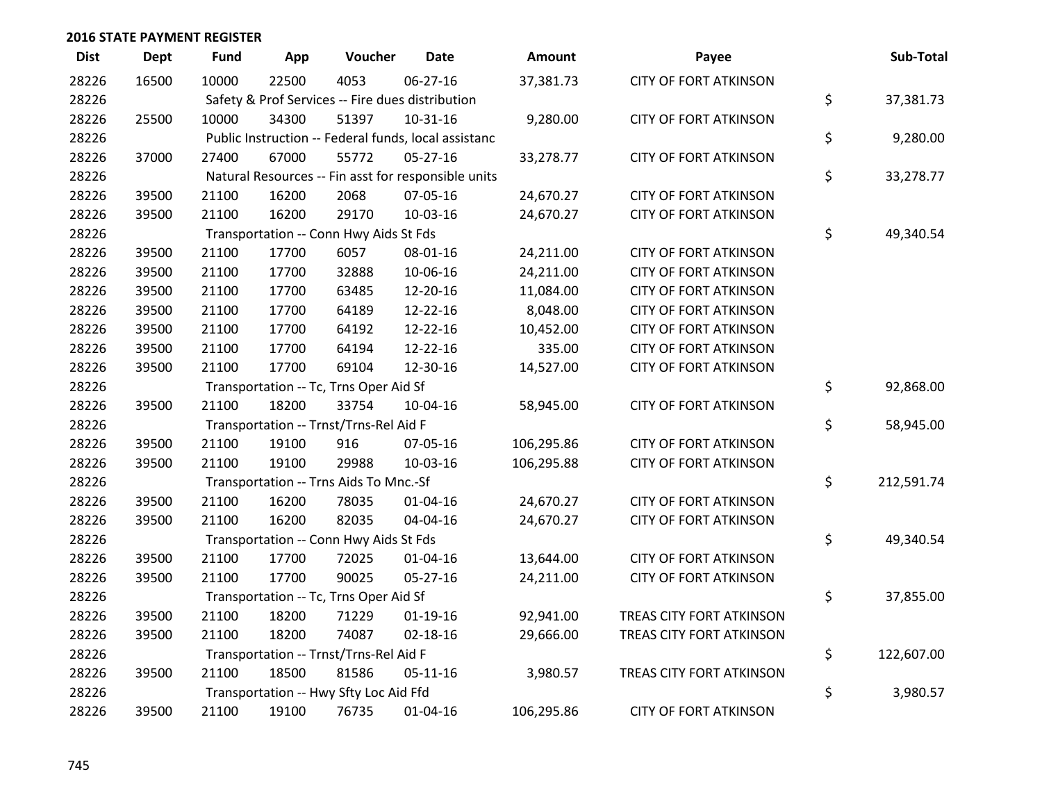| <b>Dist</b> | <b>Dept</b> | <b>Fund</b> | App   | Voucher                                | <b>Date</b>                                          | <b>Amount</b> | Payee                        | Sub-Total        |
|-------------|-------------|-------------|-------|----------------------------------------|------------------------------------------------------|---------------|------------------------------|------------------|
| 28226       | 16500       | 10000       | 22500 | 4053                                   | $06 - 27 - 16$                                       | 37,381.73     | <b>CITY OF FORT ATKINSON</b> |                  |
| 28226       |             |             |       |                                        | Safety & Prof Services -- Fire dues distribution     |               |                              | \$<br>37,381.73  |
| 28226       | 25500       | 10000       | 34300 | 51397                                  | $10-31-16$                                           | 9,280.00      | <b>CITY OF FORT ATKINSON</b> |                  |
| 28226       |             |             |       |                                        | Public Instruction -- Federal funds, local assistanc |               |                              | \$<br>9,280.00   |
| 28226       | 37000       | 27400       | 67000 | 55772                                  | $05 - 27 - 16$                                       | 33,278.77     | <b>CITY OF FORT ATKINSON</b> |                  |
| 28226       |             |             |       |                                        | Natural Resources -- Fin asst for responsible units  |               |                              | \$<br>33,278.77  |
| 28226       | 39500       | 21100       | 16200 | 2068                                   | 07-05-16                                             | 24,670.27     | <b>CITY OF FORT ATKINSON</b> |                  |
| 28226       | 39500       | 21100       | 16200 | 29170                                  | 10-03-16                                             | 24,670.27     | <b>CITY OF FORT ATKINSON</b> |                  |
| 28226       |             |             |       | Transportation -- Conn Hwy Aids St Fds |                                                      |               |                              | \$<br>49,340.54  |
| 28226       | 39500       | 21100       | 17700 | 6057                                   | 08-01-16                                             | 24,211.00     | <b>CITY OF FORT ATKINSON</b> |                  |
| 28226       | 39500       | 21100       | 17700 | 32888                                  | 10-06-16                                             | 24,211.00     | <b>CITY OF FORT ATKINSON</b> |                  |
| 28226       | 39500       | 21100       | 17700 | 63485                                  | 12-20-16                                             | 11,084.00     | <b>CITY OF FORT ATKINSON</b> |                  |
| 28226       | 39500       | 21100       | 17700 | 64189                                  | 12-22-16                                             | 8,048.00      | <b>CITY OF FORT ATKINSON</b> |                  |
| 28226       | 39500       | 21100       | 17700 | 64192                                  | 12-22-16                                             | 10,452.00     | <b>CITY OF FORT ATKINSON</b> |                  |
| 28226       | 39500       | 21100       | 17700 | 64194                                  | 12-22-16                                             | 335.00        | <b>CITY OF FORT ATKINSON</b> |                  |
| 28226       | 39500       | 21100       | 17700 | 69104                                  | 12-30-16                                             | 14,527.00     | <b>CITY OF FORT ATKINSON</b> |                  |
| 28226       |             |             |       | Transportation -- Tc, Trns Oper Aid Sf |                                                      |               |                              | \$<br>92,868.00  |
| 28226       | 39500       | 21100       | 18200 | 33754                                  | 10-04-16                                             | 58,945.00     | <b>CITY OF FORT ATKINSON</b> |                  |
| 28226       |             |             |       | Transportation -- Trnst/Trns-Rel Aid F |                                                      |               |                              | \$<br>58,945.00  |
| 28226       | 39500       | 21100       | 19100 | 916                                    | 07-05-16                                             | 106,295.86    | <b>CITY OF FORT ATKINSON</b> |                  |
| 28226       | 39500       | 21100       | 19100 | 29988                                  | 10-03-16                                             | 106,295.88    | <b>CITY OF FORT ATKINSON</b> |                  |
| 28226       |             |             |       | Transportation -- Trns Aids To Mnc.-Sf |                                                      |               |                              | \$<br>212,591.74 |
| 28226       | 39500       | 21100       | 16200 | 78035                                  | $01 - 04 - 16$                                       | 24,670.27     | <b>CITY OF FORT ATKINSON</b> |                  |
| 28226       | 39500       | 21100       | 16200 | 82035                                  | 04-04-16                                             | 24,670.27     | <b>CITY OF FORT ATKINSON</b> |                  |
| 28226       |             |             |       | Transportation -- Conn Hwy Aids St Fds |                                                      |               |                              | \$<br>49,340.54  |
| 28226       | 39500       | 21100       | 17700 | 72025                                  | $01 - 04 - 16$                                       | 13,644.00     | <b>CITY OF FORT ATKINSON</b> |                  |
| 28226       | 39500       | 21100       | 17700 | 90025                                  | 05-27-16                                             | 24,211.00     | <b>CITY OF FORT ATKINSON</b> |                  |
| 28226       |             |             |       | Transportation -- Tc, Trns Oper Aid Sf |                                                      |               |                              | \$<br>37,855.00  |
| 28226       | 39500       | 21100       | 18200 | 71229                                  | $01-19-16$                                           | 92,941.00     | TREAS CITY FORT ATKINSON     |                  |
| 28226       | 39500       | 21100       | 18200 | 74087                                  | $02 - 18 - 16$                                       | 29,666.00     | TREAS CITY FORT ATKINSON     |                  |
| 28226       |             |             |       | Transportation -- Trnst/Trns-Rel Aid F |                                                      |               |                              | \$<br>122,607.00 |
| 28226       | 39500       | 21100       | 18500 | 81586                                  | $05-11-16$                                           | 3,980.57      | TREAS CITY FORT ATKINSON     |                  |
| 28226       |             |             |       | Transportation -- Hwy Sfty Loc Aid Ffd |                                                      |               |                              | \$<br>3,980.57   |
| 28226       | 39500       | 21100       | 19100 | 76735                                  | $01 - 04 - 16$                                       | 106,295.86    | <b>CITY OF FORT ATKINSON</b> |                  |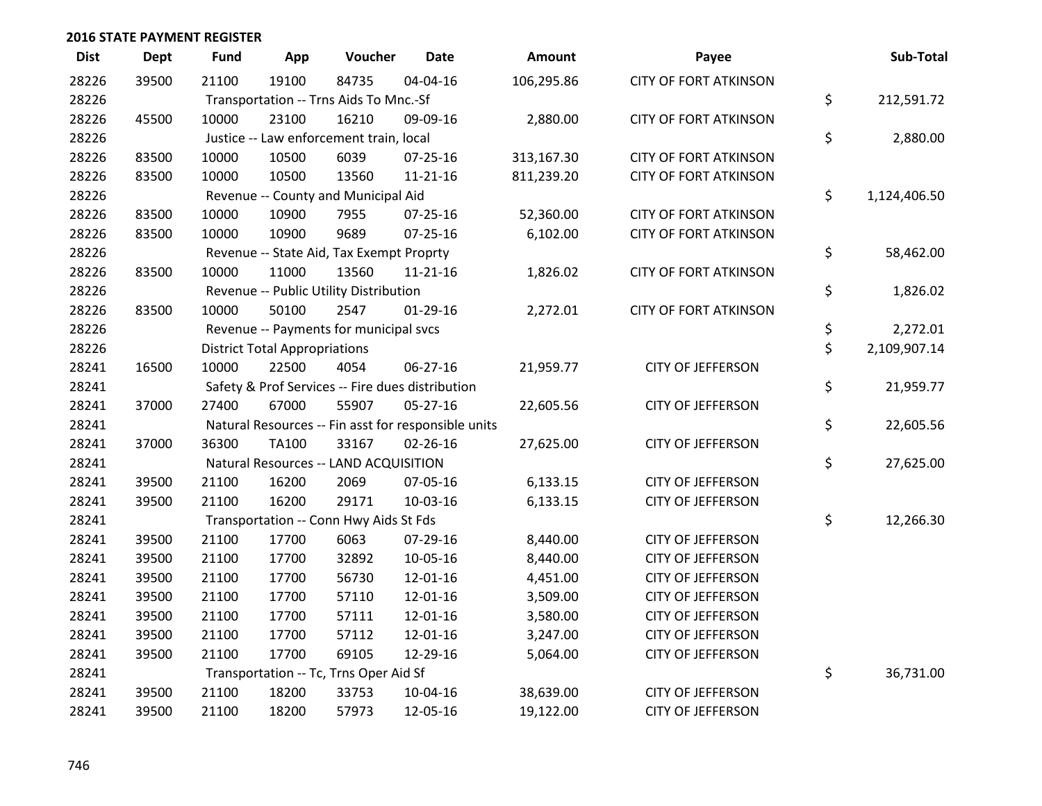| <b>Dist</b> | Dept  | <b>Fund</b> | App                                  | Voucher                                  | <b>Date</b>                                         | <b>Amount</b> | Payee                        | Sub-Total          |
|-------------|-------|-------------|--------------------------------------|------------------------------------------|-----------------------------------------------------|---------------|------------------------------|--------------------|
| 28226       | 39500 | 21100       | 19100                                | 84735                                    | 04-04-16                                            | 106,295.86    | <b>CITY OF FORT ATKINSON</b> |                    |
| 28226       |       |             |                                      | Transportation -- Trns Aids To Mnc.-Sf   |                                                     |               |                              | \$<br>212,591.72   |
| 28226       | 45500 | 10000       | 23100                                | 16210                                    | 09-09-16                                            | 2,880.00      | <b>CITY OF FORT ATKINSON</b> |                    |
| 28226       |       |             |                                      | Justice -- Law enforcement train, local  |                                                     |               |                              | \$<br>2,880.00     |
| 28226       | 83500 | 10000       | 10500                                | 6039                                     | 07-25-16                                            | 313,167.30    | <b>CITY OF FORT ATKINSON</b> |                    |
| 28226       | 83500 | 10000       | 10500                                | 13560                                    | $11 - 21 - 16$                                      | 811,239.20    | <b>CITY OF FORT ATKINSON</b> |                    |
| 28226       |       |             |                                      | Revenue -- County and Municipal Aid      |                                                     |               |                              | \$<br>1,124,406.50 |
| 28226       | 83500 | 10000       | 10900                                | 7955                                     | 07-25-16                                            | 52,360.00     | <b>CITY OF FORT ATKINSON</b> |                    |
| 28226       | 83500 | 10000       | 10900                                | 9689                                     | $07 - 25 - 16$                                      | 6,102.00      | <b>CITY OF FORT ATKINSON</b> |                    |
| 28226       |       |             |                                      | Revenue -- State Aid, Tax Exempt Proprty |                                                     |               |                              | \$<br>58,462.00    |
| 28226       | 83500 | 10000       | 11000                                | 13560                                    | 11-21-16                                            | 1,826.02      | <b>CITY OF FORT ATKINSON</b> |                    |
| 28226       |       |             |                                      | Revenue -- Public Utility Distribution   |                                                     |               |                              | \$<br>1,826.02     |
| 28226       | 83500 | 10000       | 50100                                | 2547                                     | $01-29-16$                                          | 2,272.01      | <b>CITY OF FORT ATKINSON</b> |                    |
| 28226       |       |             |                                      | Revenue -- Payments for municipal svcs   |                                                     |               |                              | \$<br>2,272.01     |
| 28226       |       |             | <b>District Total Appropriations</b> |                                          |                                                     |               |                              | \$<br>2,109,907.14 |
| 28241       | 16500 | 10000       | 22500                                | 4054                                     | 06-27-16                                            | 21,959.77     | <b>CITY OF JEFFERSON</b>     |                    |
| 28241       |       |             |                                      |                                          | Safety & Prof Services -- Fire dues distribution    |               |                              | \$<br>21,959.77    |
| 28241       | 37000 | 27400       | 67000                                | 55907                                    | 05-27-16                                            | 22,605.56     | <b>CITY OF JEFFERSON</b>     |                    |
| 28241       |       |             |                                      |                                          | Natural Resources -- Fin asst for responsible units |               |                              | \$<br>22,605.56    |
| 28241       | 37000 | 36300       | <b>TA100</b>                         | 33167                                    | 02-26-16                                            | 27,625.00     | <b>CITY OF JEFFERSON</b>     |                    |
| 28241       |       |             |                                      | Natural Resources -- LAND ACQUISITION    |                                                     |               |                              | \$<br>27,625.00    |
| 28241       | 39500 | 21100       | 16200                                | 2069                                     | 07-05-16                                            | 6,133.15      | <b>CITY OF JEFFERSON</b>     |                    |
| 28241       | 39500 | 21100       | 16200                                | 29171                                    | 10-03-16                                            | 6,133.15      | <b>CITY OF JEFFERSON</b>     |                    |
| 28241       |       |             |                                      | Transportation -- Conn Hwy Aids St Fds   |                                                     |               |                              | \$<br>12,266.30    |
| 28241       | 39500 | 21100       | 17700                                | 6063                                     | 07-29-16                                            | 8,440.00      | <b>CITY OF JEFFERSON</b>     |                    |
| 28241       | 39500 | 21100       | 17700                                | 32892                                    | 10-05-16                                            | 8,440.00      | <b>CITY OF JEFFERSON</b>     |                    |
| 28241       | 39500 | 21100       | 17700                                | 56730                                    | 12-01-16                                            | 4,451.00      | <b>CITY OF JEFFERSON</b>     |                    |
| 28241       | 39500 | 21100       | 17700                                | 57110                                    | 12-01-16                                            | 3,509.00      | <b>CITY OF JEFFERSON</b>     |                    |
| 28241       | 39500 | 21100       | 17700                                | 57111                                    | 12-01-16                                            | 3,580.00      | <b>CITY OF JEFFERSON</b>     |                    |
| 28241       | 39500 | 21100       | 17700                                | 57112                                    | 12-01-16                                            | 3,247.00      | <b>CITY OF JEFFERSON</b>     |                    |
| 28241       | 39500 | 21100       | 17700                                | 69105                                    | 12-29-16                                            | 5,064.00      | <b>CITY OF JEFFERSON</b>     |                    |
| 28241       |       |             |                                      | Transportation -- Tc, Trns Oper Aid Sf   |                                                     |               |                              | \$<br>36,731.00    |
| 28241       | 39500 | 21100       | 18200                                | 33753                                    | 10-04-16                                            | 38,639.00     | <b>CITY OF JEFFERSON</b>     |                    |
| 28241       | 39500 | 21100       | 18200                                | 57973                                    | 12-05-16                                            | 19,122.00     | <b>CITY OF JEFFERSON</b>     |                    |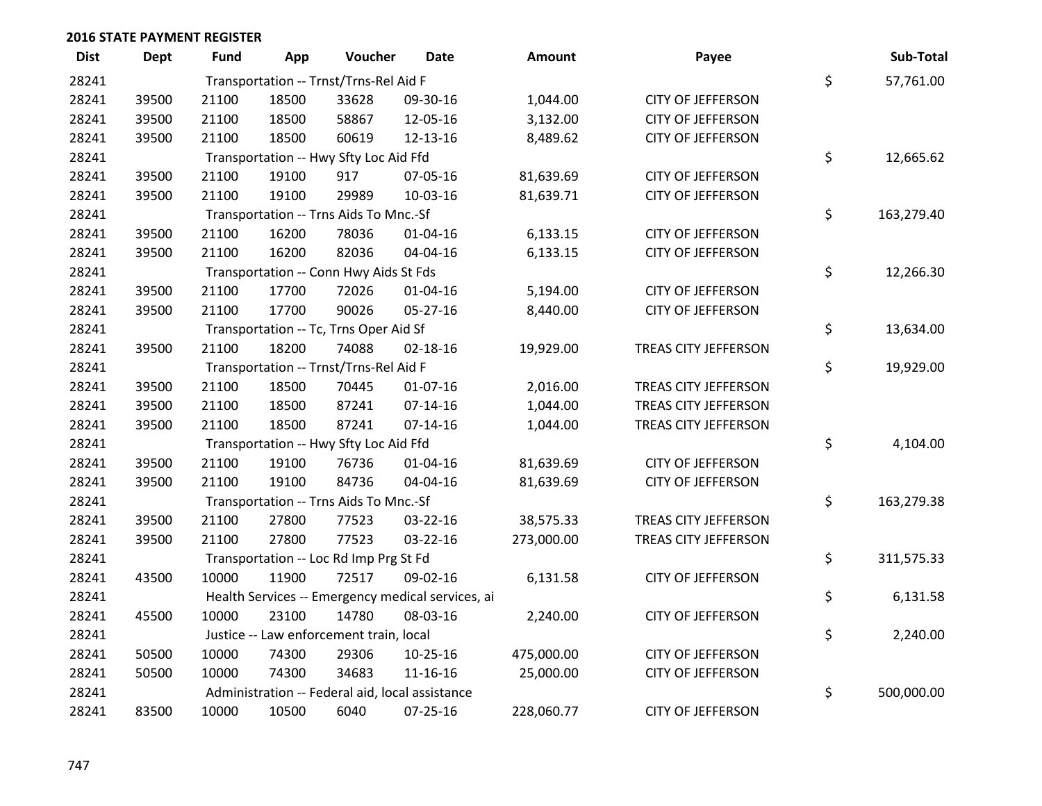| <b>Dist</b> | <b>Dept</b> | Fund  | App   | Voucher                                 | <b>Date</b>                                       | Amount     | Payee                    | Sub-Total        |
|-------------|-------------|-------|-------|-----------------------------------------|---------------------------------------------------|------------|--------------------------|------------------|
| 28241       |             |       |       | Transportation -- Trnst/Trns-Rel Aid F  |                                                   |            |                          | \$<br>57,761.00  |
| 28241       | 39500       | 21100 | 18500 | 33628                                   | 09-30-16                                          | 1,044.00   | <b>CITY OF JEFFERSON</b> |                  |
| 28241       | 39500       | 21100 | 18500 | 58867                                   | 12-05-16                                          | 3,132.00   | <b>CITY OF JEFFERSON</b> |                  |
| 28241       | 39500       | 21100 | 18500 | 60619                                   | 12-13-16                                          | 8,489.62   | <b>CITY OF JEFFERSON</b> |                  |
| 28241       |             |       |       | Transportation -- Hwy Sfty Loc Aid Ffd  |                                                   |            |                          | \$<br>12,665.62  |
| 28241       | 39500       | 21100 | 19100 | 917                                     | 07-05-16                                          | 81,639.69  | <b>CITY OF JEFFERSON</b> |                  |
| 28241       | 39500       | 21100 | 19100 | 29989                                   | 10-03-16                                          | 81,639.71  | <b>CITY OF JEFFERSON</b> |                  |
| 28241       |             |       |       | Transportation -- Trns Aids To Mnc.-Sf  |                                                   |            |                          | \$<br>163,279.40 |
| 28241       | 39500       | 21100 | 16200 | 78036                                   | $01 - 04 - 16$                                    | 6,133.15   | <b>CITY OF JEFFERSON</b> |                  |
| 28241       | 39500       | 21100 | 16200 | 82036                                   | 04-04-16                                          | 6,133.15   | <b>CITY OF JEFFERSON</b> |                  |
| 28241       |             |       |       | Transportation -- Conn Hwy Aids St Fds  |                                                   |            |                          | \$<br>12,266.30  |
| 28241       | 39500       | 21100 | 17700 | 72026                                   | $01 - 04 - 16$                                    | 5,194.00   | <b>CITY OF JEFFERSON</b> |                  |
| 28241       | 39500       | 21100 | 17700 | 90026                                   | 05-27-16                                          | 8,440.00   | <b>CITY OF JEFFERSON</b> |                  |
| 28241       |             |       |       | Transportation -- Tc, Trns Oper Aid Sf  |                                                   |            |                          | \$<br>13,634.00  |
| 28241       | 39500       | 21100 | 18200 | 74088                                   | $02 - 18 - 16$                                    | 19,929.00  | TREAS CITY JEFFERSON     |                  |
| 28241       |             |       |       | Transportation -- Trnst/Trns-Rel Aid F  |                                                   |            |                          | \$<br>19,929.00  |
| 28241       | 39500       | 21100 | 18500 | 70445                                   | $01-07-16$                                        | 2,016.00   | TREAS CITY JEFFERSON     |                  |
| 28241       | 39500       | 21100 | 18500 | 87241                                   | 07-14-16                                          | 1,044.00   | TREAS CITY JEFFERSON     |                  |
| 28241       | 39500       | 21100 | 18500 | 87241                                   | $07 - 14 - 16$                                    | 1,044.00   | TREAS CITY JEFFERSON     |                  |
| 28241       |             |       |       | Transportation -- Hwy Sfty Loc Aid Ffd  |                                                   |            |                          | \$<br>4,104.00   |
| 28241       | 39500       | 21100 | 19100 | 76736                                   | 01-04-16                                          | 81,639.69  | <b>CITY OF JEFFERSON</b> |                  |
| 28241       | 39500       | 21100 | 19100 | 84736                                   | 04-04-16                                          | 81,639.69  | <b>CITY OF JEFFERSON</b> |                  |
| 28241       |             |       |       | Transportation -- Trns Aids To Mnc.-Sf  |                                                   |            |                          | \$<br>163,279.38 |
| 28241       | 39500       | 21100 | 27800 | 77523                                   | $03 - 22 - 16$                                    | 38,575.33  | TREAS CITY JEFFERSON     |                  |
| 28241       | 39500       | 21100 | 27800 | 77523                                   | 03-22-16                                          | 273,000.00 | TREAS CITY JEFFERSON     |                  |
| 28241       |             |       |       | Transportation -- Loc Rd Imp Prg St Fd  |                                                   |            |                          | \$<br>311,575.33 |
| 28241       | 43500       | 10000 | 11900 | 72517                                   | 09-02-16                                          | 6,131.58   | <b>CITY OF JEFFERSON</b> |                  |
| 28241       |             |       |       |                                         | Health Services -- Emergency medical services, ai |            |                          | \$<br>6,131.58   |
| 28241       | 45500       | 10000 | 23100 | 14780                                   | 08-03-16                                          | 2,240.00   | <b>CITY OF JEFFERSON</b> |                  |
| 28241       |             |       |       | Justice -- Law enforcement train, local |                                                   |            |                          | \$<br>2,240.00   |
| 28241       | 50500       | 10000 | 74300 | 29306                                   | $10-25-16$                                        | 475,000.00 | <b>CITY OF JEFFERSON</b> |                  |
| 28241       | 50500       | 10000 | 74300 | 34683                                   | 11-16-16                                          | 25,000.00  | <b>CITY OF JEFFERSON</b> |                  |
| 28241       |             |       |       |                                         | Administration -- Federal aid, local assistance   |            |                          | \$<br>500,000.00 |
| 28241       | 83500       | 10000 | 10500 | 6040                                    | 07-25-16                                          | 228,060.77 | <b>CITY OF JEFFERSON</b> |                  |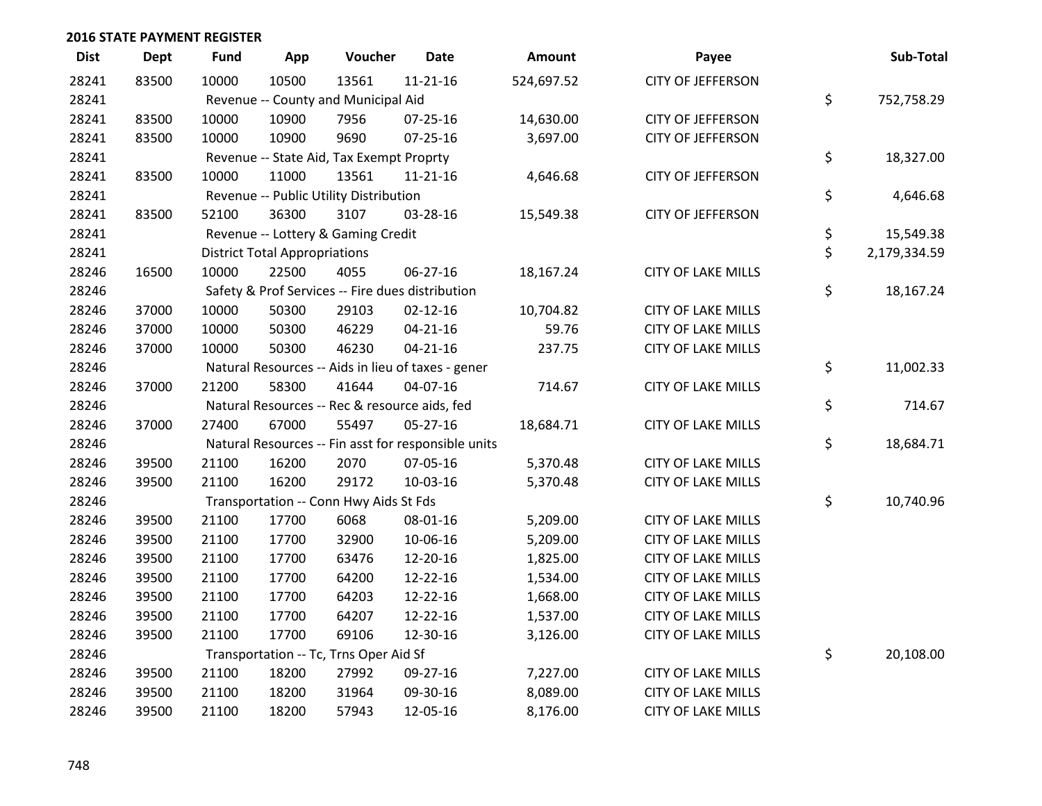| <b>Dist</b> | <b>Dept</b> | <b>Fund</b>                         | App                                  | Voucher                                             | <b>Date</b>    | Amount     | Payee                     | Sub-Total          |
|-------------|-------------|-------------------------------------|--------------------------------------|-----------------------------------------------------|----------------|------------|---------------------------|--------------------|
| 28241       | 83500       | 10000                               | 10500                                | 13561                                               | $11 - 21 - 16$ | 524,697.52 | <b>CITY OF JEFFERSON</b>  |                    |
| 28241       |             | Revenue -- County and Municipal Aid | \$<br>752,758.29                     |                                                     |                |            |                           |                    |
| 28241       | 83500       | 10000                               | 10900                                | 7956                                                | $07 - 25 - 16$ | 14,630.00  | <b>CITY OF JEFFERSON</b>  |                    |
| 28241       | 83500       | 10000                               | 10900                                | 9690                                                | $07 - 25 - 16$ | 3,697.00   | <b>CITY OF JEFFERSON</b>  |                    |
| 28241       |             |                                     |                                      | Revenue -- State Aid, Tax Exempt Proprty            |                |            |                           | \$<br>18,327.00    |
| 28241       | 83500       | 10000                               | 11000                                | 13561                                               | 11-21-16       | 4,646.68   | <b>CITY OF JEFFERSON</b>  |                    |
| 28241       |             |                                     |                                      | Revenue -- Public Utility Distribution              |                |            |                           | \$<br>4,646.68     |
| 28241       | 83500       | 52100                               | 36300                                | 3107                                                | 03-28-16       | 15,549.38  | <b>CITY OF JEFFERSON</b>  |                    |
| 28241       |             |                                     |                                      | Revenue -- Lottery & Gaming Credit                  |                |            |                           | \$<br>15,549.38    |
| 28241       |             |                                     | <b>District Total Appropriations</b> |                                                     |                |            |                           | \$<br>2,179,334.59 |
| 28246       | 16500       | 10000                               | 22500                                | 4055                                                | 06-27-16       | 18,167.24  | <b>CITY OF LAKE MILLS</b> |                    |
| 28246       |             |                                     |                                      | Safety & Prof Services -- Fire dues distribution    |                |            |                           | \$<br>18,167.24    |
| 28246       | 37000       | 10000                               | 50300                                | 29103                                               | $02 - 12 - 16$ | 10,704.82  | <b>CITY OF LAKE MILLS</b> |                    |
| 28246       | 37000       | 10000                               | 50300                                | 46229                                               | $04 - 21 - 16$ | 59.76      | <b>CITY OF LAKE MILLS</b> |                    |
| 28246       | 37000       | 10000                               | 50300                                | 46230                                               | $04 - 21 - 16$ | 237.75     | <b>CITY OF LAKE MILLS</b> |                    |
| 28246       |             |                                     |                                      | Natural Resources -- Aids in lieu of taxes - gener  |                |            |                           | \$<br>11,002.33    |
| 28246       | 37000       | 21200                               | 58300                                | 41644                                               | 04-07-16       | 714.67     | <b>CITY OF LAKE MILLS</b> |                    |
| 28246       |             |                                     |                                      | Natural Resources -- Rec & resource aids, fed       |                |            |                           | \$<br>714.67       |
| 28246       | 37000       | 27400                               | 67000                                | 55497                                               | $05 - 27 - 16$ | 18,684.71  | <b>CITY OF LAKE MILLS</b> |                    |
| 28246       |             |                                     |                                      | Natural Resources -- Fin asst for responsible units |                |            |                           | \$<br>18,684.71    |
| 28246       | 39500       | 21100                               | 16200                                | 2070                                                | 07-05-16       | 5,370.48   | <b>CITY OF LAKE MILLS</b> |                    |
| 28246       | 39500       | 21100                               | 16200                                | 29172                                               | 10-03-16       | 5,370.48   | <b>CITY OF LAKE MILLS</b> |                    |
| 28246       |             |                                     |                                      | Transportation -- Conn Hwy Aids St Fds              |                |            |                           | \$<br>10,740.96    |
| 28246       | 39500       | 21100                               | 17700                                | 6068                                                | 08-01-16       | 5,209.00   | <b>CITY OF LAKE MILLS</b> |                    |
| 28246       | 39500       | 21100                               | 17700                                | 32900                                               | 10-06-16       | 5,209.00   | <b>CITY OF LAKE MILLS</b> |                    |
| 28246       | 39500       | 21100                               | 17700                                | 63476                                               | 12-20-16       | 1,825.00   | <b>CITY OF LAKE MILLS</b> |                    |
| 28246       | 39500       | 21100                               | 17700                                | 64200                                               | 12-22-16       | 1,534.00   | <b>CITY OF LAKE MILLS</b> |                    |
| 28246       | 39500       | 21100                               | 17700                                | 64203                                               | 12-22-16       | 1,668.00   | <b>CITY OF LAKE MILLS</b> |                    |
| 28246       | 39500       | 21100                               | 17700                                | 64207                                               | 12-22-16       | 1,537.00   | <b>CITY OF LAKE MILLS</b> |                    |
| 28246       | 39500       | 21100                               | 17700                                | 69106                                               | 12-30-16       | 3,126.00   | <b>CITY OF LAKE MILLS</b> |                    |
| 28246       |             |                                     |                                      | Transportation -- Tc, Trns Oper Aid Sf              |                |            |                           | \$<br>20,108.00    |
| 28246       | 39500       | 21100                               | 18200                                | 27992                                               | 09-27-16       | 7,227.00   | <b>CITY OF LAKE MILLS</b> |                    |
| 28246       | 39500       | 21100                               | 18200                                | 31964                                               | 09-30-16       | 8,089.00   | <b>CITY OF LAKE MILLS</b> |                    |
| 28246       | 39500       | 21100                               | 18200                                | 57943                                               | 12-05-16       | 8,176.00   | <b>CITY OF LAKE MILLS</b> |                    |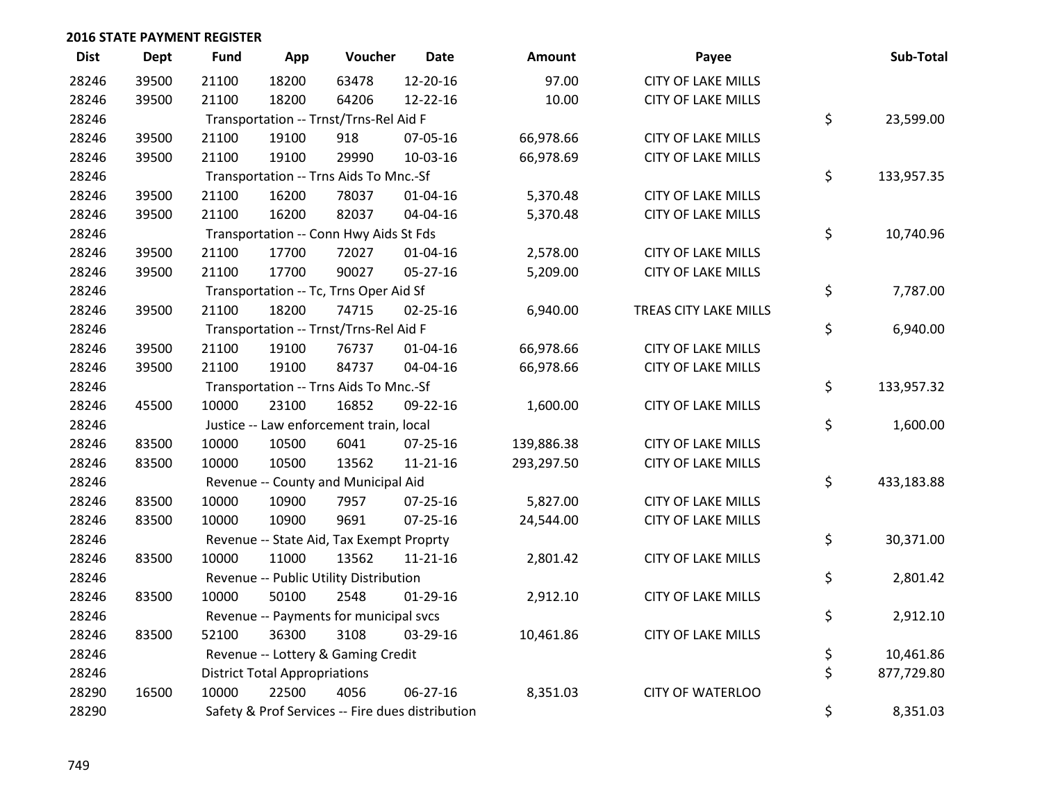| <b>Dist</b> | <b>Dept</b> | <b>Fund</b> | App                                    | Voucher                                  | <b>Date</b>                                      | Amount     | Payee                     |    | Sub-Total  |  |  |
|-------------|-------------|-------------|----------------------------------------|------------------------------------------|--------------------------------------------------|------------|---------------------------|----|------------|--|--|
| 28246       | 39500       | 21100       | 18200                                  | 63478                                    | 12-20-16                                         | 97.00      | <b>CITY OF LAKE MILLS</b> |    |            |  |  |
| 28246       | 39500       | 21100       | 18200                                  | 64206                                    | 12-22-16                                         | 10.00      | <b>CITY OF LAKE MILLS</b> |    |            |  |  |
| 28246       |             |             | Transportation -- Trnst/Trns-Rel Aid F |                                          |                                                  |            |                           |    |            |  |  |
| 28246       | 39500       | 21100       | 19100                                  | 918                                      | 07-05-16                                         | 66,978.66  | <b>CITY OF LAKE MILLS</b> |    |            |  |  |
| 28246       | 39500       | 21100       | 19100                                  | 29990                                    | 10-03-16                                         | 66,978.69  | <b>CITY OF LAKE MILLS</b> |    |            |  |  |
| 28246       |             |             |                                        | Transportation -- Trns Aids To Mnc.-Sf   |                                                  |            |                           | \$ | 133,957.35 |  |  |
| 28246       | 39500       | 21100       | 16200                                  | 78037                                    | $01 - 04 - 16$                                   | 5,370.48   | <b>CITY OF LAKE MILLS</b> |    |            |  |  |
| 28246       | 39500       | 21100       | 16200                                  | 82037                                    | 04-04-16                                         | 5,370.48   | <b>CITY OF LAKE MILLS</b> |    |            |  |  |
| 28246       |             |             |                                        | Transportation -- Conn Hwy Aids St Fds   |                                                  |            |                           | \$ | 10,740.96  |  |  |
| 28246       | 39500       | 21100       | 17700                                  | 72027                                    | $01 - 04 - 16$                                   | 2,578.00   | <b>CITY OF LAKE MILLS</b> |    |            |  |  |
| 28246       | 39500       | 21100       | 17700                                  | 90027                                    | 05-27-16                                         | 5,209.00   | <b>CITY OF LAKE MILLS</b> |    |            |  |  |
| 28246       |             |             |                                        | Transportation -- Tc, Trns Oper Aid Sf   |                                                  |            |                           | \$ | 7,787.00   |  |  |
| 28246       | 39500       | 21100       | 18200                                  | 74715                                    | $02 - 25 - 16$                                   | 6,940.00   | TREAS CITY LAKE MILLS     |    |            |  |  |
| 28246       |             |             |                                        | Transportation -- Trnst/Trns-Rel Aid F   |                                                  |            |                           | \$ | 6,940.00   |  |  |
| 28246       | 39500       | 21100       | 19100                                  | 76737                                    | $01 - 04 - 16$                                   | 66,978.66  | <b>CITY OF LAKE MILLS</b> |    |            |  |  |
| 28246       | 39500       | 21100       | 19100                                  | 84737                                    | 04-04-16                                         | 66,978.66  | <b>CITY OF LAKE MILLS</b> |    |            |  |  |
| 28246       |             |             |                                        | Transportation -- Trns Aids To Mnc.-Sf   |                                                  |            |                           | \$ | 133,957.32 |  |  |
| 28246       | 45500       | 10000       | 23100                                  | 16852                                    | 09-22-16                                         | 1,600.00   | <b>CITY OF LAKE MILLS</b> |    |            |  |  |
| 28246       |             |             |                                        | Justice -- Law enforcement train, local  |                                                  |            |                           | \$ | 1,600.00   |  |  |
| 28246       | 83500       | 10000       | 10500                                  | 6041                                     | 07-25-16                                         | 139,886.38 | <b>CITY OF LAKE MILLS</b> |    |            |  |  |
| 28246       | 83500       | 10000       | 10500                                  | 13562                                    | $11 - 21 - 16$                                   | 293,297.50 | <b>CITY OF LAKE MILLS</b> |    |            |  |  |
| 28246       |             |             |                                        | Revenue -- County and Municipal Aid      |                                                  |            |                           | \$ | 433,183.88 |  |  |
| 28246       | 83500       | 10000       | 10900                                  | 7957                                     | 07-25-16                                         | 5,827.00   | <b>CITY OF LAKE MILLS</b> |    |            |  |  |
| 28246       | 83500       | 10000       | 10900                                  | 9691                                     | $07 - 25 - 16$                                   | 24,544.00  | <b>CITY OF LAKE MILLS</b> |    |            |  |  |
| 28246       |             |             |                                        | Revenue -- State Aid, Tax Exempt Proprty |                                                  |            |                           | \$ | 30,371.00  |  |  |
| 28246       | 83500       | 10000       | 11000                                  | 13562                                    | $11 - 21 - 16$                                   | 2,801.42   | <b>CITY OF LAKE MILLS</b> |    |            |  |  |
| 28246       |             |             |                                        | Revenue -- Public Utility Distribution   |                                                  |            |                           | \$ | 2,801.42   |  |  |
| 28246       | 83500       | 10000       | 50100                                  | 2548                                     | $01-29-16$                                       | 2,912.10   | <b>CITY OF LAKE MILLS</b> |    |            |  |  |
| 28246       |             |             |                                        | Revenue -- Payments for municipal svcs   |                                                  |            |                           | \$ | 2,912.10   |  |  |
| 28246       | 83500       | 52100       | 36300                                  | 3108                                     | 03-29-16                                         | 10,461.86  | <b>CITY OF LAKE MILLS</b> |    |            |  |  |
| 28246       |             |             | Revenue -- Lottery & Gaming Credit     |                                          |                                                  |            |                           |    |            |  |  |
| 28246       |             |             | <b>District Total Appropriations</b>   |                                          |                                                  |            |                           | \$ | 877,729.80 |  |  |
| 28290       | 16500       | 10000       | 22500                                  | 4056                                     | $06 - 27 - 16$                                   | 8,351.03   | <b>CITY OF WATERLOO</b>   |    |            |  |  |
| 28290       |             |             |                                        |                                          | Safety & Prof Services -- Fire dues distribution |            |                           | \$ | 8,351.03   |  |  |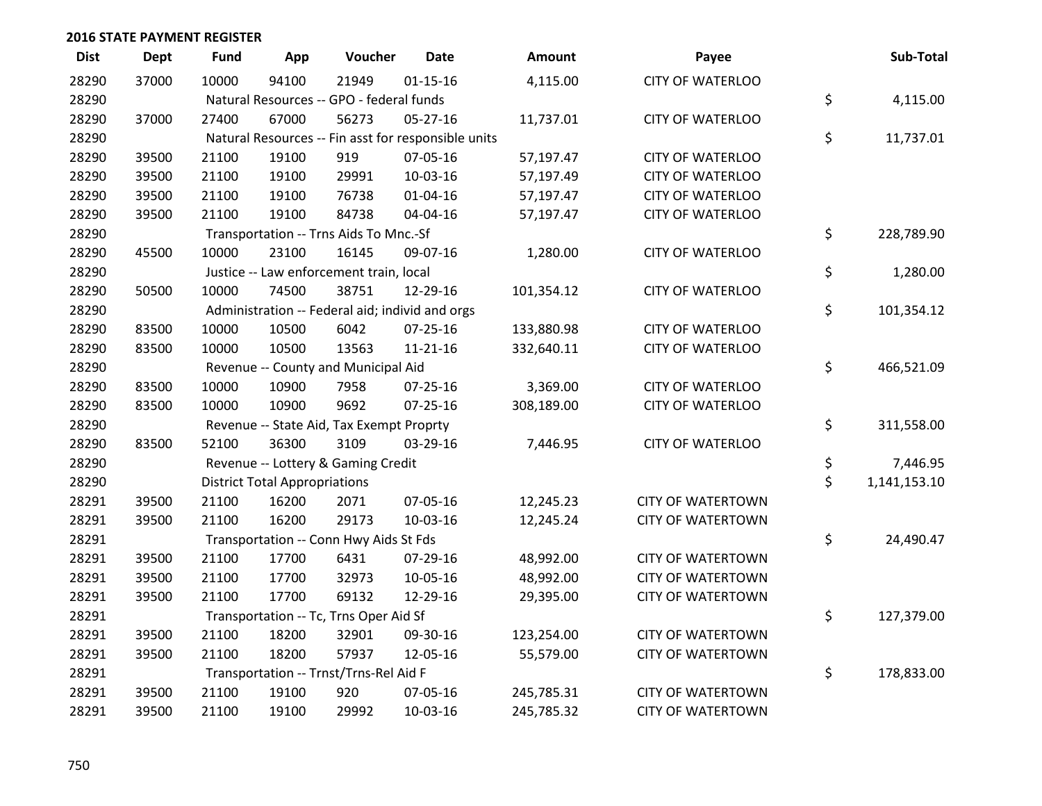| <b>Dist</b> | <b>Dept</b> | <b>Fund</b>                              | App                                  | Voucher                                  | <b>Date</b>                                         | Amount     | Payee                    | Sub-Total          |
|-------------|-------------|------------------------------------------|--------------------------------------|------------------------------------------|-----------------------------------------------------|------------|--------------------------|--------------------|
| 28290       | 37000       | 10000                                    | 94100                                | 21949                                    | $01 - 15 - 16$                                      | 4,115.00   | <b>CITY OF WATERLOO</b>  |                    |
| 28290       |             | Natural Resources -- GPO - federal funds | \$<br>4,115.00                       |                                          |                                                     |            |                          |                    |
| 28290       | 37000       | 27400                                    | 67000                                | 56273                                    | 05-27-16                                            | 11,737.01  | <b>CITY OF WATERLOO</b>  |                    |
| 28290       |             |                                          |                                      |                                          | Natural Resources -- Fin asst for responsible units |            |                          | \$<br>11,737.01    |
| 28290       | 39500       | 21100                                    | 19100                                | 919                                      | 07-05-16                                            | 57,197.47  | <b>CITY OF WATERLOO</b>  |                    |
| 28290       | 39500       | 21100                                    | 19100                                | 29991                                    | 10-03-16                                            | 57,197.49  | <b>CITY OF WATERLOO</b>  |                    |
| 28290       | 39500       | 21100                                    | 19100                                | 76738                                    | $01 - 04 - 16$                                      | 57,197.47  | <b>CITY OF WATERLOO</b>  |                    |
| 28290       | 39500       | 21100                                    | 19100                                | 84738                                    | 04-04-16                                            | 57,197.47  | <b>CITY OF WATERLOO</b>  |                    |
| 28290       |             |                                          |                                      | Transportation -- Trns Aids To Mnc.-Sf   |                                                     |            |                          | \$<br>228,789.90   |
| 28290       | 45500       | 10000                                    | 23100                                | 16145                                    | 09-07-16                                            | 1,280.00   | <b>CITY OF WATERLOO</b>  |                    |
| 28290       |             |                                          |                                      | Justice -- Law enforcement train, local  |                                                     |            |                          | \$<br>1,280.00     |
| 28290       | 50500       | 10000                                    | 74500                                | 38751                                    | 12-29-16                                            | 101,354.12 | <b>CITY OF WATERLOO</b>  |                    |
| 28290       |             |                                          |                                      |                                          | Administration -- Federal aid; individ and orgs     |            |                          | \$<br>101,354.12   |
| 28290       | 83500       | 10000                                    | 10500                                | 6042                                     | $07 - 25 - 16$                                      | 133,880.98 | <b>CITY OF WATERLOO</b>  |                    |
| 28290       | 83500       | 10000                                    | 10500                                | 13563                                    | $11 - 21 - 16$                                      | 332,640.11 | <b>CITY OF WATERLOO</b>  |                    |
| 28290       |             |                                          |                                      | Revenue -- County and Municipal Aid      |                                                     |            |                          | \$<br>466,521.09   |
| 28290       | 83500       | 10000                                    | 10900                                | 7958                                     | $07 - 25 - 16$                                      | 3,369.00   | <b>CITY OF WATERLOO</b>  |                    |
| 28290       | 83500       | 10000                                    | 10900                                | 9692                                     | $07 - 25 - 16$                                      | 308,189.00 | <b>CITY OF WATERLOO</b>  |                    |
| 28290       |             |                                          |                                      | Revenue -- State Aid, Tax Exempt Proprty |                                                     |            |                          | \$<br>311,558.00   |
| 28290       | 83500       | 52100                                    | 36300                                | 3109                                     | 03-29-16                                            | 7,446.95   | <b>CITY OF WATERLOO</b>  |                    |
| 28290       |             |                                          |                                      | Revenue -- Lottery & Gaming Credit       |                                                     |            |                          | \$<br>7,446.95     |
| 28290       |             |                                          | <b>District Total Appropriations</b> |                                          |                                                     |            |                          | \$<br>1,141,153.10 |
| 28291       | 39500       | 21100                                    | 16200                                | 2071                                     | 07-05-16                                            | 12,245.23  | <b>CITY OF WATERTOWN</b> |                    |
| 28291       | 39500       | 21100                                    | 16200                                | 29173                                    | 10-03-16                                            | 12,245.24  | <b>CITY OF WATERTOWN</b> |                    |
| 28291       |             |                                          |                                      | Transportation -- Conn Hwy Aids St Fds   |                                                     |            |                          | \$<br>24,490.47    |
| 28291       | 39500       | 21100                                    | 17700                                | 6431                                     | 07-29-16                                            | 48,992.00  | <b>CITY OF WATERTOWN</b> |                    |
| 28291       | 39500       | 21100                                    | 17700                                | 32973                                    | 10-05-16                                            | 48,992.00  | <b>CITY OF WATERTOWN</b> |                    |
| 28291       | 39500       | 21100                                    | 17700                                | 69132                                    | 12-29-16                                            | 29,395.00  | <b>CITY OF WATERTOWN</b> |                    |
| 28291       |             |                                          |                                      | Transportation -- Tc, Trns Oper Aid Sf   |                                                     |            |                          | \$<br>127,379.00   |
| 28291       | 39500       | 21100                                    | 18200                                | 32901                                    | 09-30-16                                            | 123,254.00 | <b>CITY OF WATERTOWN</b> |                    |
| 28291       | 39500       | 21100                                    | 18200                                | 57937                                    | 12-05-16                                            | 55,579.00  | <b>CITY OF WATERTOWN</b> |                    |
| 28291       |             |                                          |                                      | Transportation -- Trnst/Trns-Rel Aid F   |                                                     |            |                          | \$<br>178,833.00   |
| 28291       | 39500       | 21100                                    | 19100                                | 920                                      | 07-05-16                                            | 245,785.31 | <b>CITY OF WATERTOWN</b> |                    |
| 28291       | 39500       | 21100                                    | 19100                                | 29992                                    | 10-03-16                                            | 245,785.32 | <b>CITY OF WATERTOWN</b> |                    |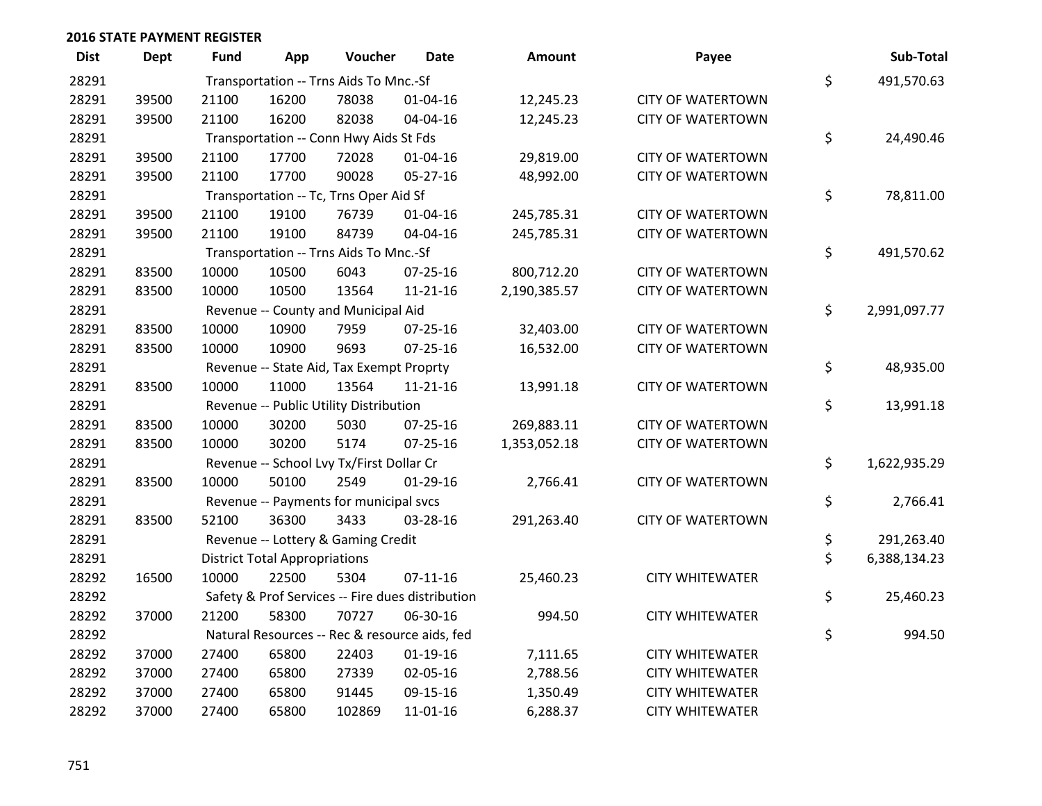| <b>Dist</b> | <b>Dept</b> | <b>Fund</b> | App                                  | Voucher                                  | <b>Date</b>                                      | Amount       | Payee                    | Sub-Total          |
|-------------|-------------|-------------|--------------------------------------|------------------------------------------|--------------------------------------------------|--------------|--------------------------|--------------------|
| 28291       |             |             |                                      | Transportation -- Trns Aids To Mnc.-Sf   |                                                  |              |                          | \$<br>491,570.63   |
| 28291       | 39500       | 21100       | 16200                                | 78038                                    | $01 - 04 - 16$                                   | 12,245.23    | <b>CITY OF WATERTOWN</b> |                    |
| 28291       | 39500       | 21100       | 16200                                | 82038                                    | 04-04-16                                         | 12,245.23    | <b>CITY OF WATERTOWN</b> |                    |
| 28291       |             |             |                                      | Transportation -- Conn Hwy Aids St Fds   |                                                  |              |                          | \$<br>24,490.46    |
| 28291       | 39500       | 21100       | 17700                                | 72028                                    | 01-04-16                                         | 29,819.00    | <b>CITY OF WATERTOWN</b> |                    |
| 28291       | 39500       | 21100       | 17700                                | 90028                                    | 05-27-16                                         | 48,992.00    | <b>CITY OF WATERTOWN</b> |                    |
| 28291       |             |             |                                      | Transportation -- Tc, Trns Oper Aid Sf   |                                                  |              |                          | \$<br>78,811.00    |
| 28291       | 39500       | 21100       | 19100                                | 76739                                    | $01 - 04 - 16$                                   | 245,785.31   | <b>CITY OF WATERTOWN</b> |                    |
| 28291       | 39500       | 21100       | 19100                                | 84739                                    | 04-04-16                                         | 245,785.31   | <b>CITY OF WATERTOWN</b> |                    |
| 28291       |             |             |                                      | Transportation -- Trns Aids To Mnc.-Sf   |                                                  |              |                          | \$<br>491,570.62   |
| 28291       | 83500       | 10000       | 10500                                | 6043                                     | $07 - 25 - 16$                                   | 800,712.20   | <b>CITY OF WATERTOWN</b> |                    |
| 28291       | 83500       | 10000       | 10500                                | 13564                                    | $11 - 21 - 16$                                   | 2,190,385.57 | <b>CITY OF WATERTOWN</b> |                    |
| 28291       |             |             |                                      | Revenue -- County and Municipal Aid      |                                                  |              |                          | \$<br>2,991,097.77 |
| 28291       | 83500       | 10000       | 10900                                | 7959                                     | 07-25-16                                         | 32,403.00    | <b>CITY OF WATERTOWN</b> |                    |
| 28291       | 83500       | 10000       | 10900                                | 9693                                     | 07-25-16                                         | 16,532.00    | <b>CITY OF WATERTOWN</b> |                    |
| 28291       |             |             |                                      | Revenue -- State Aid, Tax Exempt Proprty |                                                  |              |                          | \$<br>48,935.00    |
| 28291       | 83500       | 10000       | 11000                                | 13564                                    | 11-21-16                                         | 13,991.18    | <b>CITY OF WATERTOWN</b> |                    |
| 28291       |             |             |                                      | Revenue -- Public Utility Distribution   |                                                  |              |                          | \$<br>13,991.18    |
| 28291       | 83500       | 10000       | 30200                                | 5030                                     | $07 - 25 - 16$                                   | 269,883.11   | <b>CITY OF WATERTOWN</b> |                    |
| 28291       | 83500       | 10000       | 30200                                | 5174                                     | $07 - 25 - 16$                                   | 1,353,052.18 | <b>CITY OF WATERTOWN</b> |                    |
| 28291       |             |             |                                      | Revenue -- School Lvy Tx/First Dollar Cr |                                                  |              |                          | \$<br>1,622,935.29 |
| 28291       | 83500       | 10000       | 50100                                | 2549                                     | $01-29-16$                                       | 2,766.41     | <b>CITY OF WATERTOWN</b> |                    |
| 28291       |             |             |                                      | Revenue -- Payments for municipal svcs   |                                                  |              |                          | \$<br>2,766.41     |
| 28291       | 83500       | 52100       | 36300                                | 3433                                     | 03-28-16                                         | 291,263.40   | <b>CITY OF WATERTOWN</b> |                    |
| 28291       |             |             |                                      | Revenue -- Lottery & Gaming Credit       |                                                  |              |                          | \$<br>291,263.40   |
| 28291       |             |             | <b>District Total Appropriations</b> |                                          |                                                  |              |                          | \$<br>6,388,134.23 |
| 28292       | 16500       | 10000       | 22500                                | 5304                                     | $07-11-16$                                       | 25,460.23    | <b>CITY WHITEWATER</b>   |                    |
| 28292       |             |             |                                      |                                          | Safety & Prof Services -- Fire dues distribution |              |                          | \$<br>25,460.23    |
| 28292       | 37000       | 21200       | 58300                                | 70727                                    | 06-30-16                                         | 994.50       | <b>CITY WHITEWATER</b>   |                    |
| 28292       |             |             |                                      |                                          | Natural Resources -- Rec & resource aids, fed    |              |                          | \$<br>994.50       |
| 28292       | 37000       | 27400       | 65800                                | 22403                                    | $01-19-16$                                       | 7,111.65     | <b>CITY WHITEWATER</b>   |                    |
| 28292       | 37000       | 27400       | 65800                                | 27339                                    | 02-05-16                                         | 2,788.56     | <b>CITY WHITEWATER</b>   |                    |
| 28292       | 37000       | 27400       | 65800                                | 91445                                    | 09-15-16                                         | 1,350.49     | <b>CITY WHITEWATER</b>   |                    |
| 28292       | 37000       | 27400       | 65800                                | 102869                                   | 11-01-16                                         | 6,288.37     | <b>CITY WHITEWATER</b>   |                    |